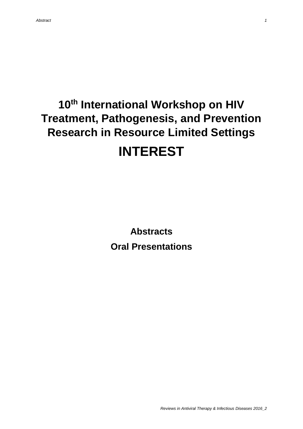# **10th International Workshop on HIV Treatment, Pathogenesis, and Prevention Research in Resource Limited Settings INTEREST**

**Abstracts Oral Presentations**

*Reviews in Antiviral Therapy & Infectious Diseases 2016\_2*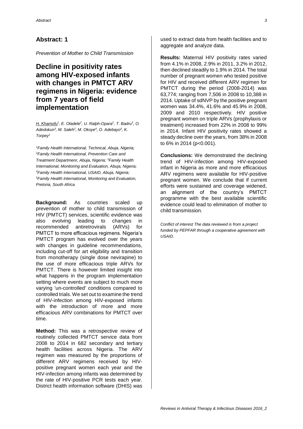*Prevention of Mother to Child Transmission*

# **Decline in positivity rates among HIV-exposed infants with changes in PMTCT ARV regimens in Nigeria: evidence from 7 years of field implementation**

*H. Khamofu<sup>1</sup> , E. Oladele<sup>2</sup> , U. Ralph-Opara<sup>2</sup> , T. Badru<sup>3</sup> , O. Adedokun<sup>3</sup> , M. Saleh<sup>2</sup> , M. Okoye<sup>4</sup> , O. Adebayo<sup>5</sup> , K. Torpey<sup>1</sup>*

*<sup>1</sup>Family Health International, Technical, Abuja, Nigeria; <sup>2</sup>Family Health International, Prevention Care and Treatment Departmenr, Abuja, Nigeria; <sup>3</sup>Family Health International, Monitoring and Evaluation, Abuja, Nigeria; <sup>4</sup>Family Health International, USAID, Abuja, Nigeria; <sup>5</sup>Family Health International, Monitoring and Evaluation, Pretoria, South Africa*

**Background:** As countries scaled up prevention of mother to child transmission of HIV (PMTCT) services, scientific evidence was also evolving leading to changes in recommended antiretrovirals (ARVs) for PMTCT to more efficacious regimens. Nigeria's PMTCT program has evolved over the years with changes in guideline recommendations, including cut-off for art eligibility and transition from monotherapy (single dose nevirapine) to the use of more efficacious triple ARVs for PMTCT. There is however limited insight into what happens in the program implementation setting where events are subject to much more varying 'un-controlled' conditions compared to controlled trials. We set out to examine the trend of HIV-infection among HIV-exposed infants with the introduction of more and more efficacious ARV combinations for PMTCT over time.

**Method:** This was a retrospective review of routinely collected PMTCT service data from 2008 to 2014 in 682 secondary and tertiary health facilities across Nigeria. The ARV regimen was measured by the proportions of different ARV regimens received by HIVpositive pregnant women each year and the HIV-infection among infants was determined by the rate of HIV-positive PCR tests each year. District health information software (DHIS) was

used to extract data from health facilities and to aggregate and analyze data.

**Results:** Maternal HIV positivity rates varied from 4.1% in 2008, 2.9% in 2011, 3.2% in 2012, then declined steadily to 1.9% in 2014. The total number of pregnant women who tested positive for HIV and received different ARV regimen for PMTCT during the period (2008-2014) was 63,774; ranging from 7,506 in 2008 to 10,388 in 2014. Uptake of sdNVP by the positive pregnant women was 34.4%, 41.6% and 45.9% in 2008, 2009 and 2010 respectively. HIV positive pregnant women on triple ARVs (prophylaxis or treatment) increased from 22% in 2008 to 99% in 2014. Infant HIV positivity rates showed a steady decline over the years, from 38% in 2008 to 6% in 2014 (p<0.001).

**Conclusions:** We demonstrated the declining trend of HIV-infection among HIV-exposed infant in Nigeria as more and more efficacious ARV regimens were available for HIV-positive pregnant women. We conclude that if current efforts were sustained and coverage widened, an alignment of the country's PMTCT programme with the best available scientific evidence could lead to elimination of mother to child transmission.

*Conflict of interest The data reviewed is from a project funded by PEPFAR through a cooperative agreement with USAID.*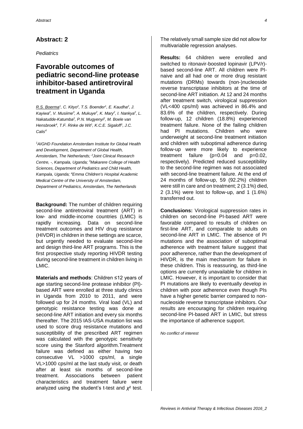*Pediatrics*

### **Favorable outcomes of pediatric second-line protease inhibitor-based antiretroviral treatment in Uganda**

*R.S. Boerma<sup>1</sup> , C. Kityo<sup>2</sup> , T.S. Boender<sup>1</sup> , E. Kaudha<sup>2</sup> , J. Kayiwa<sup>2</sup> , V. Musiime<sup>3</sup> , A. Mukuye<sup>2</sup> , K. Mary<sup>2</sup> , I. Nankya<sup>2</sup> , L. Nakatudde-Katumba<sup>2</sup> , P.N. Mugyenyi<sup>2</sup> , M. Boele van Hensbroek<sup>4</sup> , T.F. Rinke de Wit<sup>1</sup> , K.C.E. Sigaloff<sup>1</sup> , J.C. Calis<sup>4</sup>*

*<sup>1</sup>AIGHD Foundation Amsterdam Institute for Global Health and Development, Department of Global Health, Amsterdam, The Netherlands; <sup>2</sup>Joint Clinical Research Centre, -, Kampala, Uganda; <sup>3</sup>Makarere College of Health Sciences, Department of Pediatrics and Child Health, Kampala, Uganda; <sup>4</sup>Emma Children's Hospital Academic Medical Centre of the University of Amsterdam, Department of Pediatrics, Amsterdam, The Netherlands*

**Background:** The number of children requiring second-line antiretroviral treatment (ART) in low- and middle-income countries (LMIC) is rapidly increasing. Data on second-line treatment outcomes and HIV drug resistance (HIVDR) in children in these settings are scarce, but urgently needed to evaluate second-line and design third-line ART programs. This is the first prospective study reporting HIVDR testing during second-line treatment in children living in LMIC.

**Materials and methods**: Children ≤12 years of age starting second-line protease inhibitor (PI) based ART were enrolled at three study clinics in Uganda from 2010 to 2011, and were followed up for 24 months. Viral load (VL) and genotypic resistance testing was done at second-line ART initiation and every six months thereafter. The 2015 IAS-USA mutation list was used to score drug resistance mutations and susceptibility of the prescribed ART regimen was calculated with the genotypic sensitivity score using the Stanford algorithm.Treatment failure was defined as either having two consecutive VL >1000 cps/ml, a single VL>1000 cps/ml at the last study visit, or death after at least six months of second-line treatment. Associations between patient characteristics and treatment failure were analyzed using the student's t-test and *χ*² test.

The relatively small sample size did not allow for multivariable regression analyses.

**Results:** 64 children were enrolled and switched to ritonavir-boosted lopinavir (LPV/r) based second-line ART. All children were PInaive and all had one or more drug resistant mutations (DRMs) towards (non-)nucleoside reverse transcriptase inhibitors at the time of second-line ART initiation. At 12 and 24 months after treatment switch, virological suppression (VL<400 cps/ml) was achieved in 86.4% and 83.6% of the children, respectively. During follow-up, 12 children (18.8%) experienced treatment failure. None of the failing children had PI mutations. Children who were underweight at second-line treatment initiation and children with suboptimal adherence during follow-up were more likely to experience treatment failure (p=0.04 and p=0.02, respectively). Predicted reduced susceptibility to the second-line regimen was not associated with second-line treatment failure. At the end of 24 months of follow-up, 59 (92.2%) children were still in care and on treatment; 2 (3.1%) died, 2 (3.1%) were lost to follow-up, and 1 (1.6%) transferred out.

**Conclusions:** Virological suppression rates in children on second-line PI-based ART were favorable compared to results of children on first-line ART, and comparable to adults on second-line ART in LMIC. The absence of PI mutations and the association of suboptimal adherence with treatment failure suggest that poor adherence, rather than the development of HIVDR, is the main mechanism for failure in these children. This is reassuring, as third-line options are currently unavailable for children in LMIC. However, it is important to consider that PI mutations are likely to eventually develop in children with poor adherence even though PIs have a higher genetic barrier compared to nonnucleoside reverse transcriptase inhibitors. Our results are encouraging for children requiring second-line PI-based ART in LMIC, but stress the importance of adherence support.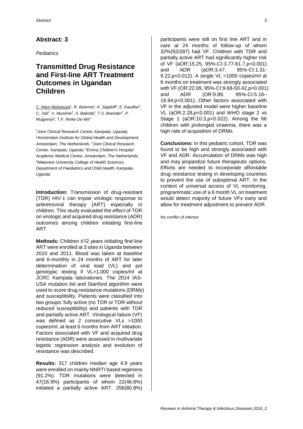*Pediatrics*

### **Transmitted Drug Resistance and First-line ART Treatment Outcomes in Ugandan Children**

*C. Kityo Mutuluuza<sup>1</sup> , R. Boerma<sup>2</sup> , K. Sigaloff<sup>2</sup> , E. Kaudha<sup>3</sup> , C. Job<sup>4</sup> , V. Musiime<sup>5</sup> , S. Balinda<sup>3</sup> , T.S. Boender<sup>2</sup> , P. Mugyenyi<sup>3</sup> , T.F. Rinke De Wit<sup>2</sup>*

*<sup>1</sup>Joint Clinical Research Centre, Kampala, Uganda; <sup>2</sup>Amsterdam Institute for Global Health and Development, Amsterdam, The Netherlands; <sup>3</sup> Joint Clinical Research Center, Kampala, Uganda; <sup>4</sup>Emma Children's Hospital Academic Medical Centre, Amsterdam, The Netherlands; <sup>5</sup>Makerere University College of Health Sciences, Department of Paediatrics and Child Health, Kampala, Uganda*

**Introduction:** Transmission of drug-resistant (TDR) HIV-1 can impair virologic response to antiretroviral therapy (ART) especially in children. This study evaluated the effect of TDR on virologic and acquired drug resistance (ADR) outcomes among children initiating first-line ART.

**Methods:** Children ≤12 years initiating first-line ART were enrolled at 3 sites in Uganda between 2010 and 2011. Blood was taken at baseline and 6-monthly in 24 months of ART for later determination of viral load (VL) and pol genotypic testing if VL>1,000 copies/ml at JCRC Kampala laboratories. The 2014 IAS-USA mutation list and Stanford algorithm were used to score drug resistance mutations (DRMs) and susceptibility. Patients were classified into two groups: fully active (no TDR or TDR without reduced susceptibility) and patients with TDR and partially active ART. Virological failure (VF) was defined as 2 consecutive VLs >1000 copies/ml, at least 6 months from ART initiation. Factors associated with VF and acquired drug resistance (ADR) were assessed in multivariate logistic regression analysis and evolution of resistance was described.

**Results:** 317 children median age 4.9 years were enrolled on mainly NNRTI based regimens (91.2%). TDR mutations were detected in 47(16.9%) participants of whom 22(46.8%) initiated a partially active ART. 256(80.8%)

participants were still on first line ART and in care at 24 months of follow-up of whom 32%(92/287) had VF. Children with TDR and partially active ART had significantly higher risk of VF (aOR:15.25, 95%-CI:3.77-61.7,p<0.001) and ADR (aOR:3.47, 95%-CI:1.31- 9.22,p<0.012). A single VL >1000 copies/ml at 6 months on treatment was strongly associated with VF (OR:22.09, 95%-CI:9.68-50.42,p<0.001) and ADR (OR:9.89, 95%-CI:5.16– 18.94;p<0.001). Other factors associated with VF in the adjusted model were higher baseline VL (aOR:2.28,p<0.001) and WHO stage 2 vs Stage 1 (aOR:10.3,p=0.022). Among the 66 children with prolonged viraemia, there was a high rate of acquisition of DRMs.

**Conclusions:** In this pediatric cohort, TDR was found to be high and strongly associated with VF and ADR. Accumulation of DRMs was high and may jeopardize future therapeutic options. Efforts are needed to incorporate affordable drug resistance testing in developing countries to prevent the use of suboptimal ART. In the context of universal access of VL monitoring, programmatic use of a 6 month VL on treatment would detect majority of future VFs early and allow for treatment adjustment to prevent ADR.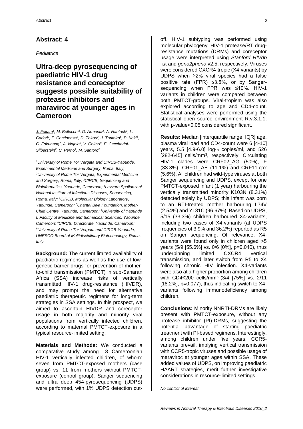#### *Pediatrics*

**Ultra-deep pyrosequencing of paediatric HIV-1 drug resistance and coreceptor suggests possible suitability of protease inhibitors and maraviroc at younger ages in Cameroon**

*J. Fokam<sup>1</sup> , M. Bellocchi<sup>2</sup> , D. Armenia<sup>2</sup> , A. Nanfack<sup>3</sup> , L.*  Carioti<sup>2</sup>, F. Continenza<sup>4</sup>, D. Takou<sup>3</sup>, J. Torimiro<sup>5</sup>, P. Koki<sup>6</sup>, *C. Fokunang<sup>7</sup> , A. Ndjolo<sup>8</sup> , V. Colizzi<sup>9</sup> , F. Ceccherini-Silberstein<sup>2</sup> , C. Perno<sup>1</sup> , M. Santoro<sup>2</sup>*

*<sup>1</sup>University of Rome Tor Vergata and CIRCB-Yaounde, Experimental Medicine and Surgery, Roma, Italy; <sup>2</sup>University of Rome Tor Vergata, Experimental Medicine and Surgery, Roma, Italy; <sup>3</sup>CIRCB, Sequencing and Bioinformatics, Yaounde, Cameroon; <sup>4</sup>Lazzaro Spallanzani National Institute of Infectious Diseases, Sequencing, Roma, Italy; <sup>5</sup>CIRCB, Molecular Biology Laboratory, Yaounde, Cameroon; 6Chantal Biya Foundation, Mother-Child Centre, Yaounde, Cameroon; <sup>7</sup>University of Yaounde I, Faculty of Medicine and Biomedical Sciences, Yaounde, Cameroon; <sup>8</sup>CIRCB, Directorate, Yaounde, Cameroon; <sup>9</sup>University of Rome Tor Vergata and CIRCB-Yaounde, UNESCO Board of Multidisciplinary Biotechnology, Roma, Italy*

**Background:** The current limited availability of paediatric regimens as well as the use of lowgenetic barrier drugs for prevention of motherto-child transmission (PMTCT) in sub-Saharan Africa (SSA) increase risks of vertically transmitted HIV-1 drug-resistance (HIVDR), and may prompt the need for alternative paediatric therapeutic regimens for long-term strategies in SSA settings. In this prospect, we aimed to ascertain HIVDR and coreceptor usage in both majority and minority viral populations from vertically infected children, according to maternal PMTCT-exposure in a typical resource-limited setting.

**Materials and Methods:** We conducted a comparative study among 18 Cameroonian HIV-1 vertically infected children, of whom: seven from PMTCT-exposed mothers (case group) vs. 11 from mothers without PMTCTexposure (control group). Sanger sequencing and ultra deep 454-pyrosequencing (UDPS) were performed, with 1% UDPS detection cut-

off. HIV-1 subtyping was performed using molecular phylogeny. HIV-1 protease/RT drugresistance mutations (DRMs) and coreceptor usage were interpreted using *Stanford HIVdb*  list and *geno2pheno*.v2.5, respectively. Viruses were considered CXCR4-tropic (X4-variants) by UDPS when ≥2% viral species had a false positive rate (FPR) ≤3.5%, or by Sangersequencing when FPR was ≤10%. HIV-1 variants in children were compared between both PMTCT-groups. Viral-tropism was also explored according to age and CD4-count. Statistical analyses were performed using the statistical open source environment R.v.3.1.1; with p-value<0.05 considered significant.

**Results:** Median linterquartile range, IQRI age, plasma viral load and CD4-count were 6 [4-10] years, 5.5  $[4.9-6.0]$   $log_{10}$  copies/ml, and 526 [282-645] cells/mm<sup>3</sup>, respectively. Circulating HIV-1 clades were CRF02\_AG (50%), F (33.3%), CRF01\_AE (11.1%) and CRF11.cpx (5.6%). All children had wild-type viruses at both Sanger sequencing and UDPS, except for one PMTCT-exposed infant (1 year) harbouring the vertically transmitted minority K103N (8.31%) detected solely by UDPS; this infant was born to an RTI-treated mother harbouring L74V (2.54%) and Y181C (96.67%). Based on UDPS, 5/15 (33.3%) children harboured X4-variants, including two cases of X4-variants (at UDPS frequencies of 3.9% and 36.2%) reported as R5 on Sanger sequencing. Of relevance, X4 variants were found only in children aged >5 years (5/9 [55.6%] vs. 0/6 [0%], p=0.040), thus underpinning limited CXCR4 vertical transmission, and later switch from R5 to X4 following chronic HIV infection. X4-variants were also at a higher proportion among children with CD4≤200 cells/mm<sup>3</sup> (3/4 [75%] vs. 2/11  $[18.2\%]$ , p=0.077), thus indicating switch to X4variants following immunodeficiency among children.

**Conclusions:** Minority NNRTI-DRMs are likely present with PMTCT-exposure, without any protease inhibitor (PI)-DRMs, suggesting the potential advantage of starting paediatric treatment with PI-based regimens. Interestingly, among children under five years, CCR5 variants prevail, implying vertical transmission with CCR5-tropic viruses and possible usage of maraviroc at younger ages within SSA. These added values of UDPS, on improving paediatric HAART strategies, merit further investigative considerations in resource-limited settings.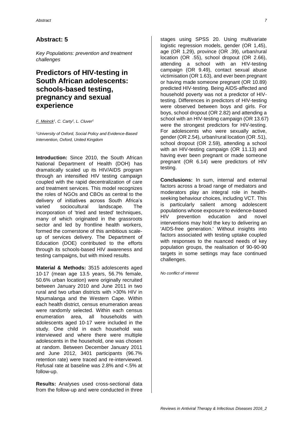*Key Populations: prevention and treatment challenges*

# **Predictors of HIV-testing in South African adolescents: schools-based testing, pregnancy and sexual experience**

*F. Meinck<sup>1</sup> , C. Carty<sup>1</sup> , L. Cluver<sup>1</sup>*

*<sup>1</sup>University of Oxford, Social Policy and Evidence-Based Intervention, Oxford, United Kingdom*

**Introduction:** Since 2010, the South African National Department of Health (DOH) has dramatically scaled up its HIV/AIDS program through an intensified HIV testing campaign coupled with the rapid decentralization of care and treatment services. This model recognizes the roles of NGOs and CBOs as central to the delivery of initiatives across South Africa's varied sociocultural landscape. The incorporation of 'tried and tested' techniques, many of which originated in the grassroots sector and led by frontline health workers, formed the cornerstone of this ambitious scaleup of services delivery. The Department of Education (DOE) contributed to the efforts through its schools-based HIV awareness and testing campaigns, but with mixed results.

**Material & Methods:** 3515 adolescents aged 10-17 (mean age 13.5 years, 56.7% female, 50.6% urban location) were originally recruited between January 2010 and June 2011 in two rural and two urban districts with >30% HIV in Mpumalanga and the Western Cape. Within each health district, census enumeration areas were randomly selected. Within each census enumeration area, all households with adolescents aged 10-17 were included in the study. One child in each household was interviewed and where there were multiple adolescents in the household, one was chosen at random. Between December January 2011 and June 2012, 3401 participants (96.7% retention rate) were traced and re-interviewed. Refusal rate at baseline was 2.8% and <.5% at follow-up.

**Results:** Analyses used cross-sectional data from the follow-up and were conducted in three

stages using SPSS 20. Using multivariate logistic regression models, gender (OR 1,45), age (OR 1,29), province (OR .39), urban/rural location (OR .55), school dropout (OR 2.66), attending a school with an HIV-testing campaign (OR 9.49), contact sexual abuse victimisation (OR 1.63), and ever been pregnant or having made someone pregnant (OR 10.89) predicted HIV-testing. Being AIDS-affected and household poverty was not a predictor of HIVtesting. Differences in predictors of HIV-testing were observed between boys and girls. For boys, school dropout (OR 2.82) and attending a school with an HIV-testing campaign (OR 13.67) were the strongest predictors for HIV-testing. For adolescents who were sexually active, gender (OR 2.54), urban/rural location (OR .51), school dropout (OR 2.59), attending a school with an HIV-testing campaign (OR 11.13) and having ever been pregnant or made someone pregnant (OR 6.14) were predictors of HIV testing.

**Conclusions:** In sum, internal and external factors across a broad range of mediators and moderators play an integral role in healthseeking behaviour choices, including VCT. This is particularly salient among adolescent populations whose exposure to evidence-based HIV prevention education and novel interventions may hold the key to delivering an 'AIDS-free generation.' Without insights into factors associated with testing uptake coupled with responses to the nuanced needs of key population groups, the realisation of 90-90-90 targets in some settings may face continued challenges.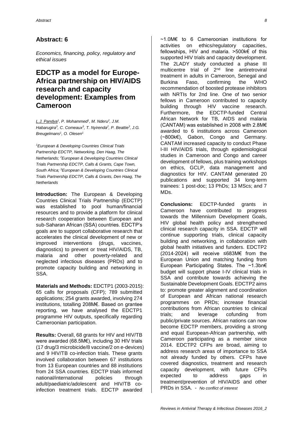*Economics, financing, policy, regulatory and ethical issues*

### **EDCTP as a model for Europe-Africa partnership on HIV/AIDS research and capacity development: Examples from Cameroon**

*L.J. Pandya<sup>1</sup> , P. Mohammed<sup>1</sup> , M. Nderu<sup>2</sup> , J.M. Habarugira<sup>3</sup> , C. Comeaux<sup>3</sup> , T. Nyirenda<sup>2</sup> , P. Beattie<sup>3</sup> , J.G. Breugelmans<sup>1</sup> , O. Olesen<sup>1</sup>*

*<sup>1</sup>European & Developing Countries Clinical Trials Partnership EDCTP, Networking, Den Haag, The Netherlands; <sup>2</sup>European & Developing Countries Clinical Trials Partnership EDCTP, Calls & Grants, Cape Town, South Africa; <sup>3</sup>European & Developing Countries Clinical Trials Partnership EDCTP, Calls & Grants, Den Haag, The Netherlands*

**Introduction:** The European & Developing Countries Clinical Trials Partnership (EDCTP) was established to pool human/financial resources and to provide a platform for clinical research cooperation between European and sub-Saharan African (SSA) countries. EDCTP's goals are to support collaborative research that accelerates the clinical development of new or improved interventions (drugs, vaccines, diagnostics) to prevent or treat HIV/AIDS, TB, malaria and other poverty-related and neglected infectious diseases (PRDs) and to promote capacity building and networking in SSA.

**Materials and Methods:** EDCTP1 (2003-2015): 65 calls for proposals (CFP); 789 submitted applications; 254 grants awarded, involving 274 institutions, totalling 208M€. Based on grantee reporting, we have analysed the EDCTP1 programme HIV outputs, specifically regarding Cameroonian participation.

**Results:** Overall, 68 grants for HIV and HIV/TB were awarded (68.5M€), including 30 HIV trials (17 drug/3 microbicide/8 vaccine/2 on e-devices) and 9 HIV/TB co-infection trials. These grants involved collaboration between 67 institutions from 13 European countries and 88 institutions from 24 SSA countries. EDCTP trials informed national/international policies through adult/paediatric/adolescent and HIV/TB coinfection treatment trials. EDCTP awarded

~1.0M€ to 6 Cameroonian institutions for activities on ethics/regulatory capacities, fellowships, HIV and malaria. >500k€ of this supported HIV trials and capacity development. The 2LADY study conducted a phase III multicentre trial of 2nd line antiretroviral treatment in adults in Cameroon, Senegal and Burkina Faso, confirming the WHO recommendation of boosted protease inhibitors with NRTIs for 2nd line. One of two senior fellows in Cameroon contributed to capacity building through HIV vaccine research. Furthermore, the EDCTP-funded Central African Network for TB, AIDS and malaria (CANTAM) was established in 2008 with 2.8M€ awarded to 6 institutions across Cameroon (~800k€), Gabon, Congo and Germany. CANTAM increased capacity to conduct Phase I-III HIV/AIDS trials, through epidemiological studies in Cameroon and Congo and career development of fellows, plus training workshops on ethics, GCLP, data management and diagnostics for HIV. CANTAM generated 20 publications and supported 34 long-term trainees: 1 post-doc; 13 PhDs; 13 MScs; and 7 MDs.

**Conclusions:** EDCTP-funded grants in Cameroon have contributed to progress towards the Millennium Development Goals, HIV global health policy and strengthened clinical research capacity in SSA. EDCTP will continue supporting trials, clinical capacity building and networking, in collaboration with global health initiatives and funders. EDCTP2 (2014-2024) will receive ≤683M€ from the European Union and matching funding from European Participating States. The ~1.3bn€ budget will support phase I-IV clinical trials in SSA and contribute towards achieving the Sustainable Development Goals. EDCTP2 aims to: promote greater alignment and coordination of European and African national research programmes on PRDs; increase financial contributions from African countries to clinical trials; and leverage cofunding from public/private sources. African nations can now become EDCTP members, providing a strong and equal European-African partnership, with Cameroon participating as a member since 2014. EDCTP2 CFPs are broad, aiming to address research areas of importance to SSA not already funded by others. CFPs have covered diagnostics, treatment and research capacity development, with future CFPs expected to address gaps in treatment/prevention of HIV/AIDS and other PRDs in SSA. - *No conflict of interest*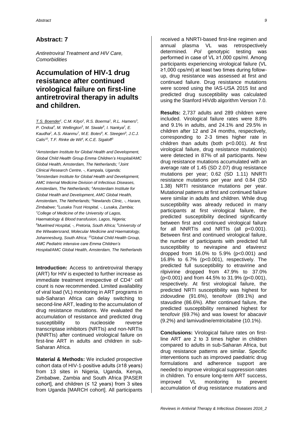*Antiretroviral Treatment and HIV Care, Comorbidities*

# **Accumulation of HIV-1 drug resistance after continued virological failure on first-line antiretroviral therapy in adults and children.**

*T.S. Boender<sup>1</sup> , C.M. Kityo<sup>2</sup> , R.S. Boerma<sup>1</sup> , R.L. Hamers<sup>3</sup> , P. Ondoa<sup>4</sup> , M. Wellington<sup>5</sup> , M. Siwale<sup>6</sup> , I. Nankya<sup>2</sup> , E. Kaudha<sup>2</sup> , A.S. Akanmu<sup>7</sup> , M.E. Botes<sup>8</sup> , K. Steegen<sup>9</sup> , J.C.J. Calis<sup>10</sup>, T.F. Rinke de Wit<sup>4</sup> , K.C.E. Sigaloff<sup>3</sup>*

*<sup>1</sup>Amsterdam Institute for Global Health and Development, Global Child Health Group Emma Children's Hospital/AMC Global Health, Amsterdam, The Netherlands; <sup>2</sup>Joint Clinical Research Centre, -, Kampala, Uganda; <sup>3</sup>Amsterdam Institute for Global Health and Development, AMC Internal Medicine Division of Infectious Diseases, Amsterdam, The Netherlands; <sup>4</sup>Amsterdam Institute for Global Health and Development, AMC Global Health, Amsterdam, The Netherlands; <sup>5</sup>Newlands Clinic, -, Harare, Zimbabwe; <sup>6</sup>Lusaka Trust Hospital, -, Lusaka, Zambia; <sup>7</sup>College of Medicine of the University of Lagos, Haematology & Blood transfusion, Lagos, Nigeria; <sup>8</sup>Muelmed Hospital, -, Pretoria, South Africa; <sup>9</sup>University of the Witwatersrand, Molecular Medicine and Haematology, Johannesburg, South Africa; <sup>10</sup>Global Child Health Group, AMC Pediatric intensive care Emma Children's Hospital/AMC Global Health, Amsterdam, The Netherlands*

**Introduction:** Access to antiretroviral therapy (ART) for HIV is expected to further increase as immediate treatment irrespective of CD4<sup>+</sup> cell count is now recommended. Limited availability of viral load (VL) monitoring in ART programs in sub-Saharan Africa can delay switching to second-line ART, leading to the accumulation of drug resistance mutations. We evaluated the accumulation of resistance and predicted drug susceptibility to nucleoside reverse transcriptase inhibitors (NRTIs) and non-NRTIs (NNRTIs) after continued virological failure on first-line ART in adults and children in sub-Saharan Africa.

**Material & Methods:** We included prospective cohort data of HIV-1-positive adults (≥18 years) from 13 sites in Nigeria, Uganda, Kenya, Zimbabwe, Zambia and South Africa [PASER cohort], and children  $(≤ 12 \text{ years})$  from 3 sites from Uganda [MARCH cohort]. All participants

received a NNRTI-based first-line regimen and annual plasma VL was retrospectively determined. *Pol* genotypic testing was performed in case of VL ≥1,000 cps/ml. Among participants experiencing virological failure (VL ≥1,000 cps/ml) at least two times during followup, drug resistance was assessed at first and continued failure. Drug resistance mutations were scored using the IAS-USA 2015 list and predicted drug susceptibility was calculated using the Stanford HIVdb algorithm Version 7.0.

**Results:** 2,737 adults and 289 children were included. Virological failure rates were 8.8% and 9.1% in adults, and 24.1% and 29.5% in children after 12 and 24 months, respectively, corresponding to 2-3 times higher rate in children than adults (both p<0.001). At first virological failure, drug resistance mutation(s) were detected in 87% of all participants. New drug resistance mutations accumulated with an average rate of 1.45 (SD 2.07) drug resistance mutations per year; 0.62 (SD 1.11) NNRTI resistance mutations per year and 0.84 (SD 1.38) NRTI resistance mutations per year. Mutational patterns at first and continued failure were similar in adults and children. While drug susceptibility was already reduced in many participants at first virological failure, the predicted susceptibility declined significantly between first and continued virological failure for all NNRTIs and NRTIs (all p<0.001). Between first and continued virological failure, the number of participants with predicted full susceptibility to nevirapine and efavirenz dropped from 16.0% to 5.9% (p<0.001) and 16.8% to 6.7% (p<0.001), respectively. The predicted full susceptibility to etravirine and rilpivirine dropped from 47.9% to 37.0% (p<0.001) and from 44.5% to 31.9% (p<0.001), respectively. At first virological failure, the predicted NRTI susceptibility was highest for zidovudine (91.6%), tenofovir (89.1%) and stavudine (86.6%). After continued failure, the predicted susceptibility remained highest for tenofovir (69.7%) and was lowest for abacavir (9.2%) and lamivudine/emtricitabine (10.1%).

**Conclusions:** Virological failure rates on firstline ART are 2 to 3 times higher in children compared to adults in sub-Saharan Africa, but drug resistance patterns are similar. Specific interventions such as improved paediatric drug formulations and adherence support are needed to improve virological suppression rates in children. To ensure long-term ART success, improved VL monitoring to prevent accumulation of drug resistance mutations and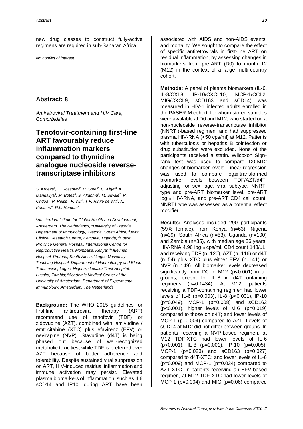new drug classes to construct fully-active regimens are required in sub-Saharan Africa.

*No conflict of interest*

#### **Abstract: 8**

*Antiretroviral Treatment and HIV Care, Comorbidities*

# **Tenofovir-containing first-line ART favourably reduce inflammation markers compared to thymidine analogue nucleoside reversetranscriptase inhibitors**

*S. Kroeze<sup>1</sup> , T. Rossouw<sup>2</sup> , H. Steel<sup>2</sup> , C. Kityo<sup>3</sup> , K. Mandaliya<sup>4</sup> , M. Botes<sup>5</sup> , S. Akanmu<sup>6</sup> , M. Siwale<sup>7</sup> , P. Ondoa<sup>1</sup> , P. Reiss<sup>1</sup> , F. Wit<sup>1</sup> , T.F. Rinke de Wit<sup>1</sup> , N. Kootstra<sup>8</sup> , R.L. Hamers<sup>1</sup>*

*<sup>1</sup>Amsterdam Istitute for Global Health and Development, Amsterdam, The Netherlands; <sup>2</sup>University of Pretoria, Department of Immunology, Pretoria, South Africa; <sup>3</sup>Joint Clinical Research Centre, Kampala, Uganda; <sup>4</sup>Coast Province General Hospital, International Centre for Reproductive Health, Mombasa, Kenya; <sup>5</sup>Muelmed Hospital, Pretoria, South Africa; <sup>6</sup>Lagos University Teaching Hospital, Department of Haematology and Blood Transfusion, Lagos, Nigeria; <sup>7</sup>Lusaka Trust Hospital, Lusaka, Zambia; <sup>8</sup>Academic Medical Center of the University of Amsterdam, Department of Experimental Immunology, Amsterdam, The Netherlands*

**Background:** The WHO 2015 guidelines for first-line antiretroviral therapy (ART) recommend use of tenofovir (TDF) or zidovudine (AZT), combined with lamivudine / emtricitabine (XTC) plus efavirenz (EFV) or nevirapine (NVP). Stavudine (d4T) is being phased out because of well-recognized metabolic toxicities, while TDF is preferred over AZT because of better adherence and tolerability. Despite sustained viral suppression on ART, HIV-induced residual inflammation and immune activation may persist. Elevated plasma biomarkers of inflammation, such as IL6, sCD14 and IP10, during ART have been

associated with AIDS and non-AIDS events, and mortality. We sought to compare the effect of specific antiretrovirals in first-line ART on residual inflammation, by assessing changes in biomarkers from pre-ART (D0) to month 12 (M12) in the context of a large multi-country cohort.

**Methods:** A panel of plasma biomarkers (IL-6, IL-8/CXL8, IP-10/CXCL10, MCP-1/CCL2, MIG/CXCL9, sCD163 and sCD14) was measured in HIV-1 infected adults enrolled in the PASER-M cohort, for whom stored samples were available at D0 and M12, who started on a non-nucleoside reverse-transcriptase inhibitor (NNRTI)-based regimen, and had suppressed plasma HIV-RNA (<50 cps/ml) at M12. Patients with tuberculosis or hepatitis B coinfection or drug substitution were excluded. None of the participants received a statin. Wilcoxon Signrank test was used to compare D0-M12 changes of biomarker levels. Linear regression was used to compare log<sub>10</sub>-transformed biomarker levels between TDF/AZT/d4T, adjusting for sex, age, viral subtype, NNRTI type and pre-ART biomarker level, pre-ART log<sub>10</sub> HIV-RNA, and pre-ART CD4 cell count. NNRTI type was assessed as a potential effect modifier.

**Results:** Analyses included 290 participants (59% female), from Kenya (n=63), Nigeria (n=39), South Africa (n=53), Uganda (n=100) and Zambia (n=35), with median age 36 years, HIV-RNA 4.96 log<sub>10</sub> cps/ml, CD4 count 143/uL, and receiving TDF (n=120), AZT (n=116) or d4T (n=54) plus XTC plus either EFV (n=141) or NVP (n=149). All biomarker levels decreased significantly from D0 to M12 (p<0.001) in all groups, except for IL-8 in d4T-containing regimens (p=0.1434). At M12, patients receiving a TDF-containing regimen had lower levels of IL-6 (p=0.003), IL-8 (p<0.001), IP-10 (p=0.049), MCP-1 (p=0.008) and sCD163 (p<0.001), higher levels of MIG (p=0.019) compared to those on d4T; and lower levels of MCP-1 (p=0.004) compared to AZT. Levels of sCD14 at M12 did not differ between groups. In patients receiving a NVP-based regimen, at M12 TDF-XTC had lower levels of IL-6 (p<0.001), IL-8 (p=0.001), IP-10 (p=0.005), MCP-1 (p=0.023) and sCD163 (p=0.027) compared to d4T-XTC; and lower levels of IL-6  $(p=0.009)$  and MCP-1  $(p=0.034)$  compared to AZT-XTC. In patients receiving an EFV-based regimen, at M12 TDF-XTC had lower levels of MCP-1 (p=0.004) and MIG (p=0.06) compared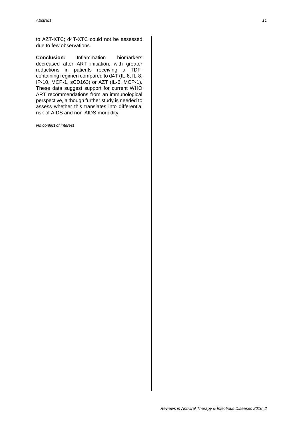to AZT-XTC; d4T-XTC could not be assessed due to few observations.

**Conclusion:** Inflammation biomarkers decreased after ART initiation, with greater reductions in patients receiving a TDFcontaining regimen compared to d4T (IL-6, IL-8, IP-10, MCP-1, sCD163) or AZT (IL-6, MCP-1). These data suggest support for current WHO ART recommendations from an immunological perspective, although further study is needed to assess whether this translates into differential risk of AIDS and non-AIDS morbidity.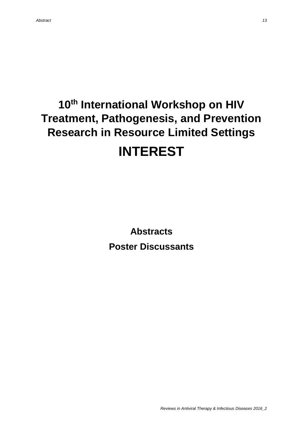# **10th International Workshop on HIV Treatment, Pathogenesis, and Prevention Research in Resource Limited Settings INTEREST**

**Abstracts Poster Discussants**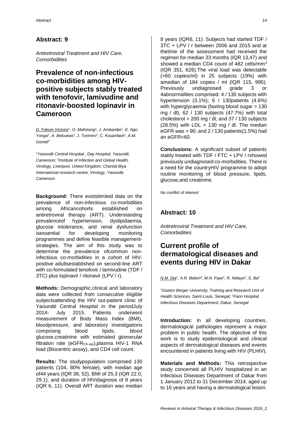*Antiretroviral Treatment and HIV Care, Comorbidities*

# **Prevalence of non-infectious co-morbidities among HIVpositive subjects stably treated with tenofovir, lamivudine and ritonavir-boosted lopinavir in Cameroon**

*D. Fokom Victoire<sup>1</sup> , O. Mafotsing<sup>1</sup> , J. Ambanibe<sup>1</sup> , E. Ngo Yonga<sup>1</sup> , A. Beloukas<sup>2</sup> , J. Torimiro<sup>3</sup> , C. Kouanfack<sup>1</sup> , A.M. Geretti<sup>2</sup>*

*<sup>1</sup>Yaoundé Central Hospital., Day Hospital, Yaoundé, Cameroon; <sup>2</sup> Institute of Infection and Global Health, Virology, Liverpool, United Kingdom; Chantal Biya International research centre, Virology, Yaoundé, Cameroon*

**Background:** There existslimited data on the prevalence of non-infectious co-morbidities among Africancohorts established on antiretroviral therapy (ART). Understanding prevalenceof hypertension, dyslipidaemia, glucose intolerance, and renal dysfunction isessential for developing monitoring programmes and define feasible managementstrategies. The aim of this study was to determine the prevalence ofcommon noninfectious co-morbidities in a cohort of HIVpositive adultsestablished on second-line ART with co-formulated tenofovir / lamivudine (TDF / 3TC) plus lopinavir / ritonavir (LPV / r).

**Methods:** Demographic,clinical and laboratory data were collected from consecutive eligible subjectsattending the HIV out-patient clinic of Yaoundé Central Hospital in the periodJuly 2014- July 2015. Patients underwent measurement of Body Mass Index (BMI), bloodpressure, and laboratory investigations comprising blood lipids, blood glucose,creatinine with estimated glomerular filtration rate (eGFR<sub>CK-epi</sub>), plasma HIV-1 RNA load (Biocentric assay), and CD4 cell count.

**Results:** The studypopulation comprised 130 patients (104, 80% female), with median age of44 years (IQR 39, 52), BMI of 25.3 (IQR 22.0, 29.1), and duration of HIVdiagnosis of 8 years (IQR 6, 11). Overall ART duration was median 8 years (IQR6, 11). Subjects had started TDF / 3TC + LPV / r between 2006 and 2015 and at thetime of the assessment had received the regimen for median 33 months (IQR 13,47) and showed a median CD4 count of 482 cells/mm<sup>3</sup> (IQR 351, 626).The viral load was detectable (>60 copies/ml) in 25 subjects (19%) with amedian of 184 copies / ml (IQR 115, 995). Previously undiagnosed grade 3 or 4abnormalities comprised: 4 / 130 subjects with hypertension (3.1%); 6 / 130patients (4.6%) with hyperglycaemia (fasting blood sugar > 130 mg / dl); 62 / 130 subjects (47.7%) with total cholesterol > 200 mg / dl; and 37 / 130 subjects  $(28.5%)$  with LDL > 130 mg / dl. The median eGFR was  $> 90$ ; and 2 / 130 patients (1.5%) had an eGFR<60.

**Conclusions:** A significant subset of patients stably treated with TDF / FTC + LPV / rshowed previously undiagnosed co-morbidities. There is a need for the countryHIV programme to adopt routine monitoring of blood pressure, lipids, glucose,and creatinine.

*No conflict of interest*

### **Abstract: 10**

*Antiretroviral Treatment and HIV Care, Comorbidities*

# **Current profile of dermatological diseases and events during HIV in Dakar**

*N.M. Dia<sup>1</sup> , A.R. Belem<sup>2</sup> , M.N. Faye<sup>2</sup> , R. Ndiaye<sup>2</sup> , S. Ba<sup>2</sup>*

*<sup>1</sup>Gaston Berger University, Training and Research Unit of Health Sciences, Saint-Louis, Senegal; <sup>2</sup>Fann Hospital, Infectious Diseases Department, Dakar, Senegal*

**Introduction:** In all developing countries, dermatological pathologies represent a major problem in public health. The objective of this work is to study epidemiological and clinical aspects of dermatological diseases and events encountered in patients living with HIV (PLHIV).

**Materials and Methods:** This retrospective study concerned all PLHIV hospitalized in an Infectious Diseases Department of Dakar from 1 January 2012 to 31 December 2014, aged up to 16 years and having a dermatological lesion.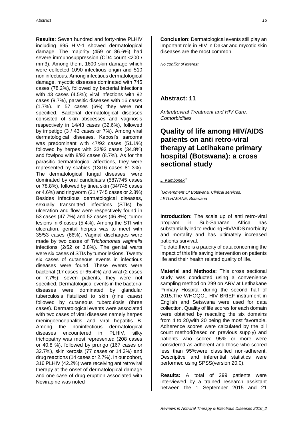**Results:** Seven hundred and forty-nine PLHIV including 695 HIV-1 showed dermatological damage. The majority (459 or 86.6%) had severe immunosuppression (CD4 count <200 / mm3). Among them, 1600 skin damage which were collected 1090 infectious origin and 510 non infectious. Among infectious dermatological damage, mycotic diseases dominated with 745 cases (78.2%), followed by bacterial infections with 43 cases (4.5%); viral infections with 92 cases (9.7%), parasitic diseases with 16 cases (1.7%). In 57 cases (6%) they were not specified. Bacterial dermatological diseases consisted of skin abscesses and vaginosis respectively in 14/43 cases (32.6%), followed by impetigo (3 / 43 cases or 7%). Among viral dermatological diseases, Kaposi's sarcoma was predominant with 47/92 cases (51.1%) followed by herpes with 32/92 cases (34.8%) and fowlpox with 8/92 cases (8.7%). As for the parasitic dermatological affections, they were represented by scabies (13/16 cases 81.3%). The dermatological fungal diseases, were dominated by oral candidiasis (587/745 cases or 78.8%), followed by tinea skin (34/745 cases or 4.6%) and ringworm (21 / 745 cases or 2.8%). Besides infectious dermatological diseases, sexually transmitted infections (STIs) by ulceration and flow were respectively found in 53 cases (47.7%) and 52 cases (46.8%); tumor lesions in 6 cases (5.4%). Among the STI with ulceration, genital herpes was to meet with 35/53 cases (66%). Vaginal discharges were made by two cases of *Trichomonas vaginalis* infections (2/52 or 3.8%). The genital warts were six cases of STIs by tumor lesions. Twenty six cases of cutaneous events in infectious diseases were found. These events were bacterial (17 cases or 65.4%) and viral (2 cases or 7.7%); seven patients, they were not specified. Dermatological events in the bacterial diseases were dominated by glandular tuberculosis fistulized to skin (nine cases) followed by cutaneous tuberculosis (three cases). Dermatological events were associated with two cases of viral diseases namely herpes meningoencephalitis and viral hepatitis B. Among the noninfectious dermatological diseases encountered in PLHIV, silky trichopathy was most represented (208 cases or 40.8 %), followed by prurigo (167 cases or 32.7%), skin xerosis (77 cases or 14.3%) and drug reactions (14 cases or 2.7%). In our cohort, 316 PLHIV (42.2%) were receiving antiretroviral therapy at the onset of dermatological damage and one case of drug eruption associated with Nevirapine was noted

**Conclusion**: Dermatological events still play an important role in HIV in Dakar and mycotic skin diseases are the most common.

*No conflict of interest*

### **Abstract: 11**

*Antiretroviral Treatment and HIV Care, Comorbidities*

# **Quality of life among HIV/AIDS patients on anti retro-viral therapy at Letlhakane primary hospital (Botswana): a cross sectional study**

*L. Kumboneki<sup>1</sup>*

*<sup>1</sup>Government Of Botswana, Clinical services, LETLHAKANE, Botswana*

**Introduction:** The scale up of anti retro-viral program in Sub-Saharan Africa has substantially led to reducing HIV/AIDS morbidity and mortality and has ultimately increased patients survival.

To date,there is a paucity of data concerning the impact of this life saving intervention on patients life and their health related quality of life.

**Material and Methods:** This cross sectional study was conducted using a convenience sampling method on 299 on ARV at Letlhakane Primary Hospital during the second half of 2015.The WHOQOL HIV BRIEF instrument in English and Setswana were used for data collection. Quality of life scores for each domain were obtained by rescaling the six domains from 4 to 20,with 20 being the most favorable. Adherence scores were calculated by the pill count method(based on previous supply) and patients who scored 95% or more were considered as adherent and those who scored less than 95%were classified non-adherent. Descriptive and inferential statistics were performed using SPSS(version 20.0).

**Results:** A total of 299 patients were interviewed by a trained research assistant between the 1 September 2015 and 21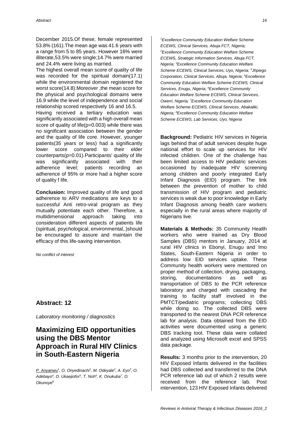December 2015.Of these; female represented 53.8% (161).The mean age was 41.6 years with a range from 5 to 85 years. However 16% were illiterate,53.5% were single;14.7% were married and 24.4% were living as married.

The highest overall mean score of quality of life was recorded for the spiritual domain(17.1) while the environmental domain registered the worst score(14.8).Moreover ,the mean score for the physical and psychological domains were 16.9 while the level of independence and social relationship scored respectively 16 and 16.5.

Having received a tertiary education was significantly associated with a high overall mean score of quality of life(p=0.003) while there was no significant association between the gender and the quality of life core. However, younger patients(35 years or less) had a significantly lower score compared to their elder counterparts(p=0.01).Participants' quality of life was significantly associated with their adherence level; patients recording an adherence of 95% or more had a higher score of quality f life.

**Conclusion:** Improved quality of life and good adherence to ARV medications are keys to a successful Anti retro-viral program as they mutually potentiate each other. Therefore, a multidimensional approach taking into consideration different aspects of patients life (spiritual, psychological, environmental,.)should be encouraged to assure and maintain the efficacy of this life-saving intervention.

*No conflict of interest*

#### **Abstract: 12**

*Laboratory monitoring / diagnostics*

### **Maximizing EID opportunities using the DBS Mentor Approach in Rural HIV Clinics in South-Eastern Nigeria**

*P. Anyanwu<sup>1</sup> , O. Onyedinachi<sup>1</sup> , M. Odeyale<sup>2</sup> , A. Eyo<sup>3</sup> , O. Adebayo<sup>4</sup> , O. Ukaejiofor<sup>5</sup> , T. Noh<sup>6</sup> , K. Onukuba<sup>7</sup> , O. Okunoye<sup>8</sup>*

*<sup>1</sup>Excellence Community Education Welfare Scheme ECEWS, Clinical Services, Abuja FCT, Nigeria; <sup>2</sup>Excellence Community Education Welfare Scheme ECEWS, Strategic Information Services, Abuja FCT, Nigeria; <sup>3</sup>Excellence Community Education Welfare Scheme ECEWS, Clinical Services, Uyo, Nigeria; <sup>4</sup>Jhpiego Corporation, Clinical Services, Abuja, Nigeria; <sup>5</sup>Excellence Community Education Welfare Scheme ECEWS, Clinical Services, Enugu, Nigeria; <sup>6</sup>Excellence Community Education Welfare Scheme ECEWS, Clinical Services, Owerri, Nigeria; <sup>7</sup>Excellence Community Education Welfare Scheme ECEWS, Clinical Services, Abakaliki, Nigeria; <sup>8</sup>Excellence Community Education Welfare Scheme ECEWS, Lab Services, Uyo, Nigeria*

**Background:** Pediatric HIV services in Nigeria lags behind that of adult services despite huge national effort to scale up services for HIV infected children. One of the challenge has been limited access to HIV pediatric services occasioned by inadequate HIV screening among children and poorly integrated Early Infant Diagnosis (EID) program. The link between the prevention of mother to child transmission of HIV program and pediatric services is weak due to poor knowledge in Early Infant Diagnosis among health care workers especially in the rural areas where majority of Nigerians live.

**Materials & Methods:** 35 Community Health workers who were trained as Dry Blood Samples (DBS) mentors in January, 2014 at rural HIV clinics in Ebonyi, Enugu and Imo States, South-Eastern Nigeria in order to address low EID services uptake. These Community health workers were mentored on proper method of collection, drying, packaging, storing, documentations as well as transportation of DBS to the PCR reference laboratory and charged with cascading the training to facility staff involved in the PMTCT/pediatric programs; collecting DBS while doing so. The collected DBS were transported to the nearest DNA PCR reference lab for analysis. Data obtained from the EID activities were documented using a generic DBS tracking tool. These data were collated and analyzed using Microsoft excel and SPSS data package.

**Results:** 3 months prior to the intervention, 20 HIV Exposed Infants delivered in the facilities had DBS collected and transferred to the DNA PCR reference lab out of which 2 results were received from the reference lab. Post intervention, 123 HIV Exposed Infants delivered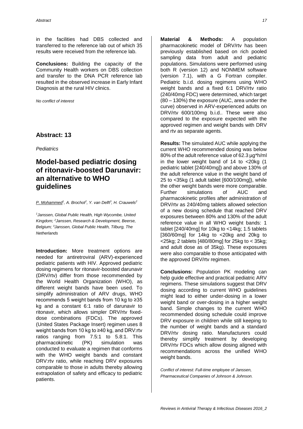in the facilities had DBS collected and transferred to the reference lab out of which 35 results were received from the reference lab.

**Conclusions:** Building the capacity of the Community Health workers on DBS collection and transfer to the DNA PCR reference lab resulted in the observed increase in Early Infant Diagnosis at the rural HIV clinics.

*No conflict of interest*

#### **Abstract: 13**

*Pediatrics*

# **Model-based pediatric dosing of ritonavir-boosted Darunavir: an alternative to WHO guidelines**

#### *P. Mohammed<sup>1</sup> , A. Brochot<sup>2</sup> , Y. van Delft<sup>3</sup> , H. Crauwels<sup>2</sup>*

*<sup>1</sup>Janssen, Global Public Health, High Wycombe, United Kingdom; <sup>2</sup>Janssen, Research & Development, Beerse, Belgium; <sup>3</sup>Janssen, Global Public Health, Tilburg, The Netherlands*

**Introduction:** More treatment options are needed for antiretroviral (ARV)-experienced pediatric patients with HIV. Approved pediatric dosing regimens for ritonavir-boosted darunavir (DRV/rtv) differ from those recommended by the World Health Organization (WHO), as different weight bands have been used. To simplify administration of ARV drugs, WHO recommends 5 weight bands from 10 kg to ≥35 kg and a constant 6:1 ratio of darunavir to ritonavir, which allows simpler DRV/rtv fixeddose combinations (FDCs). The approved (United States Package Insert) regimen uses 8 weight bands from 10 kg to ≥40 kg, and DRV:rtv ratios ranging from 7.5:1 to 5.8:1. This pharmacokinetic (PK) simulation was conducted to evaluate a regimen that conforms with the WHO weight bands and constant DRV:rtv ratio, while reaching DRV exposures comparable to those in adults thereby allowing extrapolation of safety and efficacy to pediatric patients.

**Material & Methods:** A population pharmacokinetic model of DRV/rtv has been previously established based on rich pooled sampling data from adult and pediatric populations. Simulations were performed using both R (version 12) and NONMEM software (version 7.1), with a G Fortran compiler. Pediatric b.i.d. dosing regimens using WHO weight bands and a fixed 6:1 DRV/rtv ratio (240/40mg FDC) were determined, which target (80 – 130%) the exposure (AUC, area under the curve) observed in ARV-experienced adults on DRV/rtv 600/100mg b.i.d.. These were also compared to the exposure expected with the approved regimen and weight bands with DRV and rtv as separate agents.

**Results:** The simulated AUC while applying the current WHO recommended dosing was below 80% of the adult reference value of 62.3 µg\*h/ml in the lower weight band of 14 to <20kg (1 pediatric tablet [240/40mg]) and above 130% of the adult reference value in the weight band of 25 to <35kg (1 adult tablet [600/100mg]), while the other weight bands were more comparable. Further simulations of AUC and pharmacokinetic profiles after administration of DRV/rtv as 240/40mg tablets allowed selection of a new dosing schedule that reached DRV exposures between 80% and 130% of the adult reference value in all WHO weight bands: 1 tablet  $[240/40$ mg] for 10kg to <14kg; 1.5 tablets [360/60mg] for 14kg to <20kg and 20kg to  $\langle$  <25kg; 2 tablets [480/80mg] for 25kg to  $\langle$  35kg; and adult dose as of 35kg). These exposures were also comparable to those anticipated with the approved DRV/rtv regimen.

**Conclusions:** Population PK modeling can help guide effective and practical pediatric ARV regimens. These simulations suggest that DRV dosing according to current WHO guidelines might lead to either under-dosing in a lower weight band or over-dosing in a higher weight band. Simple changes to the current WHO recommended dosing schedule could improve DRV exposure in children while still keeping to the number of weight bands and a standard DRV/rtv dosing ratio. Manufacturers could thereby simplify treatment by developing DRV/rtv FDCs which allow dosing aligned with recommendations across the unified WHO weight bands.

*Conflict of interest: Full-time employee of Janssen, Pharmaceutical Companies of Johnson & Johnson.*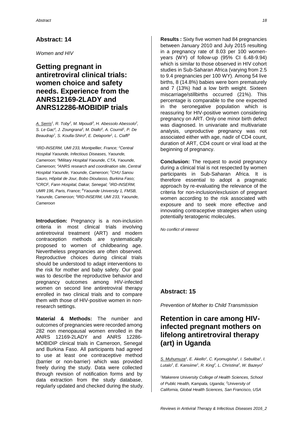*Women and HIV*

## **Getting pregnant in antiretroviral clinical trials: women choice and safety needs. Experience from the ANRS12169-2LADY and ANRS12286-MOBIDIP trials**

*A. Serris<sup>1</sup> , R. Toby<sup>2</sup> , M. Mpoudi<sup>3</sup> , H. Abessolo Abessolo<sup>2</sup> , S. Le Gac<sup>4</sup> , J. Zoungrana<sup>5</sup> , M. Diallo<sup>6</sup> , A. Cournil<sup>1</sup> , P. De Beaudrap<sup>7</sup> , S. Koulla-Shiro<sup>8</sup> , E. Delaporte<sup>1</sup> , L. Ciaffi<sup>9</sup>*

*1 IRD-INSERM, UMI 233, Montpellier, France; <sup>2</sup>Central Hospital Yaounde, Infectious Diseases, Yaounde, Cameroon; <sup>3</sup>Military Hospital Yaounde, CTA, Yaounde, Cameroon; <sup>4</sup>ANRS research and coordination site, Central Hospital Yaounde, Yaounde, Cameroon; <sup>5</sup>CHU Sanou Sauro, Hôpital de Jour, Bobo Dioulasso, Burkina Faso; <sup>6</sup>CRCF, Fann Hospital, Dakar, Senegal; <sup>7</sup> IRD-INSERM, UMR 196, Paris, France; <sup>8</sup>Yaounde University 1, FMSB, Yaounde, Cameroon; <sup>9</sup> IRD-INSERM, UMI 233, Yaounde, Cameroon*

**Introduction:** Pregnancy is a non-inclusion criteria in most clinical trials involving antiretroviral treatment (ART) and modern contraception methods are systematically proposed to women of childbearing age. Nevertheless pregnancies are often observed. Reproductive choices during clinical trials should be understood to adapt interventions to the risk for mother and baby safety. Our goal was to describe the reproductive behavior and pregnancy outcomes among HIV-infected women on second line antiretroviral therapy enrolled in two clinical trials and to compare them with those of HIV-positive women in nonresearch settings.

**Material & Methods:** The number and outcomes of pregnancies were recorded among 282 non menopausal women enrolled in the ANRS 12169-2LADY and ANRS 12286- MOBIDIP clinical trials in Cameroon, Senegal and Burkina Faso. All participants had agreed to use at least one contraceptive method (barrier or non-barrier) which was provided freely during the study. Data were collected through revision of notification forms and by data extraction from the study database, regularly updated and checked during the study.

**Results :** Sixty five women had 84 pregnancies between January 2010 and July 2015 resulting in a pregnancy rate of 8.03 per 100 womenyears (WY) of follow-up (95% CI 6.48-9.94) which is similar to those observed in HIV cohort studies in Sub-Saharan Africa (varying from 2.5 to 9.4 pregnancies per 100 WY). Among 54 live births, 8 (14.8%) babies were born prematurely and 7 (13%) had a low birth weight. Sixteen miscarriage/stillbirths occurred (21%). This percentage is comparable to the one expected in the seronegative population which is reassuring for HIV-positive women considering pregnancy on ART. Only one minor birth defect was diagnosed. In univariate and multivariate analysis, unproductive pregnancy was not associated either with age, nadir of CD4 count, duration of ART, CD4 count or viral load at the beginning of pregnancy.

**Conclusion:** The request to avoid pregnancy during a clinical trial is not respected by women participants in Sub-Saharan Africa. It is therefore essential to adopt a pragmatic approach by re-evaluating the relevance of the criteria for non-inclusion/exclusion of pregnant women according to the risk associated with exposure and to seek more effective and innovating contraceptive strategies when using potentially teratogenic molecules.

*No conflict of interest*

#### **Abstract: 15**

*Prevention of Mother to Child Transmission*

# **Retention in care among HIVinfected pregnant mothers on lifelong antiretroviral therapy (art) in Uganda**

*S. Muhumuza<sup>1</sup> , E. Akello<sup>1</sup> , C. Kyomugisha<sup>1</sup> , I. Sebuliba<sup>1</sup> , I.*  Lutalo<sup>1</sup>, E. Kansiime<sup>1</sup>, R. King<sup>2</sup>, L. Christina<sup>2</sup>, W. Bazeyo<sup>1</sup>

*<sup>1</sup>Makerere University College of Health Sciences, School of Public Health, Kampala, Uganda; <sup>2</sup>University of California, Global Health Sciences, San Francisco, USA*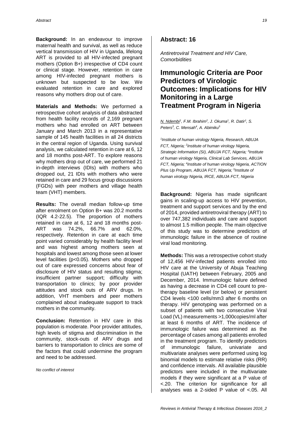**Background:** In an endeavour to improve maternal health and survival, as well as reduce vertical transmission of HIV in Uganda, lifelong ART is provided to all HIV-infected pregnant mothers (Option B+) irrespective of CD4 count or clinical stage. However, retention in care among HIV-infected pregnant mothers is unknown but suspected to be low. We evaluated retention in care and explored reasons why mothers drop out of care.

**Materials and Methods:** We performed a retrospective cohort analysis of data abstracted from health facility records of 2,169 pregnant mothers who had enrolled on ART between January and March 2013 in a representative sample of 145 health facilities in all 24 districts in the central region of Uganda. Using survival analysis, we calculated retention in care at 6, 12 and 18 months post-ART. To explore reasons why mothers drop out of care, we performed 21 in-depth interviews (IDIs) with mothers who dropped out, 21 IDIs with mothers who were retained in care and 29 focus group discussions (FGDs) with peer mothers and village health team (VHT) members.

**Results:** The overall median follow-up time after enrolment on Option B+ was 20.2 months (IQR 4.2-22.5). The proportion of mothers retained in care at 6, 12 and 18 months post-ART was 74.2%, 66.7% and 62.0%, respectively. Retention in care at each time point varied considerably by health facility level and was highest among mothers seen at hospitals and lowest among those seen at lower level facilities (p<0.05). Mothers who dropped out of care expressed concerns about fear of disclosure of HIV status and resulting stigma; insufficient partner support; difficulty with transportation to clinics; by poor provider attitudes and stock outs of ARV drugs. In addition, VHT members and peer mothers complained about inadequate support to track mothers in the community.

**Conclusion:** Retention in HIV care in this population is moderate. Poor provider attitudes, high levels of stigma and discrimination in the community, stock-outs of ARV drugs and barriers to transportation to clinics are some of the factors that could undermine the program and need to be addressed.

*No conflict of interest*

#### **Abstract: 16**

*Antiretroviral Treatment and HIV Care, Comorbidities*

# **Immunologic Criteria are Poor Predictors of Virologic Outcomes: Implications for HIV Monitoring in a Large Treatment Program in Nigeria**

*N. Ndembi<sup>1</sup> , F.M. Ibrahim<sup>2</sup> , J. Okuma<sup>1</sup> , R. Datir<sup>1</sup> , S. Peters<sup>3</sup> , C. Mensah<sup>4</sup> , A. Abimiku<sup>5</sup>*

*1 Institute of human virology Nigeria, Research, ABUJA FCT, Nigeria; <sup>2</sup> Institute of human virology Nigeria, Strategic Information (SI), ABUJA FCT, Nigeria; <sup>3</sup> Institute of human virology Nigeria, Clinical Lab Services, ABUJA FCT, Nigeria; <sup>4</sup> Institute of human virology Nigeria, ACTION Plus Up Program, ABUJA FCT, Nigeria; <sup>5</sup> Institute of human virology Nigeria, IRCE, ABUJA FCT, Nigeria*

**Background:** Nigeria has made significant gains in scaling-up access to HIV prevention, treatment and support services and by the end of 2014, provided antiretroviral therapy (ART) to over 747,382 individuals and care and support to almost 1.5 million people. The main objective of this study was to determine predictors of immunologic failure in the absence of routine viral load monitoring.

**Methods:** This was a retrospective cohort study of 12,456 HIV-infected patients enrolled into HIV care at the University of Abuja Teaching Hospital (UATH) between February, 2005 and December, 2014. Immunologic failure defined as having a decrease in CD4 cell count to pretherapy baseline level (or below) or persistent CD4 levels <100 cells/mm3 after 6 months on therapy. HIV genotyping was performed on a subset of patients with two consecutive Viral Load (VL) measurements >1,000copies/ml after at least 6 months of ART. The incidence of immunologic failure was determined as the percentage of cases among all patients enrolled in the treatment program. To identify predictors of immunologic failure, univariate and multivariate analyses were performed using log binomial models to estimate relative risks (RR) and confidence intervals. All available plausible predictors were included in the multivariate models if they were significant at a P value of <.20. The criterion for significance for all analyses was a 2-sided P value of <.05. All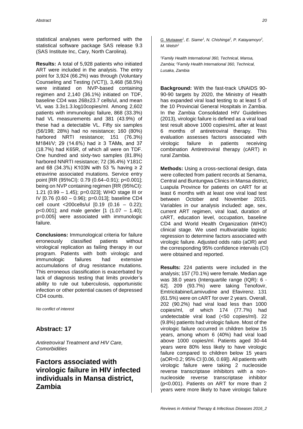statistical analyses were performed with the statistical software package SAS release 9.3 (SAS Institute Inc, Cary, North Carolina).

**Results:** A total of 5,928 patients who initiated ART were included in the analysis. The entry point for 3,924 (66.2%) was through (Voluntary Counseling and Testing (VCT)), 3,468 (58.5%) were initiated on NVP-based containing regimen and 2,140 (36.1%) initiated on TDF, baseline CD4 was 268±23.7 cells/ul, and mean VL was 3.3±1.3.log10copies/ml. Among 2,602 patients with immunologic failure, 868 (33.3%) had VL measurements and 381 (43.9%) of these had a detectable VL. Fifty six samples (56/198; 28%) had no resistance; 160 (80%) harbored NRTI resistance; 151 (76.3%) M184I/V; 29 (14.6%) had ≥ 3 TAMs, and 37 (18.7%) had K65R, of which all were on TDF. One hundred and sixty-two samples (81.8%) harbored NNRTI resistance; 72 (36.4%) Y181C and 68 (34.3%) K103N with 53 % having ≥ 2 etravirine associated mutations. Service entry point [RR (95%CI): 0.79 (0.64–0.91); p<0.001]; being on NVP containing regimen [RR (95%CI): 1.21 (0.99 – 1.45); p=0.023]; WHO stage III or IV [0.76 (0.60 – 0.96); p=0.013]; baseline CD4 cell count <200cells/ul [0.19 (0.16 – 0.22); p<0.001]; and male gender [1 (1.07 – 1.40); p=0.005] were associated with immunologic failure.

**Conclusions:** Immunological criteria for failure erroneously classified patients without virological replication as failing therapy in our program. Patients with both virologic and immunologic failures had extensive accumulations of drug resistance mutations. This erroneous classification is exacerbated by lack of diagnosis testing that limits provider's ability to rule out tuberculosis, opportunistic infection or other potential causes of depressed CD4 counts.

*No conflict of interest*

#### **Abstract: 17**

*Antiretroviral Treatment and HIV Care, Comorbidities*

# **Factors associated with virologic failure in HIV infected individuals in Mansa district, Zambia**

*G. Mutaawe<sup>1</sup> , E. Siame<sup>1</sup> , N. Chishinga<sup>2</sup> , P. Katayamoyo<sup>2</sup> , M. Welsh<sup>2</sup>*

*<sup>1</sup>Family Health International 360, Technical, Mansa, Zambia; <sup>2</sup>Family Health International 360, Technical, Lusaka, Zambia*

**Background:** With the fast-track UNAIDS 90- 90-90 targets by 2020, the Ministry of Health has expanded viral load testing to at least 5 of the 10 Provincial General Hospitals in Zambia. In the Zambia Consolidated HIV Guidelines (2013), virologic failure is defined as a viral load test result above 1000 copies/mL after at least 6 months of antiretroviral therapy. This evaluation assesses factors associated with virologic failure in patients receiving combination Antiretroviral therapy (cART) in rural Zambia.

**Methods:** Using a cross-sectional design, data were collected from patient records at Senama, Central and Buntungwa Clinics in Mansa district, Luapula Province for patients on cART for at least 6 months with at least one viral load test between October and November 2015. Variables in our analysis included: age, sex, current ART regimen, viral load, duration of cART, education level, occupation, baseline CD4 and World Health Organization (WHO) clinical stage. We used multivariable logistic regression to determine factors associated with virologic failure. Adjusted odds ratio (aOR) and the corresponding 95% confidence intervals (CI) were obtained and reported.

**Results:** 224 patients were included in the analysis; 157 (70.1%) were female. Median age was 38.0 years (Interquartile range (IQR): 6 - 62]. 209 (93.7%) were taking Tenofovir, Emtricitabine/Lamivudine and Efavirenz. 131 (61.5%) were on cART for over 2 years. Overall, 202 (90.2%) had viral load less than 1000 copies/ml, of which 174 (77.7%) had undetectable viral load (<50 copies/ml). 22 (9.8%) patients had virologic failure. Most of the virologic failure occurred in children below 15 years, among whom 6 (40%) had viral load above 1000 copies/ml. Patients aged 30-44 years were 80% less likely to have virologic failure compared to children below 15 years (aOR=0.2; 95% CI [0.06, 0.69]). All patients with virologic failure were taking 2 nucleoside reverse transcriptase inhibitors with a nonnucleoside reverse transcriptase inhibitor (p<0.001). Patients on ART for more than 2 years were more likely to have virologic failure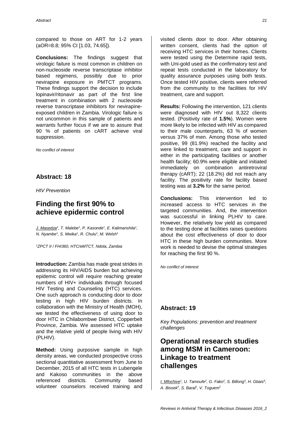compared to those on ART for 1-2 years (aOR=8.8; 95% CI [1.03, 74.65]).

**Conclusions:** The findings suggest that virologic failure is most common in children on non-nucleoside reverse transcriptase inhibitor based regimens, possibly due to prior nevirapine exposure in PMTCT programs. These findings support the decision to include lopinavir/ritonavir as part of the first line treatment in combination with 2 nucleoside reverse transcriptase inhibitors for nevirapineexposed children in Zambia. Virologic failure is not uncommon in this sample of patients and warrants further focus if we are to assure that 90 % of patients on cART achieve viral suppression.

*No conflict of interest*

#### **Abstract: 18**

*HIV Prevention*

# **Finding the first 90% to achieve epidermic control**

*J. Masedza<sup>1</sup> , T. Malebe<sup>1</sup> , P. Kasonde<sup>1</sup> , E. Kalimanshila<sup>1</sup> , N. Nyambe<sup>1</sup> , S. Mwika<sup>1</sup> , R. Chulu<sup>1</sup> , M. Welsh<sup>1</sup>*

*<sup>1</sup>ZPCT II / FHI360, HTC/eMTCT, Ndola, Zambia*

**Introduction:** Zambia has made great strides in addressing its HIV/AIDS burden but achieving epidemic control will require reaching greater numbers of HIV+ individuals through focused HIV Testing and Counseling (HTC) services. One such approach is conducting door to door testing in high HIV burden districts. In collaboration with the Ministry of Health (MOH), we tested the effectiveness of using door to door HTC in Chilabombwe District, Copperbelt Province, Zambia. We assessed HTC uptake and the relative yield of people living with HIV (PLHIV).

**Method:** Using purposive sample in high density areas, we conducted prospective cross sectional quantitative assessment from June to December, 2015 of all HTC tests in Lubengele and Kakoso communities in the above referenced districts. Community based volunteer counselors received training and

visited clients door to door. After obtaining written consent, clients had the option of receiving HTC services in their homes. Clients were tested using the Determine rapid tests, with Uni-gold used as the confirmatory test and repeat tests conducted in the laboratory for quality assurance purposes using both tests. Once tested HIV positive, clients were referred from the community to the facilities for HIV treatment, care and support.

**Results:** Following the intervention, 121 clients were diagnosed with HIV out 8,322 clients tested. (Positivity rate of **1.5%**). Women were more likely to be infected with HIV as compared to their male counterparts, 63 % of women versus 37% of men. Among those who tested positive, 99 (81.9%) reached the facility and were linked to treatment, care and support in either in the participating facilities or another health facility; 60.9% were eligible and initiated immediately on combination antiretroviral therapy (cART); 22 (18.2%) did not reach any facility. The positivity rate for facility based testing was at **3.2%** for the same period.

**Conclusions:** This intervention led to increased access to HTC services in the targeted communities. And, the intervention was successful in linking PLHIV to care. However, the relatively low yield as compared to the testing done at facilities raises questions about the cost effectiveness of door to door HTC in these high burden communities. More work is needed to devise the optimal strategies for reaching the first 90 %.

*No conflict of interest*

#### **Abstract: 19**

*Key Populations: prevention and treatment challenges*

# **Operational research studies among MSM in Cameroon: Linkage to treatment challenges**

*I. Mfochive<sup>1</sup> , U. Tamoufe<sup>2</sup> , G. Fako<sup>2</sup> , S. Billong<sup>3</sup> , H. Gbais<sup>4</sup> , A. Bissek<sup>5</sup> , S. Baral<sup>1</sup> , V. Toguem2*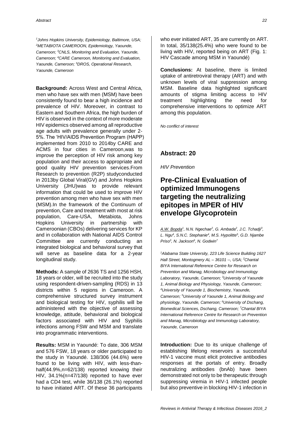*<sup>1</sup>Johns Hopkins University, Epidemiology, Baltimore, USA; <sup>2</sup>METABIOTA CAMEROON, Epidemiology, Yaounde, Cameroon; <sup>3</sup>CNLS, Monitoring and Evaluation, Yaounde, Cameroon; <sup>4</sup>CARE Cameroon, Monitoring and Evaluation, Yaounde, Cameroon; <sup>5</sup>DROS, Operational Research, Yaounde, Cameroon*

**Background:** Across West and Central Africa, men who have sex with men (MSM) have been consistently found to bear a high incidence and prevalence of HIV. Moreover, in contrast to Eastern and Southern Africa, the high burden of HIV is observed in the context of more moderate HIV epidemics observed among all reproductive age adults with prevalence generally under 2- 5%. The 'HIV/AIDS Prevention Program (HAPP) implemented from 2010 to 2014by CARE and ACMS in four cities in Cameroon,was to improve the perception of HIV risk among key population and their access to appropriate and good quality HIV prevention services.From Research to prevention (R2P) studyconducted in 2013by Global Viral(GV) and Johns Hopkins University (JHU)was to provide relevant information that could be used to improve HIV prevention among men who have sex with men (MSM).In the framework of the Continuum of prevention, Care and treatment with most at risk population, Care-USA, Metabiota, Johns Hopkins University in partnership with Cameroonian (CBOs) delivering services for KP and in collaboration with National AIDS Control Committee are currently conducting an integrated biological and behavioral survey that will serve as baseline data for a 2-year longitudinal study.

**Methods:** A sample of 2636 TS and 1256 HSH, 18 years or older, will be recruited into the study using respondent-driven-sampling (RDS) in 13 districts within 5 regions in Cameroon. A comprehensive structured survey instrument and biological testing for HIV, syphilis will be administered with the objective of assessing knowledge, attitude, behavioral and biological factors associated with HIV and Syphilis infections among FSW and MSM and translate into programmatic interventions.

**Results:** MSM in Yaoundé: To date, 306 MSM and 576 FSW, 18 years or older participated to the study in Yaoundé. 138/306 (44.6%) were found to be living with HIV, with less-thanhalf(44.9%,n=62/138) reported knowing their HIV, 34.1%(n=47/138) reported to have ever had a CD4 test, while 36/138 (26.1%) reported to have initiated ART. Of these 36 participants

who ever initiated ART, 35 are currently on ART. In total, 35/138(25.4%) who were found to be living with HIV, reported being on ART (Fig. 1: HIV Cascade among MSM in Yaoundé)

**Conclusions:** At baseline, there is limited uptake of antiretroviral therapy (ART) and with unknown levels of viral suppression among MSM. Baseline data highlighted significant amounts of stigma limiting access to HIV treatment highlighting the need for comprehensive interventions to optimize ART among this population.

*No conflict of interest*

#### **Abstract: 20**

*HIV Prevention*

### **Pre-Clinical Evaluation of optimized Immunogens targeting the neutralizing epitopes in MPER of HIV envelope Glycoprotein**

*A.W. Bopda<sup>1</sup> , N.N. Ngechae<sup>2</sup> , G. Ambada<sup>2</sup> , J.C. Tchadji<sup>3</sup> , L. Ngu<sup>4</sup> , S.N.C. Stephanie<sup>4</sup> , M.S. Hypolitte<sup>5</sup> , G.D. Njambe Priso<sup>3</sup> , N. Jackson<sup>6</sup> , N. Godwin<sup>7</sup>*

*<sup>1</sup>Alabama State University, 223 Life Science Building 1627 Hall Street, Montogmery AL – 36101 --, USA; <sup>2</sup>Chantal BIYA International Reference Centre for Research on Prevention and Manag, Microbiology and Immunology Laboratory, Yaounde, Cameroon; <sup>3</sup>University of Yaounde 1, Animal Biology and Physiology, Yaounde, Cameroon; <sup>4</sup>University of Yaounde 1, Biochemistry, Yaounde, Cameroon; <sup>5</sup>University of Yaounde 1, Animal Biology and physiology, Yaounde, Cameroon; <sup>6</sup>University of Dschang, Biomedical Sciences, Dschang, Cameroon; <sup>7</sup>Chantal BIYA International Reference Centre for Research on Prevention and Manag, Microbiiology and Immunology Laboratory, Yaounde, Cameroon*

**Introduction:** Due to its unique challenge of establishing lifelong reservoirs a successful HIV-1 vaccine must elicit protective antibodies responses at the portals of entry. Broadly neutralizing antibodies (bnAb) have been demonstrated not only to be therapeutic through suppressing viremia in HIV-1 infected people but also preventive in blocking HIV-1 infection in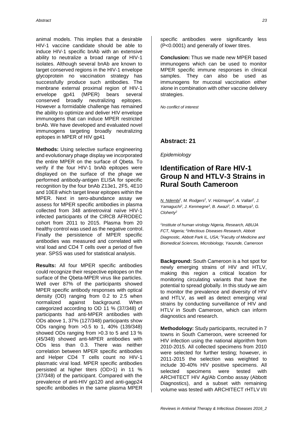animal models. This implies that a desirable HIV-1 vaccine candidate should be able to induce HIV-1 specific bnAb with an extensive ability to neutralize a broad range of HIV-1 isolates. Although several bnAb are known to target conserved regions in the HIV-1 envelope glycoprotein no vaccination strategy has successfully produce such antibodies. The menbrane external proximal region of HIV-1 envelope gp41 (MPER) bears several conserved broadly neutralizing epitopes. However a formidable challenge has remained the ability to optimize and deliver HIV envelope immunogens that can induce MPER restricted bnAb. We have developed and evaluated novel immunogens targeting broadly neutralizing epitopes in MPER of HIV gp41

**Methods:** Using selective surface engineering and evolutionary phage display we incorporated the entire MPER on the surface of Qbeta. To verify if the four HIV-1 bnAb epitopes were displayed on the surface of the phage we performed antibody-antigen ELISA for specific recognition by the four bnAb Z13e1, 2F5, 4E10 and 10E8 which target linear epitopes within the MPER. Next in sero-abundance assay we assess for MPER specific antibodies in plasma collected from 348 antiretroviral naïve HIV-1 infected participants of the CIRCB AFRODEC cohort from 2011 to 2015. Plasma from 20 healthy control was used as the negative control. Finally the persistence of MPER specific antibodies was measured and correlated with viral load and CD4 T cells over a period of five year. SPSS was used for statistical analysis.

**Results:** All four MPER specific antibodies could recognize their respective epitopes on the surface of the Qbeta-MPER virus like particles. Well over 87% of the participants showed MPER specific antibody responses with optical density (OD) ranging from 0.2 to 2.5 when normalized against background. When categorized according to OD 11 % (37/348) of participants had anti-MPER antibodies with ODs above 1, 37% (127/348) participants show ODs ranging from >0.5 to 1, 40% (139/348) showed ODs ranging from >0.3 to 5 and 13 % (45/348) showed anti-MPER antibodies with ODs less than 0.3. There was neither correlation between MPER specific antibodies and Helper CD4 T cells count no HIV-1 plasmatic viral load. MPER specific antibodies persisted at higher titers (OD>1) in 11 % (37/348) of the participant. Compared with the prevalence of anti-HIV gp120 and anti-gagp24 specific antibodies in the same plasma MPER

specific antibodies were significantly less (P<0.0001) and generally of lower titres.

**Conclusion:** Thus we made new MPER based immunogens which can be used to monitor MPER specific immune responses in clinical samples. They can also be used as immunogens for mucosal vaccination either alone in combination with other vaccine delivery strategies.

*No conflict of interest*

#### **Abstract: 21**

*Epidemiology*

# **Identification of Rare HIV-1 Group N and HTLV-3 Strains in Rural South Cameroon**

*N. Ndembi<sup>1</sup> , M. Rodgers<sup>2</sup> , V. Holzmayer<sup>2</sup> , A. Vallari<sup>2</sup> , J. Yamaguchi<sup>2</sup> , J. Kenmegne<sup>3</sup> , B. Awazi<sup>3</sup> , D. Mbanya<sup>3</sup> , G. Cloherty<sup>2</sup>*

*1 Institute of human virology Nigeria, Research, ABUJA FCT, Nigeria; <sup>2</sup> Infectious Diseases Research, Abbott Diagnostic, Abbott Park IL, USA; <sup>3</sup>Faculty of Medicine and Biomedical Sciences, Microbiology, Yaounde, Cameroon*

**Background:** South Cameroon is a hot spot for newly emerging strains of HIV and HTLV, making this region a critical location for monitoring circulating variants that have the potential to spread globally. In this study we aim to monitor the prevalence and diversity of HIV and HTLV, as well as detect emerging viral strains by conducting surveillance of HIV and HTLV in South Cameroon, which can inform diagnostics and research.

**Methodology:** Study participants, recruited in 7 towns in South Cameroon, were screened for HIV infection using the national algorithm from 2010-2015. All collected specimens from 2010 were selected for further testing; however, in 2011-2015 the selection was weighted to include 30-40% HIV positive specimens. All selected specimens were tested with ARCHITECT HIV Ag/Ab Combo assay (Abbott Diagnostics), and a subset with remaining volume was tested with ARCHITECT rHTLV I/II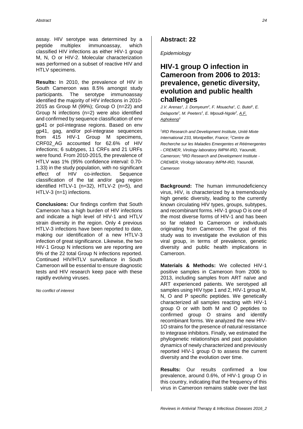assay. HIV serotype was determined by a peptide multiplex immunoassay, which classified HIV infections as either HIV-1 group M, N, O or HIV-2. Molecular characterization was performed on a subset of reactive HIV and HTLV specimens.

**Results:** In 2010, the prevalence of HIV in South Cameroon was 8.5% amongst study participants. The serotype immunoassay identified the majority of HIV infections in 2010- 2015 as Group M (99%); Group O (n=22) and Group N infections (n=2) were also identified and confirmed by sequence classification of env gp41 or pol-integrase regions. Based on env gp41, gag, and/or pol-integrase sequences from 415 HIV-1 Group M specimens, CRF02\_AG accounted for 62.6% of HIV infections; 6 subtypes, 11 CRFs and 21 URFs were found. From 2010-2015, the prevalence of HTLV was 1% (95% confidence interval: 0.70- 1.33) in the study population, with no significant effect of HIV co-infection. Sequence classification of the tat and/or gag region identified HTLV-1 (n=32), HTLV-2 (n=5), and HTLV-3 (n=1) infections.

**Conclusions:** Our findings confirm that South Cameroon has a high burden of HIV infections and indicate a high level of HIV-1 and HTLV strain diversity in the region. Only 4 previous HTLV-3 infections have been reported to date, making our identification of a new HTLV-3 infection of great significance. Likewise, the two HIV-1 Group N infections we are reporting are 9% of the 22 total Group N infections reported. Continued HIV/HTLV surveillance in South Cameroon will be essential to ensure diagnostic tests and HIV research keep pace with these rapidly evolving viruses.

*No conflict of interest*

#### **Abstract: 22**

*Epidemiology*

# **HIV-1 group O infection in Cameroon from 2006 to 2013: prevalence, genetic diversity, evolution and public health challenges**

*J.V. Arenas<sup>1</sup> , J. Domyeum<sup>2</sup> , F. Mouacha<sup>1</sup> , C. Butel<sup>1</sup> , E. Delaporte<sup>1</sup> , M. Peeters<sup>1</sup> , E. Mpoudi-Ngole<sup>2</sup> , A.F. Aghokeng<sup>3</sup>*

*1 IRD Research and Development Institute, Unité Mixte International 233, Montpellier, France; <sup>2</sup>Centre de Recherche sur les Maladies Emergentes et Réémergentes - CREMER, Virology laboratory IMPM-IRD, Yaoundé, Cameroon; <sup>3</sup> IRD Research and Development Institute - CREMER, Virology laboratory IMPM-IRD, Yaoundé, Cameroon*

**Background:** The human immunodeficiency virus, HIV, is characterized by a tremendously high genetic diversity, leading to the currently known circulating HIV types, groups, subtypes, and recombinant forms. HIV-1 group O is one of the most diverse forms of HIV-1 and has been so far related to Cameroon or individuals originating from Cameroon. The goal of this study was to investigate the evolution of this viral group, in terms of prevalence, genetic diversity and public health implications in Cameroon.

**Materials & Methods:** We collected HIV-1 positive samples in Cameroon from 2006 to 2013, including samples from ART naïve and ART experienced patients. We serotyped all samples using HIV type 1 and 2, HIV-1 group M, N, O and P specific peptides. We genetically characterized all samples reacting with HIV-1 group O or with both M and O peptides to confirmed group O strains and identify recombinant forms. We analyzed the new HIV-1O strains for the presence of natural resistance to integrase inhibitors. Finally, we estimated the phylogenetic relationships and past population dynamics of newly characterized and previously reported HIV-1 group O to assess the current diversity and the evolution over time.

**Results:** Our results confirmed a low prevalence, around 0.6%, of HIV-1 group O in this country, indicating that the frequency of this virus in Cameroon remains stable over the last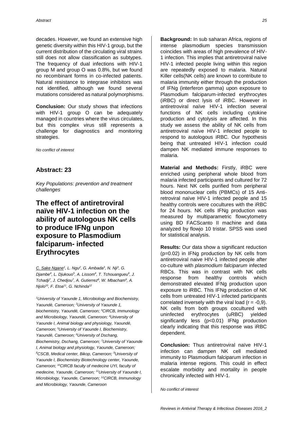decades. However, we found an extensive high genetic diversity within this HIV-1 group, but the current distribution of the circulating viral strains still does not allow classification as subtypes. The frequency of dual infections with HIV-1 group M and group O was 0.8%, but we found no recombinant forms in co-infected patients. Natural resistance to integrase inhibitors was not identified, although we found several mutations considered as natural polymorphisms.

**Conclusion:** Our study shows that infections with HIV-1 group O can be adequately managed in countries where the virus circulates, but this complex virus still represents a challenge for diagnostics and monitoring strategies.

*No conflict of interest*

#### **Abstract: 23**

*Key Populations: prevention and treatment challenges*

# **The effect of antiretroviral naïve HIV-1 infection on the ability of autologous NK cells to produce IFNg unpon exposure to Plasmodium falciparum- infected Erythrocytes**

*C. Sake Ngane<sup>1</sup> , L. Ngu<sup>2</sup> , G. Ambada<sup>3</sup> , N. Nji<sup>3</sup> , G. Djambe<sup>4</sup> , L. Djukouo<sup>5</sup> , A. Lissom<sup>4</sup> , T. Tchouangueu<sup>6</sup> , J. Tchadji<sup>7</sup> , J. Chedjou<sup>7</sup> , A. Gutierrez<sup>8</sup> , W. Mbacham<sup>9</sup> , A. Njolo<sup>10</sup>, F. Etoa<sup>11</sup>, G. Nchinda<sup>12</sup>*

*<sup>1</sup>University of Yaounde 1, Microbiology and Biochemistry, Yaoundé, Cameroon; <sup>2</sup>University of Yaounde 1, biochemistry, Yaoundé, Cameroon; <sup>3</sup>CIRCB, Immunology and Microbiology, Yaoundé, Cameroon; <sup>4</sup>University of Yaounde I, Animal biology and physiology, Yaoundé, Cameroon; <sup>5</sup>University of Yaounde I, Biochemistry, Yaoundé, Cameroon; <sup>6</sup>University of Dschang, Biochemistry, Dschang, Cameroon; <sup>7</sup>University of Yaounde I, Animal biology and physiology, Yaounde, Cameroon; <sup>8</sup>CSCB, Medical center, Bikop, Cameroon; <sup>9</sup>University of Yaounde I, Biochemistry Biotechnology center, Yaounde, Cameroon; <sup>10</sup>CIRCB faculty of medecine UYI, faculty of medecine, Yaounde, Cameroon; <sup>11</sup>University of Yaounde I, Microbiology, Yaounde, Cameroon; <sup>12</sup>CIRCB, Immunology and Microbiology, Yaounde, Cameroon*

**Background:** In sub saharan Africa, regions of intense plasmodium species transmission coincides with areas of high prevalence of HIV-1 infection. This implies that antiretroviral naïve HIV-1 infected people living within this region are repeatedly exposed to malaria. Natural Killer cells(NK cells) are known to contribute to malaria immunity either through the production of IFNg (interferon gamma) upon exposure to Plasmodium falciparum-infected erythrocytes (iRBC) or direct lysis of iRBC. However in antiretroviral naïve HIV-1 infection several functions of NK cells including cytokine production and cytolysis are affected. In this study we assess the ability of NK cells from antiretroviral naïve HIV-1 infected people to respond to autologous iRBC. Our hypothesis being that untreated HIV-1 infection could dampen NK mediated immune responses to malaria.

**Material and Methods:** Firstly, iRBC were enriched using peripheral whole blood from malaria infected participants and cultured for 72 hours. Next NK cells purified from peripheral blood mononuclear cells (PBMCs) of 15 Antiretroviral naïve HIV-1 infected people and 15 healthy controls were cocultures with the iRBC for 24 hours. NK cells IFNg production was measured by multiparametric flowcytometry using BD FACScanto II machine and data analyzed by flowjo 10 tristar. SPSS was used for statistical analysis.

**Results:** Our data show a significant reduction (p=0.02) in IFNg production by NK cells from antiretroviral naive HIV-1 infected people after co-culture with *plasmodium falciparum* infected RBCs. This was in contrast with NK cells response from healthy controls which demonstrated elevated IFNg production upon exposure to iRBC. This IFNg production of NK cells from untreated HIV-1 infected participants correlated inversely with the viral load  $(r = -0.9)$ . NK cells from both groups cocultured with uninfected erythrocytes (uRBC) yielded significantly less (p<0.01) IFNg production clearly indicating that this response was iRBC dependent.

**Conclusion:** Thus antiretroviral naïve HIV-1 infection can dampen NK cell mediated immunity to Plasmodium falciparum infection in malaria intense regions. This could in effect escalate morbidity and mortality in people chronically infected with HIV-1.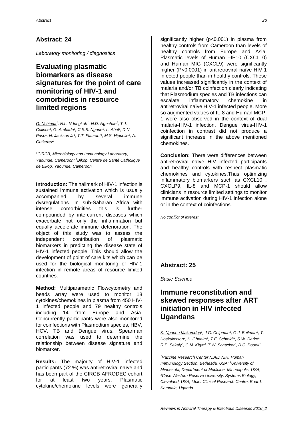*Laboratory monitoring / diagnostics*

# **Evaluating plasmatic biomarkers as disease signatures for the point of care monitoring of HIV-1 and comorbidies in resource limited regions**

*G. Nchinda<sup>1</sup> , N.L. Ndengkoh<sup>1</sup> , N.D. Ngechae<sup>1</sup> , T.J. Colince<sup>1</sup> , G. Ambada<sup>1</sup> , C.S.S. Ngane<sup>1</sup> , L. Abel<sup>1</sup> , D.N. Priso<sup>1</sup> , N. Jackson Jr<sup>1</sup> , T.T. Flaurant<sup>1</sup> , M.S. Hippolie<sup>1</sup> , A. Gutierrez<sup>2</sup>*

*<sup>1</sup>CIRCB, Microbiology and Immunology Laboratory, Yaounde, Cameroon; <sup>2</sup>Bikop, Centre de Santé Catholique de Bikop, Yaounde, Cameroon*

**Introduction:** The hallmark of HIV-1 infection is sustained immune activation which is usually accompanied by several immune dysregulations. In sub-Saharan Africa with intense comorbidities this is further compounded by intercurrent diseases which exacerbate not only the inflammation but equally accelerate immune deterioration. The object of this study was to assess the independent contribution of plasmatic biomarkers in predicting the disease state of HIV-1 infected people. This should allow the development of point of care kits which can be used for the biological monitoring of HIV-1 infection in remote areas of resource limited countries.

**Method:** Multiparametric Flowcytometry and beads array were used to monitor 18 cytokines/chemokines in plasma from 450 HIV-1 infected people and 79 healthy controls including 14 from Europe and Asia. Concurrently participants were also monitored for coinfections with Plasmodium species, HBV, HCV, TB and Dengue virus. Spearman correlation was used to determine the relationship between disease signature and biomarker.

**Results:** The majority of HIV-1 infected participants (72 %) was antiretroviral naïve and has been part of the CIRCB AFRODEC cohort for at least two years. Plasmatic cytokine/chemokine levels were generally

significantly higher (p<0.001) in plasma from healthy controls from Cameroon than levels of healthy controls from Europe and Asia. Plasmatic levels of Human –IP10 (CXCL10) and Human MIG (CXCL9) were significantly higher (P<0.0001) in antiretroviral naïve HIV-1 infected people than in healthy controls. These values increased significantly in the context of malaria and/or TB coinfection clearly indicating that Plasmodium species and TB infections can escalate inflammatory chemokine in antiretroviral naïve HIV-1 infected people. More so augmented values of IL-8 and Human MCP-1 were also observed in the context of dual malaria-HIV-1 infection. Dengue virus-HIV-1 coinfection in contrast did not produce a significant increase in the above mentioned chemokines.

**Conclusion:** There were differences between antiretroviral naïve HIV infected participants and healthy controls with respect plasmatic chemokines and cytokines.Thus optimizing inflammatory biomarkers such as CXCL10 , CXCLP9, IL-8 and MCP-1 should allow clinicians in resource limited settings to monitor immune activation during HIV-1 infection alone or in the context of coinfections.

*No conflict of interest*

### **Abstract: 25**

*Basic Science*

# **Immune reconstitution and skewed responses after ART initiation in HIV infected Ugandans**

*K. Nganou Makamdop<sup>1</sup> , J.G. Chipman<sup>2</sup> , G.J. Beilman<sup>2</sup> , T. Hoskuldsson<sup>2</sup>*, *K. Ghneim<sup>3</sup>*, *T.E. Schmidf<sup>2</sup>*, *S.W. Darko<sup>1</sup>*, *R.P. Sekaly<sup>3</sup> , C.M. Kityo<sup>4</sup> , T.W. Schacker<sup>2</sup> , D.C. Douek<sup>1</sup>*

*<sup>1</sup>Vaccine Research Center NIAID NIH, Human Immunology Section, Bethesda, USA; <sup>2</sup>University of Minnesota, Department of Medicine, Minneapolis, USA; <sup>3</sup>Case Western Reserve University, Systems Biology, Cleveland, USA; <sup>4</sup>Joint Clinical Research Centre, Board, Kampala, Uganda*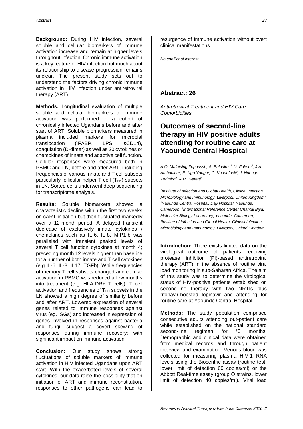**Background:** During HIV infection, several soluble and cellular biomarkers of immune activation increase and remain at higher levels throughout infection. Chronic immune activation is a key feature of HIV infection but much about its relationship to disease progression remains unclear. The present study sets out to understand the factors driving chronic immune activation in HIV infection under antiretroviral therapy (ART).

**Methods:** Longitudinal evaluation of multiple soluble and cellular biomarkers of immune activation was performed in a cohort of chronically infected Ugandans before and after start of ART. Soluble biomarkers measured in plasma included markers for microbial translocation (IFABP, LPS, sCD14), coagulation (D-dimer) as well as 20 cytokines or chemokines of innate and adaptive cell function. Cellular responses were measured both in PBMC and LN, before and after ART, including frequencies of various innate and T cell subsets, particularly follicular helper  $T$  cell  $(T_{FH})$  subsets in LN. Sorted cells underwent deep sequencing for transcriptome analysis.

**Results:** Soluble biomarkers showed a characteristic decline within the first two weeks on cART initiation but then fluctuated markedly over a 12-month period. A delayed transient decrease of exclusively innate cytokines / chemokines such as IL-6, IL-8, MIP1-b was paralleled with transient peaked levels of several T cell function cytokines at month 4; preceding month 12 levels higher than baseline for a number of both innate and T cell cytokines (e.g IL-6, IL-8, IL17, TGFb). While frequencies of memory T cell subsets changed and cellular activation in PBMC was reduced a few months into treatment (e.g. HLA-DR+ T cells), T cell activation and frequencies of  $T<sub>FH</sub>$  subsets in the LN showed a high degree of similarity before and after ART. Lowered expression of several genes related to immune responses against virus (eg. ISGs) and increased in expression of genes involved in responses against bacteria and fungi, suggest a covert skewing of responses during immune recovery; with significant impact on immune activation.

**Conclusion:** Our study shows strong fluctuations of soluble markers of immune activation in HIV infected Ugandans upon ART start. With the exacerbated levels of several cytokines, our data raise the possibility that on initiation of ART and immune reconstitution, responses to other pathogens can lead to

resurgence of immune activation without overt clinical manifestations.

*No conflict of interest*

#### **Abstract: 26**

*Antiretroviral Treatment and HIV Care, Comorbidities*

# **Outcomes of second-line therapy in HIV positive adults attending for routine care at Yaoundé Central Hospital**

*A.O. Mafotsing Fopoussi<sup>1</sup> , A. Beloukas<sup>1</sup> , V. Fokom<sup>2</sup> , J.A. Ambanibe<sup>2</sup> , E. Ngo Yonga<sup>2</sup> , C. Kouanfack<sup>2</sup> , J. Ndongo Torimiro<sup>3</sup> , A.M. Geretti<sup>4</sup>*

*1 Institute of Infection and Global Health, Clinical Infection Microbiology and Immunology, Liverpool, United Kingdom; <sup>2</sup>Yaounde Central Hospital, Day Hospital, Yaounde, Cameroon; <sup>3</sup> International Reference Center Chantal Biya, Molecular Biology Laboratory, Yaounde, Cameroon; 4 Institue of Infection and Global Health, Clinical Infection Microbiology and Immunology, Liverpool, United Kingdom*

**Introduction:** There exists limited data on the virological outcome of patients receiving protease inhibitor (PI)-based antiretroviral therapy (ART) in the absence of routine viral load monitoring in sub-Saharan Africa. The aim of this study was to determine the virological status of HIV-positive patients established on second-line therapy with two NRTIs plus ritonavir-boosted lopinavir and attending for routine care at Yaoundé Central Hospital.

**Methods:** The study population comprised consecutive adults attending out-patient care while established on the national standard second-line regimen for <sup>36</sup> months. Demographic and clinical data were obtained from medical records and through patient interview and examination. Venous blood was collected for measuring plasma HIV-1 RNA levels using the Biocentric assay (routine test, lower limit of detection 60 copies/ml) or the Abbott Real-time assay (group O strains, lower limit of detection 40 copies/ml). Viral load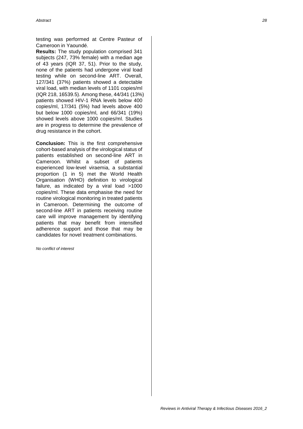testing was performed at Centre Pasteur of Cameroon in Yaoundé.

**Results:** The study population comprised 341 subjects (247, 73% female) with a median age of 43 years (IQR 37, 51). Prior to the study, none of the patients had undergone viral load testing while on second-line ART. Overall, 127/341 (37%) patients showed a detectable viral load, with median levels of 1101 copies/ml (IQR 218, 16539.5). Among these, 44/341 (13%) patients showed HIV-1 RNA levels below 400 copies/ml, 17/341 (5%) had levels above 400 but below 1000 copies/ml, and 66/341 (19%) showed levels above 1000 copies/ml. Studies are in progress to determine the prevalence of drug resistance in the cohort.

**Conclusion:** This is the first comprehensive cohort-based analysis of the virological status of patients established on second-line ART in Cameroon. Whilst a subset of patients experienced low-level viraemia, a substantial proportion (1 in 5) met the World Health Organisation (WHO) definition to virological failure, as indicated by a viral load >1000 copies/ml. These data emphasise the need for routine virological monitoring in treated patients in Cameroon. Determining the outcome of second-line ART in patients receiving routine care will improve management by identifying patients that may benefit from intensified adherence support and those that may be candidates for novel treatment combinations.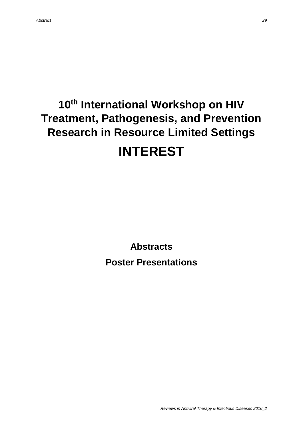# **10th International Workshop on HIV Treatment, Pathogenesis, and Prevention Research in Resource Limited Settings INTEREST**

**Abstracts**

**Poster Presentations**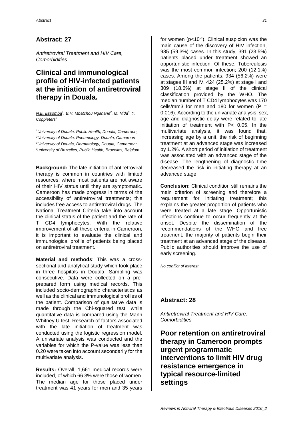*Antiretroviral Treatment and HIV Care, Comorbidities*

# **Clinical and immunological profile of HIV-infected patients at the initiation of antiretroviral therapy in Douala.**

*N.E. Essomba<sup>1</sup> , B.H. Mbatchou Ngahane<sup>2</sup> , M. Nida<sup>3</sup> , Y. Coppieters<sup>4</sup>*

*University of Douala, Public Health, Douala, Cameroon; University of Douala, Pneumology, Douala, Cameroon University of Douala, Dermatology, Douala, Cameroon; university of Bruxelles, Public Health, Bruxelles, Belgium*

**Background:** The late initiation of antiretroviral therapy is common in countries with limited resources, where most patients are not aware of their HIV status until they are symptomatic. Cameroon has made progress in terms of the accessibility of antiretroviral treatments; this includes free access to antiretroviral drugs. The National Treatment Criteria take into account the clinical status of the patient and the rate of T CD4 lymphocytes. With the relative improvement of all these criteria in Cameroon, it is important to evaluate the clinical and immunological profile of patients being placed on antiretroviral treatment.

**Material and methods**: This was a crosssectional and analytical study which took place in three hospitals in Douala. Sampling was consecutive. Data were collected on a preprepared form using medical records. This included socio-demographic characteristics as well as the clinical and immunological profiles of the patient. Comparison of qualitative data is made through the Chi-squared test, while quantitative data is compared using the Mann Whitney U test. Research of factors associated with the late initiation of treatment was conducted using the logistic regression model. A univariate analysis was conducted and the variables for which the P-value was less than 0.20 were taken into account secondarily for the multivariate analysis.

**Results:** Overall, 1,661 medical records were included, of which 66.3% were those of women. The median age for those placed under treatment was 41 years for men and 35 years

for women (p<10-4 ). Clinical suspicion was the main cause of the discovery of HIV infection, 985 (59.3%) cases. In this study, 391 (23.5%) patients placed under treatment showed an opportunistic infection. Of these, Tuberculosis was the most common infection; 200 (12.1%) cases. Among the patients, 934 (56.2%) were at stages III and IV, 424 (25.2%) at stage I and 309 (18.6%) at stage II of the clinical classification provided by the WHO. The median number of T CD4 lymphocytes was 170 cells/mm3 for men and 180 for women ( $P =$ 0.016). According to the univariate analysis, sex, age and diagnostic delay were related to late initiation of treatment with P< 0.05. In the multivariate analysis, it was found that, increasing age by a unit, the risk of beginning treatment at an advanced stage was increased by 1.2%. A short period of initiation of treatment was associated with an advanced stage of the disease. The lengthening of diagnostic time decreased the risk in initiating therapy at an advanced stage.

**Conclusion:** Clinical condition still remains the main criterion of screening and therefore a requirement for initiating treatment; this explains the greater proportion of patients who were treated at a late stage. Opportunistic infections continue to occur frequently at the onset. Despite the dissemination of the recommendations of the WHO and free treatment, the majority of patients begin their treatment at an advanced stage of the disease. Public authorities should improve the use of early screening.

*No conflict of interest*

#### **Abstract: 28**

*Antiretroviral Treatment and HIV Care, Comorbidities*

**Poor retention on antiretroviral therapy in Cameroon prompts urgent programmatic interventions to limit HIV drug resistance emergence in typical resource-limited settings**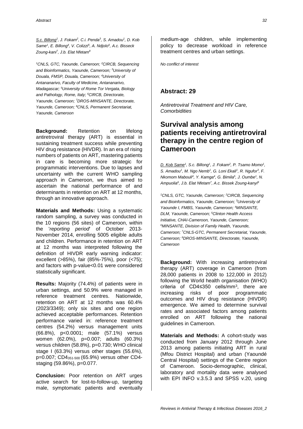*S.c. Billong<sup>1</sup> , J. Fokam<sup>2</sup> , C.i. Penda<sup>3</sup> , S. Amadou 1 , D. Kob Same<sup>1</sup> , E. Billong<sup>4</sup> , V. Colizzi<sup>5</sup> , A. Ndjolo<sup>6</sup> , A.c. Bisseck Zoung-kani<sup>7</sup> , J.b. Elat Nfetam<sup>8</sup>*

*<sup>1</sup>CNLS, GTC, Yaounde, Cameroon; <sup>2</sup>CIRCB, Sequencing and Bioinformatics, Yaounde, Cameroon; <sup>3</sup>University of Douala, FMSP, Douala, Cameroon; <sup>4</sup>University of Antananarivo, Faculty of Medicine, Antananarivo, Madagascar; <sup>5</sup>University of Rome Tor Vergata, Biology and Pathology, Rome, Italy; <sup>6</sup>CIRCB, Directorate, Yaounde, Cameroon; <sup>7</sup>DROS-MINSANTE, Directorate, Yaounde, Cameroon; <sup>8</sup>CNLS, Permanent Secretariat, Yaounde, Cameroon*

**Background:** Retention on lifelong antiretroviral therapy (ART) is essential in sustaining treatment success while preventing HIV drug resistance (HIVDR). In an era of rising numbers of patients on ART, mastering patients in care is becoming more strategic for programmatic interventions. Due to lapses and uncertainty with the current WHO sampling approach in Cameroon, we thus aimed to ascertain the national performance of and determinants in retention on ART at 12 months, through an innovative approach.

**Materials and Methods:** Using a systematic random sampling, a survey was conducted in the 10 regions (56 sites) of Cameroon, within the '*reporting period*' of October 2013- November 2014, enrolling 5005 eligible adults and children. Performance in retention on ART at 12 months was interpreted following the definition of HIVDR early warning indicator: excellent (>85%), fair (85%-75%), poor (<75); and factors with p-value<0.01 were considered statistically significant.

**Results:** Majority (74.4%) of patients were in urban settings, and 50.9% were managed in reference treatment centres. Nationwide, retention on ART at 12 months was 60.4% (2023/3349); only six sites and one region achieved acceptable performances. Retention performance varied in: reference treatment centres (54.2%) versus management units (66.8%), p<0.0001; male (57.1%) versus women (62.0%), p=0.007; adults (60.3%) versus children (58.8%), p=0.730; WHO clinical stage I (63.3%) versus other stages (55.6%), p=0.007; CD4351-500 (65.9%) versus other CD4 staging (59.86%), p=0.077.

**Conclusion:** Poor retention on ART urges active search for lost-to-follow-up, targeting male, symptomatic patients and eventually

medium-age children, while implementing policy to decrease workload in reference treatment centres and urban settings.

*No conflict of interest*

#### **Abstract: 29**

*Antiretroviral Treatment and HIV Care, Comorbidities*

### **Survival analysis among patients receiving antiretroviral therapy in the centre region of Cameroon**

*D. Kob Same<sup>1</sup> , S.c. Billong<sup>1</sup> , J. Fokam<sup>2</sup> , P. Tsamo Momo<sup>1</sup> , S. Amadou<sup>1</sup> , M. Ngo Nemb<sup>1</sup> , G. Loni Ekali<sup>1</sup> , R. Ngufor<sup>3</sup> , F. Nkomom Mabouli<sup>4</sup> , Y. Kamga<sup>4</sup> , G. Bimila<sup>5</sup> , J. Oumbe<sup>1</sup> , N. Ampuolia<sup>6</sup> , J.b. Elat Nfetam<sup>7</sup> , A.c. Bissek Zoung-kanyi<sup>8</sup>*

*<sup>1</sup>CNLS, GTC, Yaounde, Cameroon; <sup>2</sup>CIRCB, Sequencing and Bioinformatics, Yaounde, Cameroon; <sup>3</sup>University of Yaounde I, FMBS, Yaounde, Cameroon; <sup>4</sup>MINSANTE, DLM, Yaounde, Cameroon; <sup>5</sup>Clinton Health Access Initiative, CHAI-Cameroon, Yaounde, Cameroon; <sup>6</sup>MINSANTE, Division of Family Health, Yaounde, Cameroon; <sup>7</sup>CNLS-GTC, Permanent Secretariat, Yaounde, Cameroon; <sup>8</sup>DROS-MINSANTE, Directorate, Yaounde, Cameroon*

**Background:** With increasing antiretroviral therapy (ART) coverage in Cameroon (from 28,000 patients in 2008 to 122,000 in 2012) following the World health organisation (WHO) criteria of CD4≤350 cells/mm<sup>3</sup> , there are increasing risks of poor programmatic outcomes and HIV drug resistance (HIVDR) emergence. We aimed to determine survival rates and associated factors among patients enrolled on ART following the national guidelines in Cameroon.

**Materials and Methods:** A cohort-study was conducted from January 2012 through June 2013 among patients initiating ART in rural (Mfou District Hospital) and urban (Yaoundé Central Hospital) settings of the Centre region of Cameroon. Socio-demographic, clinical, laboratory and mortality data were analysed with EPI INFO v.3.5.3 and SPSS v.20, using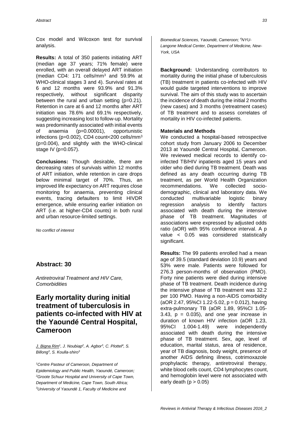Cox model and Wilcoxon test for survival analysis.

**Results:** A total of 350 patients initiating ART (median age 37 years; 71% female) were enrolled, with an overall delayed ART initiation (median CD4: 171 cells/mm<sup>3</sup> and 59.9% at WHO-clinical stages 3 and 4). Survival rates at 6 and 12 months were 93.9% and 91.3% respectively, without significant disparity between the rural and urban setting (p=0.21). Retention in care at 6 and 12 months after ART initiation was 78.6% and 69.1% respectively, suggesting increasing lost to follow-up. Mortality was predominantly associated with initial events of anaemia (p=0.00001), opportunistic infections (p=0.002), CD4 count<200 cells/mm<sup>3</sup> (p=0.004), and slightly with the WHO-clinical stage IV (p=0.057).

**Conclusions:** Though desirable, there are decreasing rates of survivals within 12 months of ART initiation, while retention in care drops below minimal target of 70%. Thus, an improved life expectancy on ART requires close monitoring for anaemia, preventing clinical events, tracing defaulters to limit HIVDR emergence, while ensuring earlier initiation on ART (i.e. at higher-CD4 counts) in both rural and urban resource-limited settings.

*No conflict of interest*

#### **Abstract: 30**

*Antiretroviral Treatment and HIV Care, Comorbidities*

# **Early mortality during initial treatment of tuberculosis in patients co-infected with HIV at the Yaoundé Central Hospital, Cameroon**

*J. Bigna Rim<sup>1</sup> , J. Noubiap<sup>2</sup> , A. Agbor<sup>3</sup> , C. Plottel<sup>4</sup> , S. Billong<sup>3</sup> , S. Koulla-shiro<sup>3</sup>*

*<sup>1</sup>Centre Pasteur of Cameroon, Department of Epidemiology and Public Health, Yaoundé, Cameroon; <sup>2</sup>Groote Schuur Hospital and University of Cape Town, Department of Medicine, Cape Town, South Africa; <sup>3</sup>University of Yaoundé 1, Faculty of Medicine and* 

*Biomedical Sciences, Yaoundé, Cameroon; 4NYU-Langone Medical Center, Department of Medicine, New-York, USA*

**Background:** Understanding contributors to mortality during the initial phase of tuberculosis (TB) treatment in patients co-infected with HIV would guide targeted interventions to improve survival. The aim of this study was to ascertain the incidence of death during the initial 2 months (new cases) and 3 months (retreatment cases) of TB treatment and to assess correlates of mortality in HIV co-infected patients.

#### **Materials and Methods**

We conducted a hospital-based retrospective cohort study from January 2006 to December 2013 at Yaoundé Central Hospital, Cameroon. We reviewed medical records to identify coinfected TB/HIV inpatients aged 15 years and older who died during TB treatment. Death was defined as any death occurring during TB treatment, as per World Health Organization recommendations. We collected sociodemographic, clinical and laboratory data. We conducted multivariable logistic binary regression analysis to identify factors associated with death during the intensive phase of TB treatment. Magnitudes of associations were expressed by adjusted odds ratio (aOR) with 95% confidence interval. A p value < 0.05 was considered statistically significant.

**Results:** The 99 patients enrolled had a mean age of 39.5 (standard deviation 10.9) years and 53% were male. Patients were followed for 276.3 person-months of observation (PMO). Forty nine patients were died during intensive phase of TB treatment. Death incidence during the intensive phase of TB treatment was 32.2 per 100 PMO. Having a non-AIDS comorbidity  $(aOR 2.47, 95\% CI 1.22-5.02, p = 0.012)$ , having extra-pulmonary TB (aOR 1.89, 95%CI 1.05-  $3.43$ ,  $p = 0.035$ ), and one year increase in duration of known HIV infection (aOR 1.23, 95%CI 1.004-1.49) were independently associated with death during the intensive phase of TB treatment. Sex, age, level of education, marital status, area of residence, year of TB diagnosis, body weight, presence of another AIDS defining illness, cotrimoxazole prophylactic therapy, antiretroviral therapy, white blood cells count, CD4 lymphocytes count, and hemoglobin level were not associated with early death  $(p > 0.05)$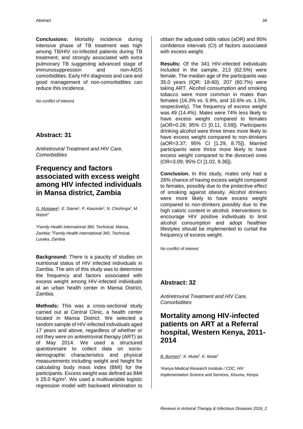**Conclusions:** Mortality incidence during intensive phase of TB treatment was high among TB/HIV co-infected patients during TB treatment; and strongly associated with extra pulmonary TB suggesting advanced stage of immunosuppression and non-AIDS comorbidities. Early HIV diagnosis and care and good management of non-comorbidities can reduce this incidence.

*No conflict of interest*

### **Abstract: 31**

*Antiretroviral Treatment and HIV Care, Comorbidities*

# **Frequency and factors associated with excess weight among HIV infected individuals in Mansa district, Zambia**

*G. Mutaawe<sup>1</sup> , E. Siame<sup>1</sup> , P. Kasonde<sup>2</sup> , N. Chishinga<sup>2</sup> , M. Welsh<sup>2</sup>*

*<sup>1</sup>Family Health International 360, Technical, Mansa, Zambia; <sup>2</sup>Family Health International 360, Technical, Lusaka, Zambia*

**Background:** There is a paucity of studies on nutritional status of HIV infected individuals in Zambia. The aim of this study was to determine the frequency and factors associated with excess weight among HIV-infected individuals at an urban health center in Mansa District, Zambia.

**Methods:** This was a cross-sectional study carried out at Central Clinic, a health center located in Mansa District. We selected a random sample of HIV-infected individuals aged 17 years and above, regardless of whether or not they were on antiretroviral therapy (ART) as of May 2014. We used a structured questionnaire to collect data on sociodemographic characteristics and physical measurements including weight and height for calculating body mass index (BMI) for the participants. Excess weight was defined as BMI ≥ 25.0 Kg/m<sup>2</sup> . We used a multivariable logistic regression model with backward elimination to

obtain the adjusted odds ratios (aOR) and 95% confidence intervals (CI) of factors associated with excess weight.

**Results:** Of the 341 HIV-infected individuals included in the sample, 213 (62.5%) were female. The median age of the participants was 35.0 years (IQR: 18-60). 207 (60.7%) were taking ART. Alcohol consumption and smoking tobacco were more common in males than females (16.3% vs. 5.9%, and 10.6% vs. 1.5%, respectively). The frequency of excess weight was 49 (14.4%). Males were 74% less likely to have excess weight compared to females (aOR=0.26; 95% CI [0.11, 0.59]). Participants drinking alcohol were three times more likely to have excess weight compared to non-drinkers (aOR=3.37; 95% CI [1.29, 8.75]). Married participants were thrice more likely to have excess weight compared to the divorced ones (OR=3.09; 95% CI [1.02, 9.36]).

**Conclusion.** In this study, males only had a 26% chance of having excess weight compared to females, possibly due to the protective effect of smoking against obesity. Alcohol drinkers were more likely to have excess weight compared to non-drinkers possibly due to the high caloric content in alcohol. Interventions to encourage HIV positive individuals to limit alcohol consumption and adopt healthier lifestyles should be implemented to curtail the frequency of excess weight.

*No conflict of interest*

### **Abstract: 32**

*Antiretroviral Treatment and HIV Care, Comorbidities*

### **Mortality among HIV-infected patients on ART at a Referral hospital, Western Kenya, 2011- 2014**

*B. Burmen<sup>1</sup> , K. Mutai<sup>1</sup> , K. Mutai<sup>1</sup>*

*<sup>1</sup>Kenya Medical Research Institute / CDC, HIV Implementation Science and Services, Kisumu, Kenya*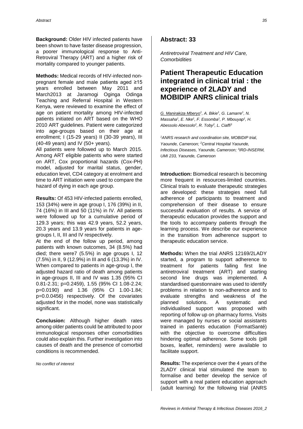**Background:** Older HIV infected patients have been shown to have faster disease progression, a poorer immunological response to Anti-Retroviral Therapy (ART) and a higher risk of mortality compared to younger patients.

**Methods:** Medical records of HIV-infected nonpregnant female and male patients aged ≥15 years enrolled between May 2011 and March2013 at Jaramogi Oginga Odinga Teaching and Referral Hospital in Western Kenya, were reviewed to examine the effect of age on patient mortality among HIV-infected patients initiated on ART based on the WHO 2010 ART guidelines. Patient were categorized into age-groups based on their age at enrollment; I (15-29 years) II (30-39 years), III (40-49 years) and IV (50+ years).

All patients were followed up to March 2015. Among ART eligible patients who were started on ART, Cox proportional hazards (Cox-PH) model, adjusted for marital status, gender, education level, CD4 category at enrolment and time to ART initiation were used to compare the hazard of dying in each age group.

**Results:** Of 453 HIV-infected patients enrolled, 153 (34%) were in age group I, 176 (39%) in II, 74 (16%) in III and 50 (11%) in IV. All patients were followed up for a cumulative period of 129.3 years; this was 42.9 years, 52.2 years, 20.3 years and 13.9 years for patients in agegroups I, II, III and IV respectively.

At the end of the follow up period, among patients with known outcomes, 34 (8.5%) had died; there were7 (5.5%) in age groups I, 12 (7.5%) in II, 9 (12.9%) in III and 6 (13.3%) in IV. When compared to patients in age-group I, the adjusted hazard ratio of death among patients in age-groups II, III and IV was 1.35 (95% CI 0.81-2.31; p=0.2459), 1.55 (95% CI 1.08-2.24; p=0.0190) and 1.36 (95% CI 1.00-1.84; p=0.0.0456) respectively. Of the covariates adjusted for in the model, none was statistically significant.

**Conclusion:** Although higher death rates among older patients could be attributed to poor immunological responses other comorbidities could also explain this. Further investigation into causes of death and the presence of comorbid conditions is recommended.

*No conflict of interest*

#### **Abstract: 33**

*Antiretroviral Treatment and HIV Care, Comorbidities*

### **Patient Therapeutic Education integrated in clinical trial : the experience of 2LADY and MOBIDIP ANRS clinical trials**

*G. Manirakiza Mberyo<sup>1</sup> , A. Bikie<sup>1</sup> , G. Lamarre<sup>1</sup> , N. Massaha<sup>1</sup> , E. Nke<sup>1</sup> , F. Essomba<sup>1</sup> , P. Mbouyap<sup>1</sup> , H. Abessolo Abessolo<sup>2</sup> , R. Toby<sup>2</sup> , L. Ciaffi<sup>3</sup>*

*<sup>1</sup>ANRS research and coordination site, MOBIDIP trial, Yaounde, Cameroon; <sup>2</sup>Central Hospital Yaounde, Infectious Diseases, Yaounde, Cameroon; <sup>3</sup> IRD-INSERM, UMI 233, Yaounde, Cameroon*

**Introduction:** Biomedical research is becoming more frequent in resources-limited countries. Clinical trials to evaluate therapeutic strategies are developed: these strategies need full adherence of participants to treatment and comprehension of their disease to ensure successful evaluation of results. A service of therapeutic education provides the support and the tools to accompany patients through the learning process. We describe our experience in the transition from adherence support to therapeutic education service.

**Methods:** When the trial ANRS 12169/2LADY started, a program to support adherence to treatment for patients failing first line antiretroviral treatment (ART) and starting second line drugs was implemented. A standardised questionnaire was used to identify problems in relation to non-adherence and to evaluate strengths and weakness of the planned solutions. A systematic and individualised support was proposed with reporting of follow up on pharmacy forms. Visits were managed by nurses or social assistants trained in patients education (FormatSanté) with the objective to overcome difficulties hindering optimal adherence. Some tools (pill boxes, leaflet, reminders) were available to facilitate support.

**Results:** The experience over the 4 years of the 2LADY clinical trial stimulated the team to formalise and better develop the service of support with a real patient education approach (adult learning) for the following trial (ANRS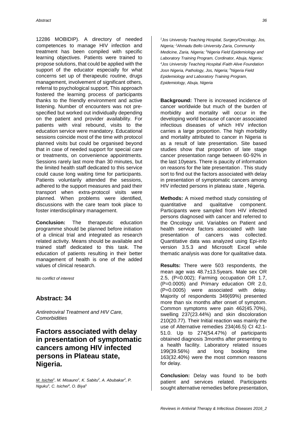12286 MOBIDIP). A directory of needed competences to manage HIV infection and treatment has been compiled with specific learning objectives. Patients were trained to propose solutions, that could be applied with the support of the educator especially for what concerns set up of therapeutic routine, drugs management, involvement of significant others, referral to psychological support. This approach fostered the learning process of participants thanks to the friendly environment and active listening. Number of encounters was not prespecified but worked out individually depending on the patient and provider availability. For patients with viral rebound, visits to the education service were mandatory. Educational sessions coincide most of the time with protocol planned visits but could be organised beyond that in case of needed support for special care or treatments, on convenience appointments. Sessions rarely last more than 30 minutes, but the limited health staff dedicated to this service could cause long waiting time for participants. Patients voluntarily attended the sessions, adhered to the support measures and paid their transport when extra-protocol visits were planned. When problems were identified, discussions with the care team took place to foster interdisciplinary management.

**Conclusion:** The therapeutic education programme should be planned before initiation of a clinical trial and integrated as research related activity. Means should be available and trained staff dedicated to this task. The education of patients resulting in their better management of health is one of the added values of clinical research.

*No conflict of interest*

#### **Abstract: 34**

*Antiretroviral Treatment and HIV Care, Comorbidities*

**Factors associated with delay in presentation of symptomatic cancers among HIV infected persons in Plateau state, Nigeria.**

*M. Isichei<sup>1</sup> , M. Misauno<sup>1</sup> , K. Sabitu<sup>2</sup> , A. Abubakar<sup>2</sup> , P. Nguku<sup>3</sup> , C. Isichei<sup>4</sup> , O. Biya<sup>5</sup>*

*<sup>1</sup>Jos University Teaching Hospital, Surgery/Oncology, Jos, Nigeria; <sup>2</sup>Ahmadu Bello University Zaria, Community Medicine, Zaria, Nigeria; <sup>3</sup>Nigeria Field Epidemiology and Laboratory Training Program, Cordinator, Abuja, Nigeria; <sup>4</sup>Jos University Teaching Hospital /Faith Alive Foundation Josn Nigeria, Pathology, Jos, Nigeria; <sup>5</sup>Nigeria Field Epidemiology and Laboratory Training Program, Epidemiology, Abuja, Nigeria*

**Background:** There is increased incidence of cancer worldwide but much of the burden of morbidity and mortality will occur in the developing world because of cancer associated infectious diseases of which HIV infection carries a large proportion. The high morbidity and mortality attributed to cancer in Nigeria is as a result of late presentation. Site based studies show that proportion of late stage cancer presentation range between 60-92% in the last 10years. There is paucity of information on reasons for the late presentation . This study sort to find out the factors associated with delay in presentation of symptomatic cancers among HIV infected persons in plateau state , Nigeria.

**Methods:** A mixed method study consisting of quantitative and qualitative component. Participants were sampled from HIV infected persons diagnosed with cancer and referred to the Oncology unit. Variables on Patient and health service factors associated with late presentation of cancers was collected. Quantitative data was analyzed using Epi-info version 3.5.3 and Microsoft Excel while thematic analysis was done for qualitative data.

**Results:** There were 503 respondents, the mean age was 48.7±13.5years. Male sex OR 2.5, (P=0.002); Farming occupation OR 1.7, (P=0.0005) and Primary education OR 2.0, (P=0.0005) were associated with delay. Majority of respondents 349(69%) presented more than six months after onset of symptom. Common symptoms were pain 462(45.70%), swelling 237(23.44%) and skin discoloration 210(20.77). Their Initial reaction was mainly the use of Alternative remedies 234(46.5) CI 42.1- 51.0. Up to 274(54.47%) of participants obtained diagnosis 3months after presenting to a health facility. Laboratory related issues 199(39.56%) and long booking time 163(32.40%) were the most common reasons for delay.

**Conclusion:** Delay was found to be both patient and services related. Participants sought alternative remedies before presentation,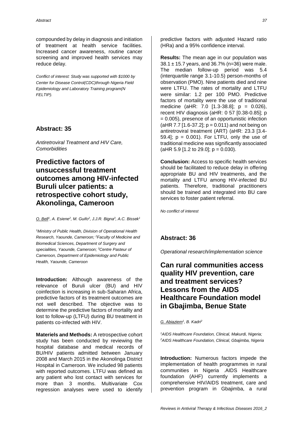compounded by delay in diagnosis and initiation of treatment at health service facilities. Increased cancer awareness, routine cancer screening and improved health services may reduce delay.

*Conflict of interest: Study was supported with \$1000 by Center for Disease Control(CDC)through Nigeria Field Epidemiology and Laboratory Training program(N FELTIP).* 

### **Abstract: 35**

*Antiretroviral Treatment and HIV Care, Comorbidities*

# **Predictive factors of unsuccessful treatment outcomes among HIV-infected Buruli ulcer patients: a retrospective cohort study, Akonolinga, Cameroon**

*O. Bell<sup>1</sup> , A. Esiene<sup>2</sup> , M. Guifo<sup>2</sup> , J.J.R. Bigna<sup>3</sup> , A.C. Bissek<sup>1</sup>*

*<sup>1</sup>Ministry of Public Health, Division of Operational Health Research, Yaounde, Cameroon; <sup>2</sup>Faculty of Medicine and Biomedical Sciences, Department of Surgery and specialities, Yaounde, Cameroon; <sup>3</sup>Centre Pasteur of Cameroon, Department of Epidemiology and Public Health, Yaounde, Cameroon*

**Introduction:** Although awareness of the relevance of Buruli ulcer (BU) and HIV coinfection is increasing in sub-Saharan Africa, predictive factors of its treatment outcomes are not well described. The objective was to determine the predictive factors of mortality and lost to follow-up (LTFU) during BU treatment in patients co-infected with HIV.

**Materiels and Methods:** A retrospective cohort study has been conducted by reviewing the hospital database and medical records of BU/HIV patients admitted between January 2008 and March 2015 in the Akonolinga District Hospital in Cameroon. We included 98 patients with reported outcomes. LTFU was defined as any patient who lost contact with services for more than 3 months. Multivariate Cox regression analyses were used to identify predictive factors with adjusted Hazard ratio (HRa) and a 95% confidence interval.

**Results:** The mean age in our population was 38.1  $\pm$  15.7 years, and 36.7% (n=36) were male. The median follow-up period was 5.4 (interquartile range 3.1-10.5) person-months of observation (PMO). Nine patients died and nine were LTFU. The rates of mortality and LTFU were similar: 1.2 per 100 PMO. Predictive factors of mortality were the use of traditional medicine (aHR: 7.0 [1.3-38.8]; p = 0.026), recent HIV diagnosis (aHR: 0 57 [0.38-0.85]; p = 0.005), presence of an opportunistic infection (aHR 7.7 [1.6-37.2];  $p = 0.011$ ) and not being on antiretroviral treatment (ART) (aHR: 23.3 [3.4- 59.4];  $p = 0.001$ ). For LTFU, only the use of traditional medicine was significantly associated  $(AHR 5.9 [1.2 to 29.0]; p = 0.030).$ 

**Conclusion:** Access to specific health services should be facilitated to reduce delay in offering appropriate BU and HIV treatments, and the mortality and LTFU among HIV-infected BU patients. Therefore, traditional practitioners should be trained and integrated into BU care services to foster patient referral.

*No conflict of interest*

### **Abstract: 36**

*Operational research/implementation science*

# **Can rural communities access quality HIV prevention, care and treatment services? Lessons from the AIDS Healthcare Foundation model in Gbajimba, Benue State**

*G. Abiaziem<sup>1</sup> , B. Kadri<sup>2</sup>*

*<sup>1</sup>AIDS Healthcare Foundation, Clinical, Makurdi, Nigeria; <sup>2</sup>AIDS Healthcare Foundation, Clinical, Gbajimba, Nigeria*

**Introduction:** Numerous factors impede the implementation of health programmes in rural communities in Nigeria .AIDS Healthcare foundation (AHF) currently implements a comprehensive HIV/AIDS treatment, care and prevention program in Gbajimba, a rural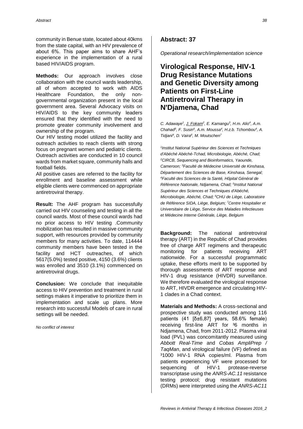community in Benue state, located about 40kms from the state capital, with an HIV prevalence of about 6%. This paper aims to share AHF's experience in the implementation of a rural based HIV/AIDS program.

**Methods:** Our approach involves close collaboration with the council wards leadership, all of whom accepted to work with AIDS Healthcare Foundation, the only nongovernmental organization present in the local government area. Several Advocacy visits on HIV/AIDS to the key community leaders ensured that they identified with the need to promote greater community involvement and ownership of the program.

Our HIV testing model utilized the facility and outreach activities to reach clients with strong focus on pregnant women and pediatric clients. Outreach activities are conducted in 10 council wards from market square, community halls and football fields.

All positive cases are referred to the facility for enrollment and baseline assessment while eligible clients were commenced on appropriate antiretroviral therapy.

**Result:** The AHF program has successfully carried out HIV counseling and testing in all the council wards. Most of these council wards had no prior access to HIV testing .Community mobilization has resulted in massive community support, with resources provided by community members for many activities. To date, 114444 community members have been tested in the facility and HCT outreaches, of which 5617(5.0%) tested positive, 4150 (3.6%) clients was enrolled and 3510 (3.1%) commenced on antiretroviral drugs.

**Conclusion:** We conclude that inequitable access to HIV prevention and treatment in rural settings makes it imperative to prioritize them in implementation and scale up plans. More research into successful Models of care in rural settings will be needed.

*No conflict of interest*

#### **Abstract: 37**

*Operational research/implementation science*

# **Virological Response, HIV-1 Drug Resistance Mutations and Genetic Diversity among Patients on First-Line Antiretroviral Therapy in N'Djamena, Chad**

*C. Adawaye<sup>1</sup> , J. Fokam<sup>2</sup> , E. Kamangu<sup>3</sup> , H.m. Alio<sup>4</sup> , A.m. Chahad<sup>5</sup> , F. Susin<sup>6</sup> , A.m. Moussa<sup>4</sup> , H.z.b. Tchombou<sup>4</sup> , A. Tidjani<sup>4</sup> , D. Vaira<sup>6</sup> , M. Moutschen<sup>7</sup>*

*1 Institut National Supérieur des Sciences et Techniques d'Abéché Abéché-Tchad, Microbiologie, Abéché, Chad; <sup>2</sup>CIRCB, Sequencing and Bioinformatics, Yaounde, Cameroon; <sup>3</sup>Faculté de Médecine Université de Kinshasa, Département des Sciences de Base, Kinshasa, Senegal; <sup>4</sup>Faculté des Sciences de la Santé, Hôpital Général de Référence Nationale, Ndjamena, Chad; <sup>5</sup> Institut National Supérieur des Sciences et Techniques d'Abéché, Microbiologie, Abéché, Chad; <sup>6</sup>CHU de Liège, Laboratoire de Référence SIDA, Liège, Belgium; <sup>7</sup>Centre Hospitalier et Universitaire de Liège, Service des Maladies Infectieuses et Médecine Interne Générale, Liège, Belgium*

**Background:** The national antiretroviral therapy (ART) in the Republic of Chad provides free of charge ART regimens and therapeutic monitoring for patients receiving ART nationwide. For a successful programmatic uptake, these efforts merit to be supported by thorough assessments of ART response and HIV-1 drug resistance (HIVDR) surveillance. We therefore evaluated the virological response to ART, HIVDR emergence and circulating HIV-1 clades in a Chad context.

**Materials and Methods:** A cross-sectional and prospective study was conducted among 116 patients  $(41 \overline{6} \pm 6.87)$  years, 58.6% female) receiving first-line ART for <sup>3</sup>6 months in Ndjamena, Chad, from 2011-2012. Plasma viral load (PVL) was concomitantly measured using *Abbott Real-Time* and *Cobas AmpliPrep / TaqMan*, and virological failure (VF) defined as ³1000 HIV-1 RNA copies/ml. Plasma from patients experiencing VF were processed for sequencing of HIV-1 protease-reverse transcriptase using the *ANRS-AC.11* resistance testing protocol; drug resistant mutations (DRMs) were interpreted using the *ANRS-AC11*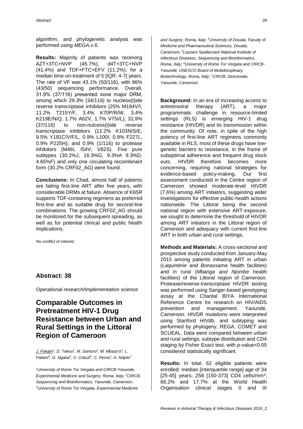algorithm; and phylogenetic analysis was performed using *MEGA.v.6*.

**Results:** Majority of patients was receiving AZT+3TC+NVP (45.7%), d4T+3TC+NVP (41.4%) and TDF+FTC+EFV (11.2%), for a median time-on-treatment of 5 [IQR: 4-7] years. The rate of VF was 43.1% (50/116), with 86% (43/50) sequencing performance. Overall, 31.9% (37/116) presented ≥one major DRM, among which 29.3% (34/116) to nucleos(t)ide reverse transcriptase inhibitors (25% M184V/I, 11.2% T215Y/F, 3.4% K70P/R/W, 3.4% K219E/N/Q, 1.7% A62V, 1.7% V75I/L); 31.9% (37/116) to non-nulceos(t)ide reverse transcriptase inhibitors (11.2% K103N/S/E, 9.5% Y181C/V/F/L, 0.9% L100I, 0.9% F227L, 0.9% P225H); and 0.9% (1/116) to protease inhibitors (M46I, I54V, V82S). Five pure subtypes (30.2%J, 16.3%G, 9.3%A 9.3%D, 4.65%F) and only one circulating recombinant form (30.2% CRF02\_AG) were found.

**Conclusions:** In Chad, almost half of patients are failing first-line ART after five years, with considerable DRMs at failure. Absence of K65R supports TDF-containing regimens as preferred first-line and as suitable drug for second-line combinations. The growing CRF02\_AG should be monitored for the subsequent spreading, as well as for potential clinical and public health implications.

*No conflict of interest*

#### **Abstract: 38**

*Operational research/implementation science*

# **Comparable Outcomes in Pretreatment HIV-1 Drug Resistance between Urban and Rural Settings in the Littoral Region of Cameroon**

*J. Fokam<sup>1</sup> , D. Takou<sup>2</sup> , M. Santoro<sup>3</sup> , M. Mbazo'o<sup>4</sup> , L. Fabeni<sup>5</sup> , G. Ngaba<sup>4</sup> , V. Colizzi<sup>6</sup> , C. Perno<sup>1</sup> , A. Ndjolo<sup>7</sup>*

*<sup>1</sup>University of Rome Tor Vergata and CIRCB-Yaounde, Experimental Medicine and Surgery, Roma, Italy; <sup>2</sup>CIRCB, Sequencing and Bioinformatics, Yaounde, Cameroon; <sup>3</sup>University of Rome Tor Vergata, Experimental Medicine* 

*and Surgery, Roma, Italy; <sup>4</sup>University of Douala, Faculty of Medicine and Pharmaceutical Sciences, Douala, Cameroon; <sup>5</sup>Lazzaro Spallanzani National Institute of Infectious Diseases, Sequencing and Bioinformatics, Roma, Italy; <sup>6</sup>University of Rome Tor Vergata and CIRCB-Yaounde, UNESCO Board of Multidisciplinary Biotechnology, Roma, Italy; <sup>7</sup>CIRCB, Directorate, Yaounde, Cameroon*

**Background:** In an era of increasing access to antiretroviral therapy (ART), a major programmatic challenge in resource-limited settings (RLS) is emerging HIV-1 drug resistance (HIVDR) and its transmission within the community. Of note, in spite of the high potency of first-line ART regimens commonly available in RLS; most of these drugs have lowgenetic barriers to resistance, in the frame of suboptimal adherence and frequent drug stock outs. HIVDR therefore becomes more concerning, requiring national strategies for evidence-based policy-making. Our first assessment conducted in the Centre region of Cameroon showed moderate-level HIVDR (7.6%) among ART initiators, suggesting wider investigations for effective public-health actions nationwide. The Littoral being the second national region with extensive ART-exposure, we sought to determine the threshold of HIVDR among ART initiators in the Littoral region of Cameroon and adequacy with current first-line ART in both urban and rural settings.

**Methods and Materials:** A cross-sectional and prospective study conducted from January-May 2015 among patients initiating ART in urban (*Laquintinie and Bonassama* health facilities) and in rural (*Mbanga and Njombe* health facilities) of the Littoral region of Cameroon. Protease/reverse-transcriptase HIVDR testing was performed using Sanger-based genotyping assay at the Chantal BIYA International Reference Centre for research on HIV/AIDS prevention and management, Yaoundé, Cameroon. HIVDR mutations were interpreted using Stanford *HIVdb*, and subtyping was performed by phylogeny, REGA, COMET and SCUEAL. Data were compared between urban and rural settings, subtype distribution and CD4 staging by Fisher Exact test, with p-value<0.05 considered statistically significant.

**Results:** In total, 62 eligible patients were enrolled: median [interquartile range] age of 34 [25-45] years; 258 [150-373] CD4 cells/mm<sup>3</sup>; 66.2% and 17.7% at the World Health Organisation clinical stages II and III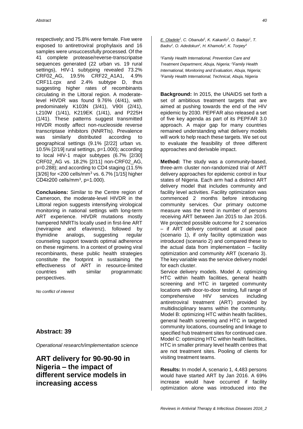respectively; and 75.8% were female. Five were exposed to antiretroviral prophylaxis and 16 samples were unsuccessfully processed. Of the 41 complete protease/reverse-transcripatse sequences generated (22 urban vs. 19 rural settings), HIV-1 subtyping revealed 73.2% CRF02\_AG, 19.5% CRF22\_A1A1, 4.9% CRF11.cpx and 2.4% subtype D, thus suggesting higher rates of recombinants circulating in the Littoral region. A moderatelevel HIVDR was found 9.76% (4/41), with predominately K103N (3/41), V90I (2/41), L210W (1/41), K219EK (1/41), and P225H (1/41). These patterns suggest transmitted HIVDR mostly affect non-nucleoside reverse transcriptase inhibitors (NNRTIs). Prevalence was similarly distributed according to geographical settings (9.1% [2/22] urban vs. 10.5% [2/19] rural settings, p=1.000); according to local HIV-1 major subtypes (6.7% [2/30] CRF02\_AG vs. 18.2% [2/11] non-CRF02\_AG, p=0.288); and according to CD4 staging (11.5% [3/26] for  $\langle$  200 cells/mm<sup>3</sup> vs. 6.7% [1/15] higher CD4≥200 cells/mm<sup>3</sup>, p=1.000).

**Conclusions:** Similar to the Centre region of Cameroon, the moderate-level HIVDR in the Littoral region suggests intensifying virological monitoring in national settings with long-term ART experience. HIVDR mutations mostly hampered NNRTIs locally used in first-line ART (nevirapine and efavirenz), followed by thymidine analogs, suggesting regular counseling support towards optimal adherence on these regimens. In a context of growing viral recombinants, these public health strategies constitute the footprint in sustaining the effectiveness of ART in resource-limited countries with similar programmatic perspectives.

*No conflict of interest*

#### **Abstract: 39**

*Operational research/implementation science*

**ART delivery for 90-90-90 in Nigeria – the impact of different service models in increasing access**

*E. Oladele<sup>1</sup> , C. Obanubi<sup>1</sup> , K. Kakanfo<sup>2</sup> , O. Badejo<sup>1</sup> , T. Badru<sup>2</sup> , O. Adedokun<sup>2</sup> , H. Khamofu<sup>3</sup> , K. Torpey<sup>3</sup>*

*<sup>1</sup>Family Health International, Prevention Care and Treatment Department, Abuja, Nigeria; <sup>2</sup>Family Health International, Monitoring and Evaluation, Abuja, Nigeria; <sup>3</sup>Family Health International, Technical, Abuja, Nigeria*

**Background:** In 2015, the UNAIDS set forth a set of ambitious treatment targets that are aimed at pushing towards the end of the HIV epidemic by 2030. PEPFAR also released a set of five key agenda as part of its PEPFAR 3.0 approach. A major gap for many countries remained understanding what delivery models will work to help reach these targets. We set out to evaluate the feasibility of three different approaches and derivable impact.

**Method:** The study was a community-based, three-arm cluster non-randomized trial of ART delivery approaches for epidemic control in four states of Nigeria. Each arm had a distinct ART delivery model that includes community and facility level activities. Facility optimization was commenced 2 months before introducing community services. Our primary outcome measure was the trend in number of persons receiving ART between Jan 2015 to Jan 2016. We projected possible outcome for 2 scenarios – if ART delivery continued at usual pace (scenario 1), if only facility optimization was introduced (scenario 2) and compared these to the actual data from implementation – facility optimization and community ART (scenario 3). The key variable was the service delivery model for each cluster.

Service delivery models. Model A: optimizing HTC within health facilities, general health screening and HTC in targeted community locations with door-to-door testing, full range of comprehensive HIV services including antiretroviral treatment (ART) provided by multidisciplinary teams within the community. Model B: optimizing HTC within health facilities, general health screening and HTC in targeted community locations, counseling and linkage to specified hub treatment sites for continued care. Model C: optimizing HTC within health facilities, HTC in smaller primary level health centres that are not treatment sites. Pooling of clients for visiting treatment teams.

**Results:** In model A, scenario 1, 4,483 persons would have started ART by Jan 2016. A 69% increase would have occurred if facility optimization alone was introduced into the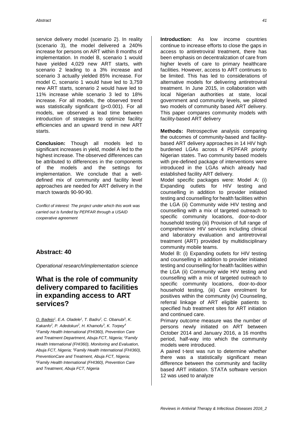service delivery model (scenario 2). In reality (scenario 3), the model delivered a 240% increase for persons on ART within 8 months of implementation. In model B, scenario 1 would have yielded 4,029 new ART starts, with scenario 2 leading to a 3% increase and scenario 3 actually yielded 85% increase. For model C, scenario 1 would have led to 3,759 new ART starts, scenario 2 would have led to 11% increase while scenario 3 led to 18% increase. For all models, the observed trend was statistically significant (p<0.001). For all models, we observed a lead time between introduction of strategies to optimize facility efficiencies and an upward trend in new ART starts.

**Conclusion:** Though all models led to significant increases in yield, model A led to the highest increase. The observed differences can be attributed to differences in the components of the models and the settings for implementation. We conclude that a welldefined mix of community and facility level approaches are needed for ART delivery in the march towards 90-90-90.

*Conflict of interest: The project under which this work was carried out is funded by PEPFAR through a USAID cooperative agreement* 

#### **Abstract: 40**

*Operational research/implementation science*

### **What is the role of community delivery compared to facilities in expanding access to ART services?**

*O. Badejo<sup>1</sup> , E.A. Oladele<sup>1</sup> , T. Badru<sup>2</sup> , C. Obanubi<sup>3</sup> , K. Kakanfo<sup>2</sup> , P. Adedokun<sup>2</sup> , H. Khamofu<sup>3</sup> , K. Torpey<sup>4</sup> <sup>1</sup>Family Health International (FHI360), Prevention Care and Treatment Department, Abuja FCT, Nigeria; <sup>2</sup>Family Health International (FHI360), Monitoring and Evaluation, Abuja FCT, Nigeria; <sup>3</sup>Family Health International (FHI360), PreventionCare and Treatment, Abuja FCT, Nigeria; <sup>4</sup>Family Health International (FHI360), Prevention Care and Treatment, Abuja FCT, Nigeria*

**Introduction:** As low income countries continue to increase efforts to close the gaps in access to antiretroviral treatment, there has been emphasis on decentralization of care from higher levels of care to primary healthcare facilities. However, access to ART continues to be limited. This has led to considerations of alternative models for delivering antiretroviral treatment. In June 2015, in collaboration with local Nigerian authorities at state, local government and community levels, we piloted two models of community based ART delivery. This paper compares community models with facility-based ART delivery

**Methods:** Retrospective analysis comparing the outcomes of community-based and facilitybased ART delivery approaches in 14 HIV high burdened LGAs across 4 PEPFAR priority Nigerian states. Two community based models with pre-defined package of interventions were introduced in the LGAs which already had established facility ART delivery.

Model specific packages were: Model A: (i) Expanding outlets for HIV testing and counselling in addition to provider initiated testing and counselling for health facilities within the LGA (ii) Community wide HIV testing and counselling with a mix of targeted outreach to specific community locations, door-to-door household testing (iii) Provision of full range of comprehensive HIV services including clinical and laboratory evaluation and antiretroviral treatment (ART) provided by multidisciplinary community mobile teams.

Model B: (i) Expanding outlets for HIV testing and counselling in addition to provider initiated testing and counselling for health facilities within the LGA (ii) Community wide HIV testing and counselling with a mix of targeted outreach to specific community locations, door-to-door household testing, (iii) Care enrolment for positives within the community (iv) Counseling, referral linkage of ART eligible patients to specified hub treatment sites for ART initiation and continued care.

Primary outcome measure was the number of persons newly initiated on ART between October 2014 and January 2016, a 16 months period, half-way into which the community models were introduced.

A paired t-test was run to determine whether there was a statistically significant mean difference between the community and facility based ART initiation. STATA software version 12 was used to analyze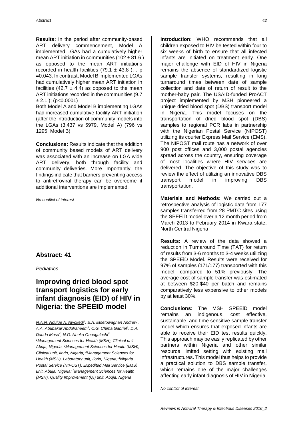**Results:** In the period after community-based ART delivery commencement, Model A implemented LGAs had a cumulatively higher mean ART initiation in communities  $(102 \pm 81.6)$ as opposed to the mean ART initiations recorded in health facilities  $(79.1 \pm 43.8)$ ; p =0.043. In contrast, Model B implemented LGAs had cumulatively higher mean ART initiation in facilities (42.7  $\pm$  4.4) as opposed to the mean ART initiations recorded in the communities (9.7  $\pm 2.1$  ); (p<0.0001)

Both Model A and Model B implementing LGAs had increased cumulative facility ART initiation (after the introduction of community models into the LGAs (3,437 vs 5979, Model A) (796 vs 1295, Model B)

**Conclusions:** Results indicate that the addition of community based models of ART delivery was associated with an increase on LGA wide ART delivery, both through facility and community deliveries. More importantly, the findings indicate that barriers preventing access to antiretroviral therapy can be overcome if additional interventions are implemented.

*No conflict of interest*

#### **Abstract: 41**

*Pediatrics*

### **Improving dried blood spot transport logistics for early infant diagnosis (EID) of HIV in Nigeria: the SPEEID model**

*N.A.N. Ndulue A. Nwokedi<sup>1</sup> , E.A. Etsetowaghan Andrew<sup>1</sup> , A.A. Abubakar Abdulraheem<sup>2</sup> , C.G. Chima Gabriel<sup>3</sup> , D.A. Dauda Musa<sup>4</sup> , N.O. Nneka Onuaguluchi<sup>5</sup> <sup>1</sup>Management Sciences for Health (MSH), Clinical unit, Abuja, Nigeria; <sup>2</sup>Management Sciences for Health (MSH), Clinical unit, Ilorin, Nigeria; <sup>3</sup>Management Sciences for Health (MSH), Laboratory unit, Ilorin, Nigeria; <sup>4</sup>Nigeria Postal Service (NIPOST), Expedited Mail Service (EMS) unit, Abuja, Nigeria; <sup>5</sup>Management Sciences for Health (MSH), Quality Improvement (QI) unit, Abuja, Nigeria*

**Introduction:** WHO recommends that all children exposed to HIV be tested within four to six weeks of birth to ensure that all infected infants are initiated on treatment early. One major challenge with EID of HIV in Nigeria remains the absence of standardized logistic sample transfer systems, resulting in long turnaround times between date of sample collection and date of return of result to the mother-baby pair. The USAID-funded ProACT project implemented by MSH pioneered a unique dried blood spot (DBS) transport model in Nigeria. This model focuses on the transportation of dried blood spot (DBS) samples to regional PCR labs in partnership with the Nigerian Postal Service (NIPOST) utilizing its courier Express Mail Service (EMS). The NIPOST mail route has a network of over 900 post offices and 3,000 postal agencies spread across the country, ensuring coverage of most localities where HIV services are delivered. The objective of this study was to review the effect of utilizing an innovative DBS transport model in improving DBS transportation.

**Materials and Methods:** We carried out a retrospective analysis of logistic data from 177 samples transferred from 28 PMTC sites using the SPEEiD model over a 12 month period from March 2013 to February 2014 in Kwara state, North Central Nigeria

**Results:** A review of the data showed a reduction in Turnaround Time (TAT) for return of results from 3-6 months to 3-4 weeks utilizing the SPEEiD Model. Results were received for 97% of samples (171/177) transported with this model, compared to 51% previously. The average cost of sample transfer was estimated at between \$20-\$40 per batch and remains comparatively less expensive to other models by at least 30%.

**Conclusions:** The MSH SPEEiD model remains an indigenous, cost effective, sustainable, and time sensitive sample transfer model which ensures that exposed infants are able to receive their EID test results quickly. This approach may be easily replicated by other partners within Nigeria and other similar resource limited setting with existing mail infrastructures. This model thus helps to provide a practical solution to DBS sample transfer, which remains one of the major challenges affecting early infant diagnosis of HIV in Nigeria.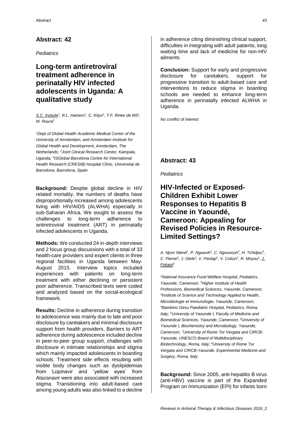*Pediatrics*

### **Long-term antiretroviral treatment adherence in perinatally HIV infected adolescents in Uganda: A qualitative study**

*S.C. Inzaule<sup>1</sup> , R.L. Hamers<sup>1</sup> , C. Kityo<sup>2</sup> , T.F. Rinke de Wit<sup>1</sup> , M. Roura<sup>3</sup>*

*<sup>1</sup>Dept of Global Health Academic Medical Center of the University of Amsterdam, and Amsterdam Institute for Global Health and Development, Amsterdam, The Netherlands; <sup>2</sup>Joint Clinical Research Center, Kampala, Uganda; <sup>3</sup> ISGlobal Barcelona Centre for International Health Research (CRESIB) Hospital Clínic, Universitat de Barcelona, Barcelona, Spain*

**Background:** Despite global decline in HIV related mortality, the numbers of deaths have disproportionally increased among adolescents living with HIV/AIDS (ALWHA) especially in sub-Saharan Africa. We sought to assess the challenges to long-term adherence to antiretroviral treatment (ART) in perinatally infected adolescents in Uganda.

**Methods:** We conducted 24 in-depth interviews and 2 focus group discussions with a total of 33 health-care providers and expert clients in three regional facilities in Uganda between May-August 2015. Interview topics included experiences with patients on long-term treatment with either declining or persistent poor adherence. Transcribed texts were coded and analyzed based on the social-ecological framework.

**Results:** Decline in adherence during transition to adolescence was mainly due to late and poor disclosure by caretakers and minimal disclosure support from health providers. Barriers to ART adherence during adolescence included decline in peer-to-peer group support, challenges with disclosure in intimate relationships and stigma which mainly impacted adolescents in boarding schools. Treatment side effects resulting with visible body changes such as dyslipidemias from Lopinavir and 'yellow eyes' from Atazanavir were also associated with increased stigma. Transitioning into adult-based care among young adults was also linked to a decline

in adherence citing diminishing clinical support, difficulties in integrating with adult patients, long waiting time and lack of medicine for non-HIV ailments.

**Conclusion:** Support for early and progressive disclosure for caretakers, support for progressive transition to adult-based care and interventions to reduce stigma in boarding schools are needed to enhance long-term adherence in perinatally infected ALWHA in Uganda.

*No conflict of interest*

### **Abstract: 43**

*Pediatrics*

# **HIV-Infected or Exposed-Children Exhibit Lower Responses to Hepatitis B Vaccine in Yaoundé, Cameroon: Appealing for Revised Policies in Resource-Limited Settings?**

*A. Njom Nlend<sup>1</sup> , P. Nguwoh<sup>2</sup> , C. Ngounouh<sup>3</sup> , H. Tchidjou<sup>4</sup> , C. Pieme<sup>5</sup> , J. Otele<sup>2</sup> , V. Penlap<sup>6</sup> , V. Colizzi<sup>7</sup> , R. Moyou<sup>2</sup> , J. Fokam<sup>8</sup>*

*<sup>1</sup>National Insurance Fund Welfare Hospital, Pediatrics, Yaounde, Cameroon; <sup>2</sup>Higher Institute of Health Professions, Biomedical Sciences, Yaounde, Cameroon; 3 Institute of Science and Technology Applied to Health, Microbiologie et Immunologie, Yaounde, Cameroon; <sup>4</sup>Bambino Gesu Paediatric Hospital, Pediatrics, Roma, Italy; <sup>5</sup>University of Yaounde I, Faculty of Medicine and Biomedical Sciences, Yaounde, Cameroon; <sup>6</sup>University of Yaounde I, Biochemistry and Microbiology, Yaounde, Cameroon; 7University of Rome Tor Vergata and CIRCB-Yaounde, UNESCO Board of Multidisciplinary Biotechnology, Roma, Italy; <sup>8</sup>University of Rome Tor Vergata and CIRCB-Yaounde, Experimental Medicine and Surgery, Roma, Italy*

**Background:** Since 2005, anti-hepatitis B virus (anti-HBV) vaccine is part of the Expanded Program on Immunization (EPI) for infants born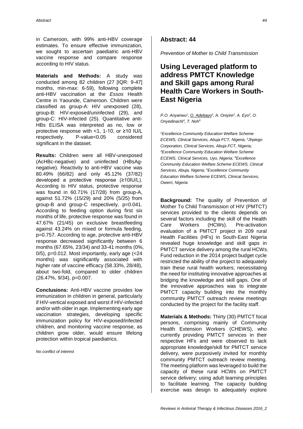in Cameroon, with 99% anti-HBV coverage estimates. To ensure effective immunization, we sought to ascertain paediatric anti-HBV vaccine response and compare response according to HIV status.

**Materials and Methods:** A study was conducted among 82 children (27 [IQR: 9-47] months, min-max: 6-59), following complete anti-HBV vaccination at the *Essos* Health Centre in Yaounde, Cameroon. Children were classified as group-A: HIV unexposed (28), group-B: HIV-exposed/uninfected (29), and group-C: HIV-infected (25). Quantitative anti-HBs ELISA was interpreted as no, low or protective response with <1, 1-10, or ≥10 IU/L respectively. P-value<0.05 considered significant in the dataset.

**Results:** Children were all HBV-unexposed (AcHBc-negative) and uninfected (HBsAgnegative). Reactivity to anti-HBV vaccine was 80.49% (66/82) and only 45.12% (37/82) developed a protective response (≥10IU/L). According to HIV status, protective response was found in 60.71% (17/28) from group-A, against 51.72% (15/29) and 20% (5/25) from group-B and group-C respectively, p=0.041. According to feeding option during first six months of life, protective response was found in 47.67% (21/45) on exclusive breastfeeding against 43.24% on mixed or formula feeding, p=0.757. According to age, protective anti-HBV response decreased significantly between 6 months (67.65%, 23/34) and 33-41 months (0%, 0/5), p=0.012. Most importantly, early age (<24 months) was significantly associated with higher rate of vaccine efficacy (58.33%, 28/48), about two-fold, compared to older children (26.47%, 9/34), p=0.007.

**Conclusions:** Anti-HBV vaccine provides low immunization in children in general, particularly if HIV-vertical exposed and worst if HIV-infected and/or with older in age. Implementing early age vaccination strategies, developing specific immunization policy for HIV-exposed/infected children, and monitoring vaccine response, as children grow older, would ensure lifelong protection within tropical paediatrics.

*No conflict of interest*

#### **Abstract: 44**

*Prevention of Mother to Child Transmission*

# **Using Leveraged platform to address PMTCT Knowledge and Skill gaps among Rural Health Care Workers in South-East Nigeria**

*P.O. Anyanwu<sup>1</sup>*, *O. Adebayo<sup>2</sup>*, *A. Oniyire<sup>2</sup>*, *A. Eyo<sup>3</sup>, O. Onyedinachi<sup>4</sup> , T. Noh<sup>5</sup>*

*<sup>1</sup>Excellence Community Education Welfare Scheme ECEWS, Clinical Services, Abuja FCT, Nigeria; <sup>2</sup>Jhpiego Corporation, Clinical Services, Abuja FCT, Nigeria; <sup>3</sup>Excellence Community Education Welfare Scheme ECEWS, Clinical Services, Uyo, Nigeria; <sup>4</sup>Excellence Community Education Welfare Scheme ECEWS, Clinical Services, Abuja, Nigeria; <sup>5</sup>Excellence Community Education Welfare Scheme ECEWS, Clinical Services, Owerri, Nigeria*

**Background:** The quality of Prevention of Mother To Child Transmission of HIV (PMTCT) services provided to the clients depends on several factors including the skill of the Health Care Workers (HCWs). Pre-activation evaluation of a PMTCT project in 209 rural Health Facilities (HFs) in South-East Nigeria revealed huge knowledge and skill gaps in PMTCT service delivery among the rural HCWs. Fund reduction in the 2014 project budget cycle restricted the ability of the project to adequately train these rural health workers; necessitating the need for instituting innovative approaches at bridging the knowledge and skill gaps. One of the innovative approaches was to integrate PMTCT capacity building into the monthly community PMTCT outreach review meetings conducted by the project for the facility staff.

**Materials & Methods:** Thirty (30) PMTCT focal persons, comprising mainly of Community Health Extension Workers (CHEWS), who currently providing PMTCT services in their respective HFs and were observed to lack appropriate knowledge/skill for PMTCT service delivery, were purposively invited for monthly community PMTCT outreach review meeting. The meeting platform was leveraged to build the capacity of these rural HCWs on PMTCT service delivery; using adult learning principles to facilitate learning. The capacity building exercise was design to adequately explore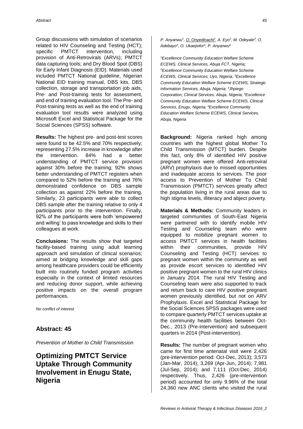Group discussions with simulation of scenarios related to HIV Counseling and Testing (HCT); specific PMTCT intervention, including provision of Anti-Retrovirals (ARVs); PMTCT data capturing tools; and Dry Blood Spot (DBS) for Early Infant Diagnosis (EID). Materials used included PMTCT National guideline, Nigerian National EID training manual, DBS kits, DBS collection, storage and transportation job aids, Pre- and Post-training tests for assessment, and end of training evaluation tool. The Pre- and Post-training tests as well as the end of training evaluation tool results were analyzed using Microsoft Excel and Statistical Package for the Social Sciences (SPSS) software.

**Results:** The highest pre- and post-test scores were found to be 42.5% and 70% respectively; representing 27.5% increase in knowledge after the intervention. 84% had a better understanding of PMTCT service provision against 30% before the training; 92% shows better understanding of PMTCT registers when compared to 52% before the training and 76% demonstrated confidence on DBS sample collection as against 22% before the training. Similarly, 23 participants were able to collect DBS sample after the training relative to only 4 participants prior to the intervention. Finally, 92% of the participants were both 'empowered and willing' to pass knowledge and skills to their colleagues at work.

**Conclusions:** The results show that targeted facility-based training using adult learning approach and simulation of clinical scenarios; aimed at bridging knowledge and skill gaps among healthcare providers could be efficiently built into routinely funded program activities especially in the context of limited resources and reducing donor support, while achieving positive impacts on the overall program performances.

*No conflict of interest*

#### **Abstract: 45**

*Prevention of Mother to Child Transmission*

# **Optimizing PMTCT Service Uptake Through Community Involvement in Enugu State, Nigeria**

*P. Anyanwu<sup>1</sup>*, *O. Onyedinachi<sup>1</sup>*, *A. Eyo<sup>2</sup>, <i>M. Odeyale<sup>3</sup>*, *O. Adebayo<sup>4</sup> , O. Ukaejiofor<sup>5</sup> , P. Anyanwu<sup>6</sup>*

*<sup>1</sup>Excellence Community Education Welfare Scheme ECEWS, Clinical Services, Abuja FCT, Nigeria; <sup>2</sup>Excellence Community Education Welfare Scheme ECEWS, Clinical Services, Uyo, Nigeria; <sup>3</sup>Excellence Community Education Welfare Scheme ECEWS, Strategic Information Services, Abuja, Nigeria; <sup>4</sup>Jhpiego Corporation, Clinical Services, Abuja, Nigeria; <sup>5</sup>Excellence Community Education Welfare Scheme ECEWS, Clinical Services, Enugu, Nigeria; <sup>6</sup>Excellence Community Education Welfare Scheme ECEWS, Clinical Services, Abuja, Nigeria*

**Background:** Nigeria ranked high among countries with the highest global Mother To Child Transmission (MTCT) burden. Despite this fact, only 8% of identified HIV positive pregnant women were offered Anti-retroviral (ARV) prophylaxis due to missed opportunities and inadequate access to services. The poor access to Prevention of Mother To Child Transmission (PMTCT) services greatly affect the population living in the rural areas due to high stigma levels, illiteracy and abject poverty.

**Materials & Methods:** Community leaders in targeted communities of South-East Nigeria were partnered with to identify mobile HIV Testing and Counseling team who were equipped to mobilize pregnant women to access PMTCT services in health facilities within their communities, provide HIV Counseling and Testing (HCT) services to pregnant women within the community as well as provide escort services to identified HIV positive pregnant women to the rural HIV clinics in January 2014. The rural HIV Testing and Counseling team were also supported to track and return back to care HIV positive pregnant women previously identified, but not on ARV Prophylaxis. Excel and Statistical Package for the Social Sciences SPSS packages were used to compare quarterly PMTCT services uptake at the community health facilities between Oct-Dec., 2013 (Pre-intervention) and subsequent quarters in 2014 (Post-intervention).

**Results:** The number of pregnant women who came for first time antenatal visit were 2,426 (pre-intervention period: Oct-Dec, 2013); 3,573 (Jan-Mar, 2014); 3,269 (Apr-Jun, 2014); 7,981 (Jul-Sep, 2014); and 7,111 (Oct-Dec, 2014) respectively. Thus, 2,426 (pre-intervention period) accounted for only 9.96% of the total 24,360 new ANC clients who visited the rural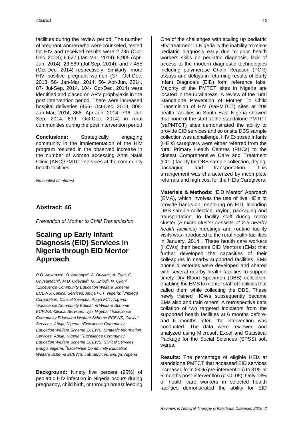facilities during the review period. The number of pregnant women who were counseled, tested for HIV and received results were 2,785 (Oct-Dec, 2013); 6,627 (Jan-Mar, 2014); 8,905 (Apr-Jun, 2014); 23,889 (Jul-Sep, 2014); and 7,455 (Oct-Dec, 2014) respectively. Similarly, more HIV positive pregnant women (37- Oct-Dec, 2013; 58- Jan-Mar, 2014, 56- Apr-Jun, 2014, 87- Jul-Sep, 2014, 104- Oct-Dec, 2014) were identified and placed on ARV prophylaxis in the post intervention period. There were increased hospital deliveries (466- Oct-Dec, 2013; 808- Jan-Mar, 2014, 868- Apr-Jun, 2014, 796- Jul-Sep, 2014, 699- Oct-Dec, 2014) in rural communities during the post intervention period.

**Conclusions:** Strategically engaging community in the implementation of the HIV program resulted in the observed increase in the number of women accessing Ante Natal Clinic (ANC)/PMTCT services at the community health facilities.

*No conflict of interest*

#### **Abstract: 46**

*Prevention of Mother to Child Transmission*

# **Scaling up Early Infant Diagnosis (EID) Services in Nigeria through EID Mentor Approach**

*P.O. Anyanwu<sup>1</sup>*, *O. Adebayo*<sup>2</sup>, *A. Oniyire*<sup>2</sup>, *A. Eyo*<sup>3</sup>, *O. Onyedinachi<sup>4</sup> , M.D. Odeyale<sup>5</sup> , G. Jimbo<sup>6</sup> , N. Okon<sup>7</sup> <sup>1</sup>Excellence Community Education Welfare Scheme ECEWS, Clinical Services, Abuja FCT, Nigeria; <sup>2</sup>Jhpiego Corporation, Clinical Services, Abuja FCT, Nigeria; <sup>3</sup>Excellence Community Education Welfare Scheme ECEWS, Clinical Services, Uyo, Nigeria; <sup>4</sup>Excellence Community Education Welfare Scheme ECEWS, Clinical Services, Abuja, Nigeria; <sup>5</sup>Excellence Community Education Welfare Scheme ECEWS, Strategic Information Services, Abuja, Nigeria; <sup>6</sup>Excellence Community Education Welfare Scheme ECEWS, Clinical Services, Enugu, Nigeria; <sup>7</sup>Excellence Community Education Welfare Scheme ECEWS, Lab Services, Enugu, Nigeria*

**Background:** Ninety five percent (95%) of pediatric HIV infection in Nigeria occurs during pregnancy, child birth, or through breast feeding. One of the challenges with scaling up pediatric HIV treatment in Nigeria is the inability to make pediatric diagnosis early due to poor health workers skills on pediatric diagnosis, lack of access to the modern diagnostic technologies including polymerase Chain Reaction (PCR) assays and delays in returning results of Early Infant Diagnosis (EID) form reference labs. Majority of the PMTCT sites in Nigeria are located in the rural areas. A review of the rural Standalone Prevention of Mother To Child Transmision of HIV (saPMTCT) sites at 209 health facilities in South East Nigeria showed that none of the staff at the standalone PMTCT (saPMTCT) sites demonstrated the ability to provide EID services and so onsite DBS sample collection was a challenge. HIV Exposed Infants (HEIs) caregivers were either referred from the rural Primary Health Centres (PHCs) to the closest Comprehensive Care and Treatment (CCT) facility for DBS sample collection, drying, packaging and transportation. This arrangement was characterized by incomplete referrals and high cost for the HEIs Caregivers.

**Materials & Methods:** 'EID Mentor' Approach (EMA), which involves the use of live HEIs to provide hands-on mentoring on EID, including DBS sample collection, drying, packaging and transportation, to facility staff during micro cluster (*a micro cluster consists of 2-3 nearby health facilities*) meetings and routine facility visits was introduced to the rural health facilities in January, 2014 . These health care workers (HCWs) then became EID Mentors (EMs) that further developed the capacities of their colleagues in nearby supported facilities. EMs phone directories were developed and shared with several nearby health facilities to support timely Dry Blood Specimen (DBS) collection; enabling the EMS to mentor staff of facilities that called them while collecting the DBS. These newly trained HCWs subsequently became EMs also and train others. A retrospective data collation of two targeted indicators from the supported health facilities at 6 months beforeand 6 months after- the intervention was conducted. The data were reviewed and analyzed using Microsoft Excel and Statistical Package for the Social Sciences (SPSS) soft wares.

**Results:** The percentage of eligible HEIs at standalone PMTCT that accessed EID services increased from 24% (pre-intervention) to 81% at 6 months post-intervention ( $p < 0.05$ ). Only 13% of health care workers in selected health facilities demonstrated the ability for EID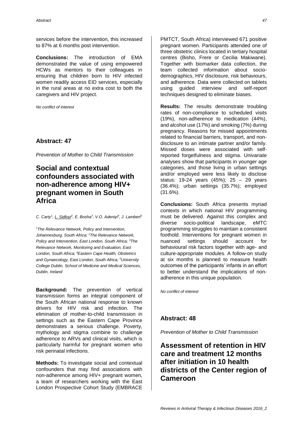services before the intervention, this increased to 87% at 6 months post intervention.

**Conclusions:** The introduction of EMA demonstrated the value of using empowered HCWs as mentors to their colleagues in ensuring that children born to HIV infected women readily access EID services, especially in the rural areas at no extra cost to both the caregivers and HIV project.

*No conflict of interest*

#### **Abstract: 47**

*Prevention of Mother to Child Transmission*

# **Social and contextual confounders associated with non-adherence among HIV+ pregnant women in South Africa**

*C. Carty<sup>1</sup> , L. Sidloyi<sup>2</sup> , E. Bosha<sup>3</sup> , V.O. Adeniyi<sup>4</sup> , J. Lambert<sup>5</sup>*

*<sup>1</sup>The Relevance Network, Policy and Intervention, Johannesburg, South Africa; <sup>2</sup>The Relevance Network, Policy and Intervention, East London, South Africa; <sup>3</sup>The Relevance Network, Monitoring and Evaluation, East London, South Africa; <sup>4</sup>Eastern Cape Health, Obstetrics and Gynaecology, East London, South Africa; <sup>5</sup>University College Dublin, School of Medicine and Medical Sciences, Dublin, Ireland*

**Background:** The prevention of vertical transmission forms an integral component of the South African national response to known drivers for HIV risk and infection. The elimination of mother-to-child transmission in settings such as the Eastern Cape Province demonstrates a serious challenge. Poverty, mythology and stigma combine to challenge adherence to ARVs and clinical visits, which is particularly harmful for pregnant women who risk perinatal infections.

**Methods:** To investigate social and contextual confounders that may find associations with non-adherence among HIV+ pregnant women, a team of researchers working with the East London Prospective Cohort Study (EMBRACE

PMTCT, South Africa) interviewed 671 positive pregnant women. Participants attended one of three obstetric clinics located in tertiary hospital centres (Bisho, Frere or Cecilia Makiwane). Together with biomarker data collection, the team collected information about sociodemographics, HIV disclosure, risk behaviours, and adherence. Data were collected on tablets using guided interview and self-report techniques designed to eliminate biases.

**Results:** The results demonstrate troubling rates of non-compliance to scheduled visits (19%), non-adherence to medication (44%), and alcohol use (17%) and smoking (7%) during pregnancy. Reasons for missed appointments related to financial barriers, transport, and nondisclosure to an intimate partner and/or family. Missed doses were associated with selfreported forgetfulness and stigma. Univariate analyses show that participants in younger age categories, and those living in urban settings and/or employed were less likely to disclose status: 19-24 years (45%); 25 – 29 years (36.4%); urban settings (35.7%); employed (31.6%).

**Conclusions:** South Africa presents myriad contexts in which national HIV programming must be delivered. Against this complex and diverse socio-political landscape, eMTC programming struggles to maintain a consistent foothold. Interventions for pregnant women in nuanced settings should account for behavioural risk factors together with age- and culture-appropriate modules. A follow-on study at six months is planned to measure health outcomes of the participants' infants in an effort to better understand the implications of nonadherence in this unique population.

*No conflict of interest*

#### **Abstract: 48**

*Prevention of Mother to Child Transmission*

# **Assessment of retention in HIV care and treatment 12 months after initiation in 10 health districts of the Center region of Cameroon**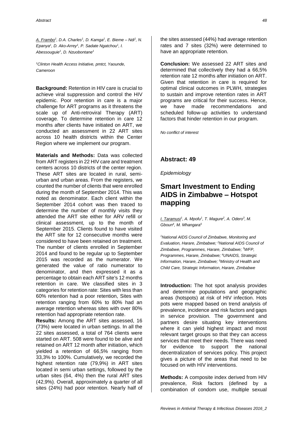*A. Frambo<sup>1</sup> , D.A. Charles<sup>1</sup> , D. Kamga<sup>1</sup> , E. Bieme – Ndi<sup>1</sup> , N. Epanya<sup>1</sup> , D. Ako-Arrey<sup>1</sup> , P. Sadate Ngatchou<sup>1</sup> , I. Abessouguie<sup>1</sup> , D. Nzuobontane<sup>1</sup>*

*<sup>1</sup>Clinton Health Access Initiative, pmtct, Yaounde, Cameroon*

**Background:** Retention in HIV care is crucial to achieve viral suppression and control the HIV epidemic. Poor retention in care is a major challenge for ART programs as it threatens the scale up of Anti-retroviral Therapy (ART) coverage. To determine retention in care 12 months after clients have initiated on ART, we conducted an assessment in 22 ART sites across 10 health districts within the Center Region where we implement our program.

**Materials and Methods:** Data was collected from ART registers in 22 HIV care and treatment centers across 10 districts of the center region. These ART sites are located in rural, semiurban and urban areas. From the registers, we counted the number of clients that were enrolled during the month of September 2014. This was noted as denominator. Each client within the September 2014 cohort was then traced to determine the number of monthly visits they attended the ART site either for ARV refill or clinical assessment, up to the month of September 2015. Clients found to have visited the ART site for 12 consecutive months were considered to have been retained on treatment. The number of clients enrolled in September 2014 and found to be regular up to September 2015 was recorded as the numerator. We generated the value of ratio numerator to denominator, and then expressed it as a percentage to obtain each ART site's 12 months retention in care. We classified sites in 3 categories for retention rate: Sites with less than 60% retention had a poor retention, Sites with retention ranging from 60% to 80% had an average retention whereas sites with over 80% retention had appropriate retention rate.

**Results:** Among the ART sites assessed, 16 (73%) were located in urban settings. In all the 22 sites assessed, a total of 764 clients were started on ART. 508 were found to be alive and retained on ART 12 month after initiation, which yielded a retention of 66,5% ranging from 33,3% to 100%. Cumulatively, we recorded the highest retention rate (79,9%) in ART sites located in semi urban settings, followed by the urban sites (64, 4%) then the rural ART sites (42,9%). Overall, approximately a quarter of all sites (24%) had poor retention. Nearly half of

the sites assessed (44%) had average retention rates and 7 sites (32%) were determined to have an appropriate retention.

**Conclusion:** We assessed 22 ART sites and determined that collectively they had a 66,5% retention rate 12 months after initiation on ART. Given that retention in care is required for optimal clinical outcomes in PLWH, strategies to sustain and improve retention rates in ART programs are critical for their success. Hence, we have made recommendations and scheduled follow-up activities to understand factors that hinder retention in our program.

*No conflict of interest*

#### **Abstract: 49**

*Epidemiology*

# **Smart Investment to Ending AIDS in Zimbabwe – Hotspot mapping**

*I. Taramusi<sup>1</sup> , A. Mpofu<sup>1</sup> , T. Magure<sup>2</sup> , A. Odero<sup>3</sup> , M. Gboun<sup>4</sup> , M. Mhangara<sup>5</sup>*

*<sup>1</sup>National AIDS Council of Zimbabwe, Monitoring and Evaluation, Harare, Zimbabwe; <sup>2</sup>National AIDS Council of Zimbabwe, Programmes, Harare, Zimbabwe; <sup>3</sup>WFP, Programmes, Harare, Zimbabwe; <sup>4</sup>UNAIDS, Strategic Information, Harare, Zimbabwe; <sup>5</sup>Ministry of Health and Child Care, Strategic Information, Harare, Zimbabwe*

**Introduction:** The hot spot analysis provides and determine populations and geographic areas (hotspots) at risk of HIV infection. Hots pots were mapped based on trend analysis of prevalence, incidence and risk factors and gaps in service provision. The government and partners desire situating key interventions where it can yield highest impact and most relevant target groups so that they can access services that meet their needs. There was need for evidence to support the national decentralization of services policy. This project gives a picture of the areas that need to be focused on with HIV interventions.

**Methods:** A composite index derived from HIV prevalence, Risk factors (defined by a combination of condom use, multiple sexual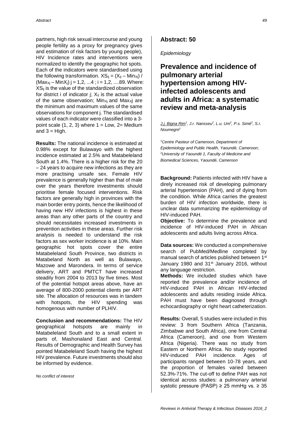partners, high risk sexual intercourse and young people fertility as a proxy for pregnancy gives and estimation of risk factors by young people), HIV Incidence rates and interventions were normalized to identify the geographic hot spots. Each of the indicators were standardised using the following transformation.  $XS_{ii} = (X_{ii} - Min_{Xi})/$  $(Max_{xi} - MinX_i)$  j = 1,2, ...4 ; i = 1,2, ....89. Where:  $XS_{ii}$  is the value of the standardized observation for district i of indicator j;  $X_{ii}$  is the actual value of the same observation;  $Min_{Xi}$  and  $Max_{Xi}$  are the minimum and maximum values of the same observations for component j. The standardised values of each indicator were classified into a 3 point scale  $(1, 2, 3)$  where  $1 = Low$ ,  $2 = Medium$ and  $3 = High$ .

**Results:** The national incidence is estimated at 0.98% except for Bulawayo with the highest incidence estimated at 2.5% and Matabeleland South at 1.4%. There is a higher risk for the 20 – 24 years to acquire new infections as they are more practising unsafe sex. Female HIV prevalence is generally higher than that of male over the years therefore investments should prioritise female focused interventions. Risk factors are generally high in provinces with the main border entry points, hence the likelihood of having new HIV infections is highest in these areas than any other parts of the country and should necessitates increased investments in prevention activities in these areas. Further risk analysis is needed to understand the risk factors as sex worker incidence is at 10%. Main geographic hot spots cover the entire Matabeleland South Province, two districts in Matabeland North as well as Bulawayo, Mazowe and Marondera. In terms of service delivery, ART and PMTCT have increased steadily from 2004 to 2013 by five times. Most of the potential hotspot areas above, have an average of 800-2000 potential clients per ART site. The allocation of resources was in tandem with hotspots, the HIV spending was homogenous with number of PLHIV.

**Conclusion and recommendations:** The HIV geographical hotspots are mainly in Matabeleland South and to a small extent in parts of, Mashonaland East and Central. Results of Demographic and Health Survey has pointed Matabeleland South having the highest HIV prevalence. Future investments should also be informed by evidence.

*No conflict of interest*

#### **Abstract: 50**

#### *Epidemiology*

# **Prevalence and incidence of pulmonary arterial hypertension among HIVinfected adolescents and adults in Africa: a systematic review and meta-analysis**

*J.j. Bigna Rim<sup>1</sup> , J.r. Nansseu<sup>2</sup> , L.u. Um<sup>2</sup> , P.s. Simé<sup>2</sup> , S.r. Noumegni<sup>2</sup>*

*<sup>1</sup>Centre Pasteur of Cameroon, Department of Epidemiology and Public Health, Yaoundé, Cameroon; <sup>2</sup>University of Yaoundé 1, Faculty of Medicine and Biomedical Sciences, Yaoundé, Cameroon*

**Background:** Patients infected with HIV have a direly increased risk of developing pulmonary arterial hypertension (PAH), and of dying from the condition. While Africa carries the greatest burden of HIV infection worldwide, there is unclear data summarizing the epidemiology of HIV-induced PAH.

**Objective:** To determine the prevalence and incidence of HIV-induced PAH in African adolescents and adults living across Africa.

**Data sources:** We conducted a comprehensive search of PubMed/Medline completed by manual search of articles published between 1<sup>st</sup> January 1980 and 31<sup>st</sup> January 2016, without any language restriction.

**Methods:** We included studies which have reported the prevalence and/or incidence of HIV-induced PAH in African HIV-infected adolescents and adults residing inside Africa. PAH must have been diagnosed through echocardiography or right heart catheterization.

**Results:** Overall, 5 studies were included in this review: 3 from Southern Africa (Tanzania, Zimbabwe and South Africa), one from Central Africa (Cameroon), and one from Western Africa (Nigeria). There was no study from Eastern or Northern Africa. No study reported HIV-induced PAH incidence. Ages of participants ranged between 10-78 years, and the proportion of females varied between 52.3%-71%. The cut-off to define PAH was not identical across studies: a pulmonary arterial systolic pressure (PASP)  $\geq$  25 mmHg vs.  $\geq$  35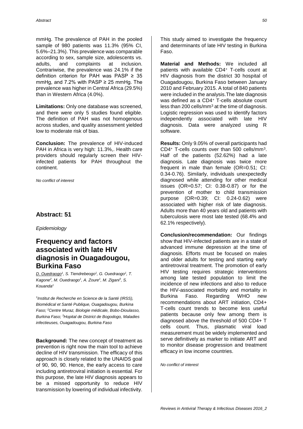mmHg. The prevalence of PAH in the pooled sample of 980 patients was 11.3% (95% CI, 5.6%–21.3%). This prevalence was comparable according to sex, sample size, adolescents vs. adults, and complaints at inclusion. Contrariwise, the prevalence was 24.1% if the definition criterion for PAH was PASP  $\geq 35$ mmHg, and 7.2% with PASP  $\geq$  25 mmHg. The prevalence was higher in Central Africa (29.5%) than in Western Africa (4.0%).

**Limitations:** Only one database was screened, and there were only 5 studies found eligible. The definition of PAH was not homogenous across studies, and quality assessment yielded low to moderate risk of bias.

**Conclusion:** The prevalence of HIV-induced PAH in Africa is very high: 11.3%,. Health care providers should regularly screen their HIVinfected patients for PAH throughout the continent.

*No conflict of interest*

#### **Abstract: 51**

*Epidemiology*

# **Frequency and factors associated with late HIV diagnosis in Ouagadougou, Burkina Faso**

*D. Ouedraogo<sup>1</sup> , S. Tiendrebeogo<sup>1</sup> , G. Ouedraogo<sup>1</sup> , T. Kagone<sup>2</sup> , M. Ouedraogo<sup>1</sup> , A. Zoure<sup>1</sup> , M. Zigani<sup>3</sup> , S. Kouanda<sup>1</sup>*

*1 Institut de Recherche en Science de la Santé (IRSS), Biomédical et Santé Publique, Ouagadougou, Burkina Faso; <sup>2</sup>Centre Muraz, Biologie médicale, Bobo-Dioulasso, Burkina Faso; <sup>3</sup>Hopital de District de Bogodogo, Maladies infectieuses, Ouagadougou, Burkina Faso*

**Background:** The new concept of treatment as prevention is right now the main tool to achieve decline of HIV transmission. The efficacy of this approach is closely related to the UNAIDS goal of 90, 90, 90. Hence, the early access to care including antiretroviral initiation is essential. For this purpose, the late HIV diagnosis appears to be a missed opportunity to reduce HIV transmission by lowering of individual infectivity.

This study aimed to investigate the frequency and determinants of late HIV testing in Burkina Faso.

**Material and Methods:** We included all patients with available CD4<sup>+</sup> T-cells count at HIV diagnosis from the district 30 hospital of Ouagadougou, Burkina Faso between January 2010 and February 2015. A total of 840 patients were included in the analysis.The late diagnosis was defined as a CD4<sup>+</sup> T-cells absolute count less than 200 cells/ $mm<sup>3</sup>$  at the time of diagnosis. Logistic regression was used to identify factors independently associated with late HIV diagnosis. Data were analyzed using R software.

**Results:** Only 9.05% of overall participants had CD4<sup>+</sup> T-cells counts over than 500 cells/mm<sup>3</sup> . Half of the patients (52.62%) had a late diagnosis. Late diagnosis was twice more frequent in male than female (OR=0.51; CI: 0.34-0.76). Similarly, individuals unexpectedly diagnosed while attending for other medical issues (OR=0.57; CI: 0.38-0.87) or for the prevention of mother to child transmission purpose (OR=0.39; CI: 0.24-0.62) were associated with higher risk of late diagnosis. Adults more than 40 years old and patients with tuberculosis were most late tested (68.4% and 62.1% respectively).

**Conclusion/recommendation:** Our findings show that HIV-infected patients are in a state of advanced immune depression at the time of diagnosis. Efforts must be focused on males and older adults for testing and starting early antiretroviral treatment. The promotion of early HIV testing requires strategic interventions among late tested population to limit the incidence of new infections and also to reduce the HIV-associated morbidity and mortality in Burkina Faso. Regarding WHO new recommendations about ART initiation, CD4+ T-cells count trends to become less useful patients because only few among them is diagnosed above the threshold of 500 CD4+ T cells count. Thus, plasmatic viral load measurement must be widely implemented and serve definitively as marker to initiate ART and to monitor disease progression and treatment efficacy in low income countries.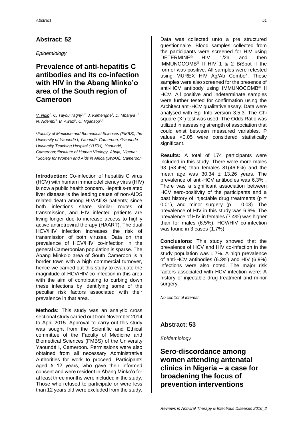*Epidemiology*

# **Prevalence of anti-hepatitis C antibodies and its co-infection with HIV in the Abang Minko'o area of the South region of Cameroon**

*V. Ndip<sup>1</sup> , C. Tayou Tagny1,2, J. Kemengne<sup>1</sup> , D. Mbanya1,2 , N. Ndembi<sup>3</sup> , B. Awazi<sup>4</sup> , C. Ngansop1,2*

*<sup>1</sup>Faculty of Medicine and Biomedical Sciences (FMBS), the University of Yaoundé I, Yaoundé, Cameroon; <sup>2</sup>Yaoundé University Teaching Hospital (YUTH), Yaoundé, Cameroon; <sup>3</sup> Institute of Human Virology, Abuja, Nigeria; <sup>4</sup>Society for Women and Aids in Africa (SWAA), Cameroon*

**Introduction:** Co-infection of hepatitis C virus (HCV) with human immunodeficiency virus (HIV) is now a public health concern. Hepatitis-related liver disease is the leading cause of non-AIDS related death among HIV/AIDS patients; since both infections share similar routes of transmission, and HIV infected patients are living longer due to increase access to highly active antiretroviral therapy (HAART). The dual HCV/HIV infection increases the risk of transmission of both viruses. Data on the prevalence of HCV/HIV co-infection in the general Cameroonian population is sparse. The Abang Minko'o area of South Cameroon is a border town with a high commercial turnover, hence we carried out this study to evaluate the magnitude of HCV/HIV co-infection in this area with the aim of contributing to curbing down these infections by identifying some of the peculiar risk factors associated with their prevalence in that area.

**Methods:** This study was an analytic cross sectional study carried out from November 2014 to April 2015. Approval to carry out this study was sought from the Scientific and Ethical committee of the Faculty of Medicine and Biomedical Sciences (FMBS) of the University Yaoundé I, Cameroon. Permissions were also obtained from all necessary Administrative Authorities for work to proceed. Participants aged  $\geq$  12 years, who gave their informed consent and were resident in Abang Minko'o for at least three months were included in the study. Those who refused to participate or were less than 12 years old were excluded from the study.

Data was collected unto a pre structured questionnaire. Blood samples collected from the participants were screened for HIV using DETERMINE® HIV 1/2a and then IMMUNOCOMB® II HIV 1 & 2 BiSpot if the former was positive. All samples were retested using MUREX HIV Ag/Ab Combo<sup>a</sup>. These samples were also screened for the presence of anti-HCV antibody using IMMUNOCOMB® II HCV. All positive and indeterminate samples were further tested for confirmation using the Architect anti-HCV qualitative assay. Data were analysed with Epi Info version 3.5.3. The Chi square  $(X^2)$  test was used. The Odds Ratio was utilized in assessing strength of association that could exist between measured variables. P values <0.05 were considered statistically significant.

**Results:** A total of 174 participants were included in this study. There were more males 93 (53.4%) than females 81(46.6%) and the mean age was  $30.34 \pm 13.26$  years. The prevalence of anti-HCV antibodies was 6.3% . There was a significant association between HCV sero-positivity of the participants and a past history of injectable drug treatments ( $p =$ 0.01), and minor surgery  $(p = 0.03)$ . The prevalence of HIV in this study was 6.9%. The prevalence of HIV in females (7.4%) was higher than for males (6.5%). HCV/HIV co-infection was found in 3 cases (1.7%).

**Conclusions:** This study showed that the prevalence of HCV and HIV co-infection in the study population was 1.7%. A high prevalence of anti-HCV antibodies (6.3%) and HIV (6.9%) infections were also noted. The major risk factors associated with HCV infection were: A history of injectable drug treatment and minor surgery.

*No conflict of interest*

#### **Abstract: 53**

*Epidemiology*

**Sero-discordance among women attending antenatal clinics in Nigeria – a case for broadening the focus of prevention interventions**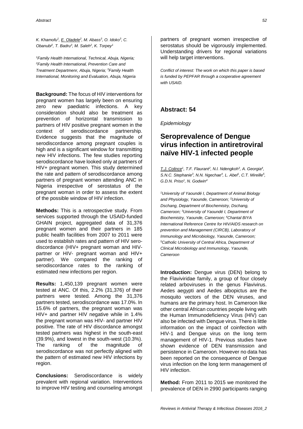*K. Khamofu<sup>1</sup> , E. Oladele<sup>2</sup> , M. Abass<sup>3</sup> , O. Idoko<sup>3</sup> , C. Obanubi<sup>2</sup> , T. Badru<sup>3</sup> , M. Saleh<sup>2</sup> , K. Torpey<sup>1</sup>*

*<sup>1</sup>Family Health International, Technical, Abuja, Nigeria; <sup>2</sup>Family Health International, Prevention Care and Treatment Departmenr, Abuja, Nigeria; <sup>3</sup>Family Health International, Monitoring and Evaluation, Abuja, Nigeria*

**Background:** The focus of HIV interventions for pregnant women has largely been on ensuring zero new paediatric infections. A key consideration should also be treatment as prevention of horizontal transmission to partners of HIV positive pregnant women in the context of serodiscordance partnership. Evidence suggests that the magnitude of serodiscordance among pregnant couples is high and is a significant window for transmitting new HIV infections. The few studies reporting serodiscordance have looked only at partners of HIV+ pregnant women. This study determined the rate and pattern of serodiscordance among partners of pregnant women attending ANC in Nigeria irrespective of serostatus of the pregnant woman in order to assess the extent of the possible window of HIV infection.

**Methods:** This is a retrospective study. From services supported through the USAID-funded GHAIN project, aggregated data of 31,376 pregnant women and their partners in 185 public health facilities from 2007 to 2011 were used to establish rates and pattern of HIV serodiscordance (HIV+ pregnant woman and HIVpartner or HIV- pregnant woman and HIV+ partner). We compared the ranking of serodiscordance rates to the ranking of estimated new infections per region.

**Results:** 1,450,139 pregnant women were tested at ANC. Of this, 2.2% (31,376) of their partners were tested. Among the 31,376 partners tested, serodiscordance was 17.0%. In 15.6% of partners, the pregnant woman was HIV+ and partner HIV negative while in 1.4% the pregnant woman was HIV- and partner HIV positive. The rate of HIV discordance amongst tested partners was highest in the south-east (39.9%), and lowest in the south-west (10.3%). The ranking of the magnitude of serodiscordance was not perfectly aligned with the pattern of estimated new HIV infections by region.

**Conclusions:** Serodiscordance is widely prevalent with regional variation. Interventions to improve HIV testing and counseling amongst partners of pregnant women irrespective of serostatus should be vigorously implemented. Understanding drivers for regional variations will help target interventions.

*Conflict of interest: The work on which this paper is based is funded by PEPFAR through a cooperative agreement with USAID.* 

### **Abstract: 54**

*Epidemiology*

### **Seroprevalence of Dengue virus infection in antiretroviral naïve HIV-1 infected people**

*T.J. Colince<sup>1</sup> , T.F. Flaurant<sup>2</sup> , N.l. Ndengkoh<sup>3</sup> , A. Georgia<sup>4</sup> ,*  S.N.C. Stephanie<sup>3</sup>, N.N. Ngechae<sup>4</sup>, L. Abel<sup>1</sup>, C.T. Mireille<sup>5</sup>, *G.D.N. Priso<sup>1</sup> , N. Godwin<sup>4</sup>*

*<sup>1</sup>University of Yaoundé I, Department of Animal Biology and Physiology, Yaounde, Cameroon; <sup>2</sup>University of Dschang, Department of Biochemistry, Dschang, Cameroon; <sup>3</sup>University of Yaoundé I, Department of Biochemistry, Yaounde, Cameroon; <sup>4</sup>Chantal BIYA International Reference Centre for HIV/AIDS research on prevention and Management (CIRCB), Laboratory of Immunology and Microbiology, Yaounde, Cameroon; <sup>5</sup>Catholic University of Central Africa, Department of Clinical Microbiology and Immunology, Yaounde, Cameroon*

**Introduction:** Dengue virus (DEN) belong to the Flaviviridae family, a group of four closely related arboviruses in the genus Flavivirus. Aedes aegypti and Aedes albopictus are the mosquito vectors of the DEN viruses, and humans are the primary host. In Cameroon like other central African countries people living with the Human Immunodeficiency Virus (HIV) can also be infected with Dengue virus. There is little information on the impact of coinfection with HIV-1 and Dengue virus on the long term management of HIV-1. Previous studies have shown evidence of DEN transmission and persistence in Cameroon. However no data has been reported on the consequence of Dengue virus infection on the long term management of HIV infection.

**Method:** From 2011 to 2015 we monitored the prevalence of DEN in 2990 participants ranging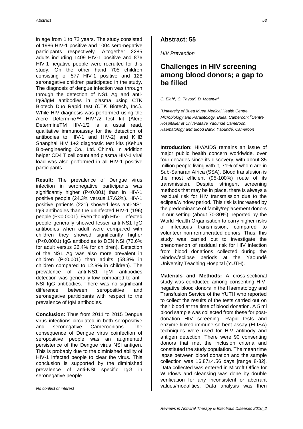in age from 1 to 72 years. The study consisted of 1986 HIV-1 positive and 1004 sero-negative participants respectively. Altogether 2285 adults including 1409 HIV-1 positive and 876 HIV-1 negative people were recruited for this study. On the other hand 705 children consisting of 577 HIV-1 positive and 128 seronegative children participated in the study. The diagnosis of dengue infection was through through the detection of NS1 Ag and anti-IgG/IgM antibodies in plasma using CTK Biotech Duo Rapid test (CTK Biotech, Inc.). While HIV diagnosis was performed using the Alere Determine™ HIV1/2 test kit (Alere DetermineTM HIV-1/2 is a usual read, qualitative immunoassay for the detection of antibodies to HIV-1 and HIV-2) and KHB Shanghai HIV 1+2 diagnostic test kits (Kehua Bio-engineering Co., Ltd. China). In addition helper CD4 T cell count and plasma HIV-1 viral load was also performed in all HIV-1 positive participants.

**Result:** The prevalence of Dengue virus infection in seronegative participants was significantly higher (P<0.001) than in HIV-1 positive people (24.3% versus 17.62%). HIV-1 positive patients (221) showed less anti-NS1 IgG antibodies than the uninfected HIV-1 (196) people (P<0.0001). Even though HIV-1 infected people generally showed lesser anti-NS1 IgG antibodies when adult were compared with children they showed significantly higher (P<0.0001) IgG antibodies to DEN NSI (72.6% for adult versus 26.4% for children). Detection of the NS1 Ag was also more prevalent in children (P<0.001) than adults (58.3% in children compared to 12.9% in children). The prevalence of anti-NS1 IgM antibodies detection was generally low compared to anti-NSI IgG antibodies. There was no significant difference between seropositive and seronegative participants with respect to the prevalence of IgM antibodies.

**Conclusion:** Thus from 2011 to 2015 Dengue virus infections circulated in both seropositive and seronegative Cameroonians. The consequence of Dengue virus coinfection of seropositive people was an augmented persistence of the Dengue virus NSI antigen. This is probably due to the diminished ability of HIV-1 infected people to clear the virus. This conclusion is supported by the diminished prevalence of anti-NSI specific IgG in seronegative people.

*No conflict of interest*

#### **Abstract: 55**

*HIV Prevention*

### **Challenges in HIV screening among blood donors; a gap to be filled**

*C. Elah<sup>1</sup> , C. Tayou<sup>2</sup> , D. Mbanya<sup>2</sup>*

*<sup>1</sup>University of Buea Muea Medical Health Centre, Microbiology and Parasitology, Buea, Cameroon; <sup>2</sup>Centre Hospitalier et Universitaire Yaoundé Cameroon, Haematology and Blood Bank, Yaoundé, Cameroon*

**Introduction:** HIV/AIDS remains an issue of major public health concern worldwide, over four decades since its discovery, with about 35 million people living with it, 71% of whom are in Sub-Saharan Africa (SSA). Blood transfusion is the most efficient (95-100%) route of its transmission. Despite stringent screening methods that may be in place, there is always a residual risk for HIV transmission due to the eclipse/window period. This risk is increased by the predominance of family/replacement donors in our setting (about 70-80%), reported by the World Health Organisation to carry higher risks of infectious transmission, compared to volunteer non-remunerated donors. Thus, this study was carried out to investigate the phenomenon of residual risk for HIV infection from blood donations collected during the window/eclipse periods at the Yaoundé University Teaching Hospital (YUTH).

**Materials and Methods:** A cross-sectional study was conducted among consenting HIVnegative blood donors in the Haematology and Transfusion Service of the YUTH who reported to collect the results of the tests carried out on their blood at the time of blood donation. A 5 ml blood sample was collected from these for postdonation HIV screening. Rapid tests and enzyme linked immune-sorbent assay (ELISA) techniques were used for HIV antibody and antigen detection. There were 90 consenting donors that met the inclusion criteria and constituted the study population. The mean time lapse between blood donation and the sample collection was 16.87±4.56 days [range 8-32]. Data collected was entered in Microft Office for Windows and cleansing was done by double verification for any inconsistent or aberrant values/modalities. Data analysis was then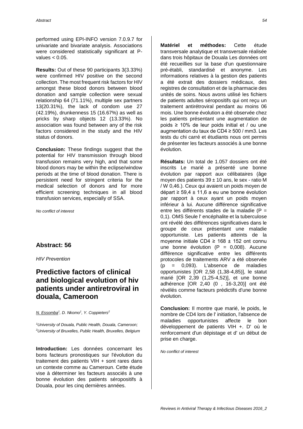performed using EPI-INFO version 7.0.9.7 for univariate and bivariate analysis. Associations were considered statistically significant at Pvalues  $< 0.05$ .

**Results:** Out of these 90 participants 3(3.33%) were confirmed HIV positive on the second collection. The most frequent risk factors for HIV amongst these blood donors between blood donation and sample collection were sexual relationship 64 (71.11%), multiple sex partners 13(20.31%), the lack of condom use 27 (42.19%), drunkenness 15 (16.67%) as well as pricks by sharp objects 12 (13.33%). No association was found between any of the risk factors considered in the study and the HIV status of donors.

**Conclusion:** These findings suggest that the potential for HIV transmission through blood transfusion remains very high, and that some blood donors may be within the eclipse/window periods at the time of blood donation. There is persistent need for stringent criteria for the medical selection of donors and for more efficient screening techniques in all blood transfusion services, especially of SSA.

*No conflict of interest*

#### **Abstract: 56**

*HIV Prevention*

# **Predictive factors of clinical and biological evolution of hiv patients under antiretroviral in douala, Cameroon**

*N. Essomba<sup>1</sup> , D. Nkomo<sup>1</sup> , Y. Coppieters<sup>2</sup>*

*<sup>1</sup>University of Douala, Public Health, Douala, Cameroon; <sup>2</sup>University of Bruxelles, Public Health, Bruxelles, Belgium*

**Introduction:** Les données concernant les bons facteurs pronostiques sur l'évolution du traitement des patients VIH + sont rares dans un contexte comme au Cameroun. Cette étude vise à déterminer les facteurs associés à une bonne évolution des patients séropositifs à Douala, pour les cinq dernières années.

**Matériel et méthodes:** Cette étude transversale analytique et transversale réalisée dans trois hôpitaux de Douala Les données ont été recueillies sur la base d'un questionnaire pré-établi, standardisé et anonyme. Les informations relatives à la gestion des patients a été extrait des dossiers médicaux, des registres de consultation et de la pharmacie des unités de soins. Nous avons utilisé les fichiers de patients adultes séropositifs qui ont reçu un traitement antirétroviral pendant au moins 06 mois. Une bonne évolution a été observée chez les patients présentant une augmentation de poids ≥ 10% de leur poids initial et / ou une augmentation du taux de CD4 ≥ 500 / mm3. Les tests du chi carré et étudiants nous ont permis de présenter les facteurs associés à une bonne évolution.

**Résultats:** Un total de 1.057 dossiers ont été inscrits Le marié a présenté une bonne évolution par rapport aux célibataires (âge moyen des patients  $39 \pm 10$  ans, le sex - ratio M / W 0,46.). Ceux qui avaient un poids moyen de départ ≥ 59,4 ± 11,6 a eu une bonne évolution par rapport à ceux ayant un poids moyen inférieur à lui. Aucune différence significative entre les différents stades de la maladie (P = 0,1). OMS Seule l' encéphalite et la tuberculose ont révélé des différences significatives dans le groupe de ceux présentant une maladie opportuniste. Les patients atteints de la moyenne initiale CD4 ≥ 168 ± 152 ont connu une bonne évolution  $(P = 0.008)$ . Aucune différence significative entre les différents protocoles de traitements ARV a été observée (p = 0,093). L'absence de maladies opportunistes [OR 2,58 (1,38-4,85)], le statut marié [OR 2,39 (1,25-4,52)], et une bonne adhérence [OR 2,40 (0 , 16-3,20)] ont été révélés comme facteurs prédictifs d'une bonne évolution.

**Conclusion:** Il montre que marié, le poids, le nombre de CD4 lors de l' initiation, l'absence de maladies opportunistes affecte le bon développement de patients VIH +. D' où le renforcement d'un dépistage et d' un début de prise en charge.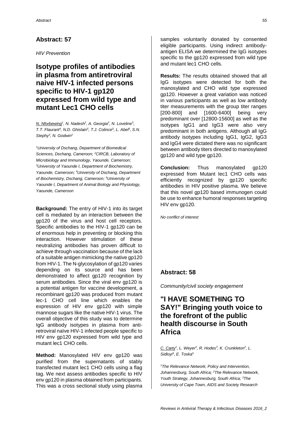*HIV Prevention*

# **Isotype profiles of antibodies in plasma from antiretroviral naive HIV-1 infected persons specific to HIV-1 gp120 expressed from wild type and mutant Lec1 CHO cells**

*M. Nforbewing<sup>1</sup>, N. Nadesh<sup>2</sup>, A. Georgia<sup>2</sup>, N. Loveline<sup>3</sup>, T.T. Flaurant<sup>4</sup>*, N.D. Ghislain<sup>5</sup>, T.J. Colince<sup>5</sup>, L. Abel<sup>5</sup>, S.N. *Stephy<sup>3</sup> , N. Godwin<sup>2</sup>*

*<sup>1</sup>University of Dschang, Department of Biomedical Sciences, Dschang, Cameroon; <sup>2</sup>CIRCB, Laboratory of Microbiology and Immunology, Yaounde, Cameroon; <sup>3</sup>University of Yaounde I, Department of Biochemistry, Yaounde, Cameroon; <sup>4</sup>University of Dschang, Department of Biochemistry, Dschang, Cameroon; <sup>5</sup>University of Yaounde I, Department of Animal Biology and Physiology, Yaounde, Cameroon*

**Background:** The entry of HIV-1 into its target cell is mediated by an interaction between the gp120 of the virus and host cell receptors. Specific antibodies to the HIV-1 gp120 can be of enormous help in preventing or blocking this interaction. However stimulation of these neutralizing antibodies has proven difficult to achieve through vaccination because of the lack of a suitable antigen mimicking the native gp120 from HIV-1. The N-glycosylation of gp120 varies depending on its source and has been demonstrated to affect gp120 recognition by serum antibodies. Since the viral env gp120 is a potential antigen for vaccine development, a recombinant gp120 was produced from mutant lec-1 CHO cell line which enables the expression of HIV env gp120 with simple mannose sugars like the native HIV-1 virus. The overall objective of this study was to determine IgG antibody isotypes in plasma from antiretroviral naïve HIV-1 infected people specific to HIV env gp120 expressed from wild type and mutant lec1 CHO cells.

**Method:** Manosylated HIV env gp120 was purified from the supernatants of stably transfected mutant lec1 CHO cells using a flag tag. We next assess antibodies specific to HIV env gp120 in plasma obtained from participants. This was a cross sectional study using plasma

samples voluntarily donated by consented eligible participants. Using indirect antibodyantigen ELISA we determined the IgG isotypes specific to the gp120 expressed from wild type and mutant lec1 CHO cells.

**Results:** The results obtained showed that all IgG isotypes were detected for both the manosylated and CHO wild type expressed gp120. However a great variation was noticed in various participants as well as low antibody titer measurements with the group titer ranges [200-800] and [1600-6400] being very predominant over [12800-15600] as well as the isotypes IgG1 and IgG3 were also very predominant in both antigens. Although all IgG antibody isotypes including IgG1, IgG2, IgG3 and IgG4 were dictated there was no significant between antibody titers directed to manosylated gp120 and wild type gp120.

**Conclusion:** Thus manosylated gp120 expressed from Mutant lec1 CHO cells was efficiently recognized by gp120 specific antibodies in HIV positive plasma. We believe that this novel gp120 based immunogen could be use to enhance humoral responses targeting HIV env gp120.

*No conflict of interest*

### **Abstract: 58**

*Community/civil society engagement*

# **"I HAVE SOMETHING TO SAY!" Bringing youth voice to the forefront of the public health discourse in South Africa**

*C. Carty<sup>1</sup> , L. Weyer<sup>2</sup> , R. Hodes<sup>3</sup> , K. Crunkleton<sup>2</sup> , L. Sidloyi<sup>4</sup> , E. Toska<sup>5</sup>*

*<sup>1</sup>The Relevance Network, Policy and Intervention, Johannesburg, South Africa; <sup>2</sup>The Relevance Network, Youth Strategy, Johannesburg, South Africa; <sup>3</sup>The University of Cape Town, AIDS and Society Research*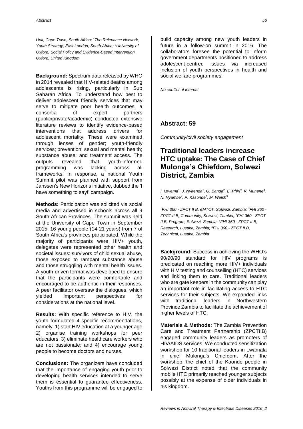*Unit, Cape Town, South Africa; <sup>4</sup>The Relevance Network, Youth Strategy, East London, South Africa; <sup>5</sup>University of Oxford, Social Policy and Evidence-Based Intervention, Oxford, United Kingdom*

**Background:** Spectrum data released by WHO in 2014 revealed that HIV-related deaths among adolescents is rising, particularly in Sub Saharan Africa. To understand how best to deliver adolescent friendly services that may serve to mitigate poor health outcomes, a consortia of expert partners (public/private/academic) conducted extensive literature reviews to identify evidence-based interventions that address drivers for adolescent mortality. These were examined through lenses of gender; youth-friendly services; prevention; sexual and mental health; substance abuse; and treatment access. The outputs revealed that youth-informed programming was lacking across all frameworks. In response, a national Youth Summit pilot was planned with support from Janssen's New Horizons initiative, dubbed the 'I have something to say!' campaign.

**Methods:** Participation was solicited via social media and advertised in schools across all 9 South African Provinces. The summit was held at the University of Cape Town in September 2015. 16 young people (14-21 years) from 7 of South Africa's provinces participated. While the majority of participants were HIV+ youth, delegates were represented other health and societal issues: survivors of child sexual abuse, those exposed to rampant substance abuse and those struggling with mental health issues. A youth-driven format was developed to ensure that the participants were comfortable and encouraged to be authentic in their responses. A peer facilitator oversaw the dialogues, which yielded important perspectives for considerations at the national level.

**Results:** With specific reference to HIV, the youth formulated 4 specific recommendations, namely: 1) start HIV education at a younger age; 2) organise training workshops for peer educators; 3) eliminate healthcare workers who are not passionate; and 4) encourage young people to become doctors and nurses.

**Conclusions:** The organizers have concluded that the importance of engaging youth prior to developing health services intended to serve them is essential to guarantee effectiveness. Youths from this programme will be engaged to

build capacity among new youth leaders in future in a follow-on summit in 2016. The collaborators foresee the potential to inform government departments positioned to address adolescent-centred issues via increased inclusion of youth perspectives in health and social welfare programmes.

*No conflict of interest*

### **Abstract: 59**

*Community/civil society engagement*

# **Traditional leaders increase HTC uptake: The Case of Chief Mulonga's Chiefdom, Solwezi District, Zambia**

*I. Mwema<sup>1</sup> , J. Nyirenda<sup>1</sup> , G. Banda<sup>2</sup> , E. Phiri<sup>3</sup> , V. Munene<sup>3</sup> , N. Nyambe<sup>4</sup> , P. Kasonde<sup>5</sup> , M. Welsh<sup>5</sup>*

*<sup>1</sup>FHI 360 - ZPCT II B, eMTCT, Solwezi, Zambia; <sup>2</sup>FHI 360 - ZPCT II B, Community, Solwezi, Zambia; <sup>3</sup>FHI 360 - ZPCT II B, Program, Solwezi, Zambia; <sup>4</sup>FHI 360 - ZPCT II B, Research, Lusaka, Zambia; <sup>5</sup>FHI 360 - ZPCT II B, Technical, Lusaka, Zambia*

**Background:** Success in achieving the WHO's 90/90/90 standard for HIV programs is predicated on reaching more HIV+ individuals with HIV testing and counselling (HTC) services and linking them to care. Traditional leaders who are gate keepers in the community can play an important role in facilitating access to HTC services for their subiects. We expanded links with traditional leaders in Northwestern Province Zambia to facilitate the achievement of higher levels of HTC.

**Materials & Methods:** The Zambia Prevention Care and Treatment Partnership (ZPCTIIB) engaged community leaders as promoters of HIV/AIDS services. We conducted sensitization workshop for 10 traditional leaders in Lwamala in chief Mulonga's Chiefdom. After the workshop, the chief of the Kaonde people in Solwezi District noted that the community mobile HTC primarily reached younger subjects possibly at the expense of older individuals in his kingdom.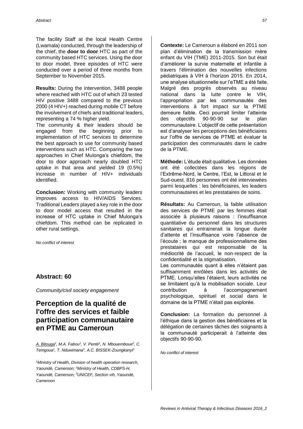The facility Staff at the local Health Centre (Lwamala) conducted, through the leadership of the chief, the **door to door** HTC as part of the community based HTC services. Using the door to door model, three episodes of HTC were conducted over a period of three months from September to November 2015.

**Results:** During the intervention, 3488 people where reached with HTC out of which 23 tested HIV positive 3488 compared to the previous 2000 (4 HIV+) reached during mobile CT before the involvement of chiefs and traditional leaders, representing a 74 % higher yield.

The community & their leaders should be engaged from the beginning prior to implementation of HTC services to determine the best approach to use for community based interventions such as HTC. Comparing the two approaches in Chief Mulonga's chiefdom, the door to door approach nearly doubled HTC uptake in that area and yielded 19 (0.5%) increase in number of HIV+ individuals identified.

**Conclusion:** Working with community leaders improves access to HIV/AIDS Services. Traditional Leaders played a key role in the door to door model access that resulted in the increase of HTC uptake in Chief Mulonga's chiefdom. This method can be replicated in other rural settings.

*No conflict of interest*

#### **Abstract: 60**

*Community/civil society engagement*

# **Perception de la qualité de l'offre des services et faible participation communautaire en PTME au Cameroun**

*A. Bitouga<sup>1</sup> , M.A. Fabou<sup>1</sup> , V. Penté<sup>1</sup> , N. Mbouemboue<sup>2</sup> , C. Temgoua<sup>1</sup> , T. Nduwimana<sup>3</sup> , A.C. BISSEK-Zoungkanyi<sup>1</sup>*

*<sup>1</sup>Ministry of Health, Division of health operation research, Yaoundé, Cameroon; <sup>2</sup>Ministry of Health, CDBPS-H, Yaoundé, Cameroon; <sup>3</sup>UNICEF, Section vih, Yaoundé, Cameroon*

**Contexte:** Le Cameroun a élaboré en 2011 son plan d'élimination de la transmission mère enfant du VIH (TME) 2011-2015. Son but était d'améliorer la survie maternelle et infantile à travers l'élimination des nouvelles infections pédiatriques à VIH à l'horizon 2015. En 2014, une analyse situationnelle sur l'eTME a été faite. Malgré des progrès observés au niveau national dans la lutte contre le VIH, l'appropriation par les communautés des interventions à fort impact sur la PTME demeure faible. Ceci pourrait limiter l'atteinte des objectifs 90-90-90 sur le plan communautaire. L'objectif de cette présentation est d'analyser les perceptions des bénéficiaires sur l'offre de services de PTME et évaluer la participation des communautés dans le cadre de la PTME.

**Méthode:** L'étude était qualitative. Les données ont été collectées dans les régions de l'Extrême-Nord, le Centre, l'Est, le Littoral et le Sud-ouest. 816 personnes ont été interviewées parmi lesquelles : les bénéficiaires, les leaders communautaires et les prestataires de soins.

**Résultats:** Au Cameroun, la faible utilisation des services de PTME par les femmes était associée à plusieurs raisons : l'insuffisance quantitative du personnel dans les structures sanitaires qui entrainerait la longue durée d'attente et l'insuffisance voire l'absence de l'écoute ; le manque de professionnalisme des prestataires qui est responsable de la médiocrité de l'accueil, le non-respect de la confidentialité et la stigmatisation.

Les communautés quant à elles n'étaient pas suffisamment enrôlées dans les activités de PTME. Lorsqu'elles l'étaient, leurs activités ne se limitaient qu'à la mobilisation sociale. Leur contribution à l'accompagnement psychologique, spirituel et social dans le domaine de la PTME n'était pas explorée.

**Conclusion:** La formation du personnel à l'éthique dans la gestion des bénéficiaires et la délégation de certaines tâches des soignants à la communauté participerait à l'atteinte des objectifs 90-90-90.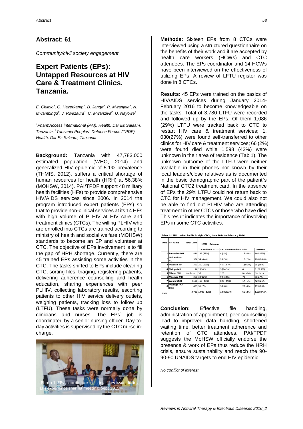*Community/civil society engagement*

# **Expert Patients (EPs): Untapped Resources at HIV Care & Treatment Clinics, Tanzania.**

*E. Chilolo<sup>1</sup> , G. Haverkamp<sup>1</sup> , D. Janga<sup>2</sup> , R. Mwanjela<sup>2</sup> , N. Mwambingu<sup>2</sup> , J. Rwezaura<sup>1</sup> , C. Mwanziva<sup>2</sup> , U. Nayowe<sup>2</sup>*

*<sup>1</sup>PharmAccess international (PAI), Health, Dar Es Salaam, Tanzania; <sup>2</sup>Tanzania Peoples` Defense Forces (TPDF), Health, Dar Es Salaam, Tanzania*

**Background:** Tanzania with 47,783,000 estimated population (WHO, 2014) and generalized HIV epidemic of 5.1% prevalence (THMIS, 2012), suffers a critical shortage of human resources for health (HRH) at 56.38% (MOHSW, 2014). PAI/TPDF support 48 military health facilities (HFs) to provide comprehensive HIV/AIDS services since 2006. In 2014 the program introduced expert patients (EPs) so that to provide non-clinical services at its 14 HFs with high volume of PLHIV at HIV care and treatment clinics (CTCs). The willing PLHIV who are enrolled into CTCs are trained according to ministry of health and social welfare (MOHSW) standards to become an EP and volunteer at CTC. The objective of EPs involvement is to fill the gap of HRH shortage. Currently, there are 45 trained EPs assisting some activities in the CTC. The tasks shifted to EPs include cleaning CTC, sorting files, triaging, registering patients, delivering adherence counselling and health education, sharing experiences with peer PLHIV, collecting laboratory results, escorting patients to other HIV service delivery outlets, weighing patients, tracking loss to follow up (LTFU). These tasks were normally done by clinicians and nurses. The EPs` job is coordinated by a senior nursing officer. Day-today activities is supervised by the CTC nurse incharge.



**Methods:** Sixteen EPs from 8 CTCs were interviewed using a structured questionnaire on the benefits of their work and if are accepted by health care workers (HCWs) and CTC attendees. The EPs coordinator and 14 HCWs have been interviewed on the effectiveness of utilizing EPs. A review of LFTU register was done in 8 CTCs.

**Results:** 45 EPs were trained on the basics of HIV/AIDS services during January 2014- February 2016 to become knowledgeable on the tasks. Total of 3,780 LTFU were recorded and followed up by the EPs. Of them 1,086 (29%) LTFU were tracked back to CTC to restart HIV care & treatment services; 1, 030(27%) were found self-transferred to other clinics for HIV care & treatment services; 66 (2%) were found died while 1,598 (42%) were unknown in their area of residence (Tab 1). The unknown outcome of the LTFU were neither available in their phones nor known by their local leaders/close relatives as is documented in the basic demographic part of the patient`s National CTC2 treatment card. In the absence of EPs the 29% LTFU could not return back to CTC for HIV management. We could also not be able to find out PLHIV who are attending treatment in other CTCs or those who have died. This result indicates the importance of involving EPs in some CTC activities.

| S/No           | <b>HF Name</b>         | <b>Total LTFU</b> | <b>LTFU</b><br>Outcome |                                          |             |             |
|----------------|------------------------|-------------------|------------------------|------------------------------------------|-------------|-------------|
|                |                        |                   |                        | Tracked back to ctc Self transferred out | <b>Died</b> | Unknown     |
| 1              | <b>Ruhuwiko MH</b>     | 421               | 235 (53%)              | 4 (1%)                                   | 16 (4%)     | 166(42%)    |
| $\overline{2}$ | Makambako<br>нc        |                   | 534 34 (6.4%)          | 28 (5%)                                  | 12 (2%)     | 460 (86.6%) |
|                | 3 Mwanza MH            |                   | 363 250 (69%)          | 46 (12.7%)                               | 1(0.3%)     | 66 (18%)    |
|                | 4 Mzinga MH            | 14                | 2(14.3)                | 9(64.3%)                                 | o           | 3(21.4%)    |
|                | 5 Mbeya MH             | No data           | 36                     | 125                                      | No data     | No data     |
|                | 6 Milambo MH           | 260               | 30(12%)                | 90 (34%)                                 | 70          | 70(27%)     |
| 7              | <b>Lugalo GMH</b>      |                   | 1598 463 (29%)         | 698 (44%)                                | 17 (1%)     | 420 (26%)   |
|                | 8 Mwenge RCH<br>clinic |                   | 499 36 (7%)            | 30 (6%)                                  | 20 (4%)     | 413 (83%)   |
| <b>TOTA</b>    |                        |                   | 3,780 1,086 (29%)      | 1,030(27%)                               | 66 (2%)     | 1,598 (42%) |

**Table 1: LTFU tracked by EPs in eight CTCs , June 2014 to February 2016:**

**Conclusion:** Effective file handling, administration of appointment, peer counselling lead to improved data handling, shortened waiting time, better treatment adherence and retention of CTC attendees. PAI/TPDF suggests the MoHSW officially endorse the presence & work of EPs thus reduce the HRH crisis, ensure sustainability and reach the 90- 90-90 UNAIDS targets to end HIV epidemic.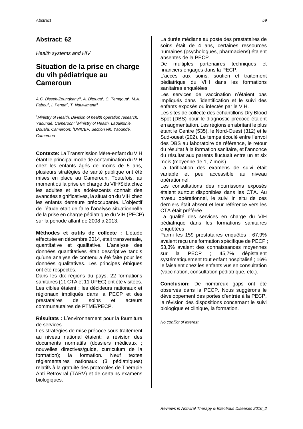*Health systems and HIV*

# **Situation de la prise en charge du vih pédiatrique au Cameroun**

*A.C. Bissek-Zoungkanyi<sup>1</sup> , A. Bitouga<sup>1</sup> , C. Temgoua<sup>1</sup> , M.A. Fabou<sup>1</sup> , I. Penda<sup>2</sup> , T. Nduwimana<sup>3</sup>*

*<sup>1</sup>Ministry of Health, Division of health operation research, Yaoundé, Cameroon; <sup>2</sup>Ministry of Health, Laquintinie, Douala, Cameroon; <sup>3</sup>UNICEF, Section vih, Yaoundé, Cameroon*

**Contexte:** La Transmission Mère-enfant du VIH étant le principal mode de contamination du VIH chez les enfants âgés de moins de 5 ans, plusieurs stratégies de santé publique ont été mises en place au Cameroun. Toutefois, au moment où la prise en charge du VIH/Sida chez les adultes et les adolescents connait des avancées significatives, la situation du VIH chez les enfants demeure préoccupante. L'objectif de l'étude était de faire l'analyse situationnelle de la prise en charge pédiatrique du VIH (PECP) sur la période allant de 2008 à 2013.

**Méthodes et outils de collecte :** L'étude effectuée en décembre 2014, était transversale, quantitative et qualitative. L'analyse des données quantitatives était descriptive tandis qu'une analyse de contenu a été faite pour les données qualitatives. Les principes éthiques ont été respectés.

Dans les dix régions du pays, 22 formations sanitaires (11 CTA et 11 UPEC) ont été visitées. Les cibles étaient : les décideurs nationaux et régionaux impliqués dans la PECP et des prestataires de soins et acteurs communautaires de PTME/PECP.

**Résultats :** L'environnement pour la fourniture de services

Les stratégies de mise précoce sous traitement au niveau national étaient: la révision des documents normatifs (dossiers médicaux ; nouvelles directives/guide, curriculum de la formation); la formation. Neuf textes réglementaires nationaux (3 pédiatriques) relatifs à la gratuité des protocoles de Thérapie Anti Retroviral (TARV) et de certains examens biologiques.

La durée médiane au poste des prestataires de soins était de 4 ans, certaines ressources humaines (psychologues, pharmaciens) étaient absentes de la PECP.

De multiples partenaires techniques et financiers engagés dans la PECP.

L'accès aux soins, soutien et traitement pédiatrique du VIH dans les formations sanitaires enquêtées

Les services de vaccination n'étaient pas impliqués dans l'identification et le suivi des enfants exposés ou infectés par le VIH.

Les sites de collecte des échantillons Dry Blood Spot (DBS) pour le diagnostic précoce étaient en augmentation. Les régions en abritant le plus étant le Centre (535), le Nord-Ouest (312) et le Sud-ouest (202). Le temps écoulé entre l'envoi des DBS au laboratoire de référence, le retour du résultat à la formation sanitaire, et l'annonce du résultat aux parents fluctuait entre un et six mois (moyenne de 1, 7 mois).

La tarification des examens de suivi était variable et peu accessible au niveau opérationnel.

Les consultations des nourrissons exposés étaient surtout disponibles dans les CTA. Au niveau opérationnel, le suivi in situ de ces derniers était absent et leur référence vers les CTA était préférée.

La qualité des services en charge du VIH pédiatrique dans les formations sanitaires enquêtées

Parmi les 159 prestataires enquêtés : 67,9% avaient reçu une formation spécifique de PECP ; 53,3% avaient des connaissances moyennes sur la PECP ; 45,7% dépistaient systématiquement tout enfant hospitalisé ; 16% le faisaient chez les enfants vus en consultation (vaccination, consultation pédiatrique, etc.).

**Conclusion:** De nombreux gaps ont été observés dans la PECP. Nous suggérons le développement des portes d'entrée à la PECP, la révision des dispositions concernant le suivi biologique et clinique, la formation.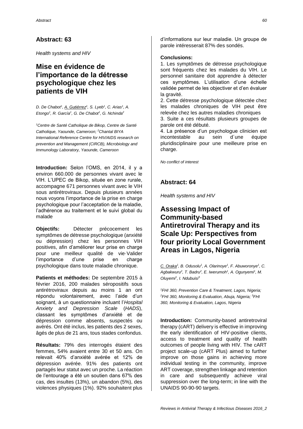*Health systems and HIV*

# **Mise en évidence de l'importance de la détresse psychologique chez les patients de VIH**

*D. De Chabot<sup>1</sup> , A. Gutiérrez<sup>1</sup> , S. Lyeb<sup>1</sup> , C. Arias<sup>1</sup> , A. Etongo<sup>1</sup> , R. García<sup>1</sup> , G. De Chabot<sup>1</sup> , G. Nchinda<sup>2</sup>*

*<sup>1</sup>Centre de Santé Catholique de Bikop, Centre de Santé Catholique, Yaounde, Cameroon; <sup>2</sup>Chantal BIYA International Reference Centre for HIV/AIDS research on prevention and Management (CIRCB), Microbiology and Immunology Laboratory, Yaounde, Cameroon*

**Introduction:** Selon l'OMS, en 2014, il y a environ 660.000 de personnes vivant avec le VIH. L'UPEC de Bikop, située en zone rurale, accompagne 671 personnes vivant avec le VIH sous antirétroviraux. Depuis plusieurs années nous voyons l'importance de la prise en charge psychologique pour l'acceptation de la maladie, l'adhérence au traitement et le suivi global du malade

**Objectifs:** Détecter précocement les symptômes de détresse psychologique (anxiété ou dépression) chez les personnes VIH positives, afin d'améliorer leur prise en charge pour une meilleur qualité de vie·Valider l'importance d'une prise en charge psychologique dans toute maladie chronique.

**Patients et méthodes:** De septembre 2015 à février 2016, 200 malades séropositifs sous antirétroviraux depuis au moins 1 an ont répondu volontairement, avec l'aide d'un soignant, à un questionnaire incluant l'*Hospital Anxiety and Depression Scale* (*HADS*), classant les symptômes d'anxiété et de dépression comme absents, suspectés ou avérés. Ont été inclus, les patients des 2 sexes, âgés de plus de 21 ans, tous stades confondus.

**Résultats:** 79% des interrogés étaient des femmes, 54% avaient entre 30 et 50 ans. On relevait 40% d'anxiété avérée et 12% de dépression avérée. 91% des patients ont partagés leur statut avec un proche. La réaction de l'entourage a été un soutien dans 67% des cas, des insultes (13%), un abandon (5%), des violences physiques (1%). 92% souhaitent plus

d'informations sur leur maladie. Un groupe de parole intéresserait 87% des sondés.

#### **Conclusions:**

1. Les symptômes de détresse psychologique sont fréquents chez les malades du VIH. Le personnel sanitaire doit apprendre à détecter ces symptômes. L'utilisation d'une échelle validée permet de les objectiver et d'en évaluer la gravité.

2. Cette détresse psychologique détectée chez les malades chroniques de VIH peut être relevée chez les autres maladies chroniques

3. Suite a ces résultats plusieurs groupes de parole ont été débuté.

4. La présence d'un psychologue clinicien est incontestable au sein d´une équipe pluridisciplinaire pour une meilleure prise en charge.

*No conflict of interest*

### **Abstract: 64**

*Health systems and HIV*

# **Assessing Impact of Community-based Antiretroviral Therapy and its Scale Up: Perspectives from four priority Local Government Areas in Lagos, Nigeria**

*C. Oraka<sup>1</sup> , B. Odusolu<sup>1</sup> , A. Olarinoye<sup>1</sup> , F. Abuworonye<sup>1</sup> , C. Agbakwuru<sup>2</sup> , T. Badru<sup>2</sup> , E. Iwerumoh<sup>1</sup> , A. Ogunyemi<sup>1</sup> , M. Oluyemi<sup>1</sup> , I. Ndubuisi<sup>3</sup>*

*<sup>1</sup>FHI 360, Prevention Care & Treatment, Lagos, Nigeria; <sup>2</sup>FHI 360, Monitoring & Evaluation, Abuja, Nigeria; <sup>3</sup>FHI 360, Monitoring & Evaluation, Lagos, Nigeria*

**Introduction:** Community-based antiretroviral therapy (cART) delivery is effective in improving the early identification of HIV-positive clients, access to treatment and quality of health outcomes of people living with HIV. The cART project scale-up (cART Plus) aimed to further improve on those gains in achieving more individual testing in the community, improve ART coverage, strengthen linkage and retention in care and subsequently achieve viral suppression over the long-term; in line with the UNAIDS 90-90-90 targets.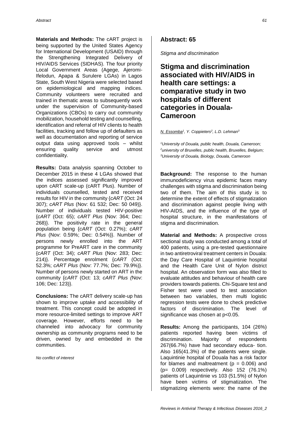**Materials and Methods:** The cART project is being supported by the United States Agency for International Development (USAID) through the Strengthening Integrated Delivery of HIV/AIDS Services (SIDHAS). The four priority Local Government Areas (Agege, Ajeromi-Ifelodun, Apapa & Surulere LGAs) in Lagos State, South West Nigeria were selected based on epidemiological and mapping indices. Community volunteers were recruited and trained in thematic areas to subsequently work under the supervision of Community-based Organizations (CBOs) to carry out community mobilization, household testing and counselling, identification and referral of HIV clients to health facilities, tracking and follow up of defaulters as well as documentation and reporting of service output data using approved tools – whilst ensuring quality service and utmost confidentiality.

**Results:** Data analysis spanning October to December 2015 in these 4 LGAs showed that the indices assessed significantly improved upon cART scale-up (cART Plus). Number of individuals counselled, tested and received results for HIV in the community {*cART* (Oct: 24 307); *cART Plus* (Nov: 61 532; Dec: 50 049)}. Number of individuals tested HIV-positive {*cART* (Oct: 65); *cART Plus* (Nov: 364; Dec: 268)}. The positivity rate in the general population being {*cART* (Oct: 0.27%); *cART Plus* (Nov: 0.59%; Dec: 0.54%)}. Number of persons newly enrolled into the ART programme for PreART care in the community {*cART* (Oct: 34); *cART Plus* (Nov: 283; Dec: 214)}. Percentage enrolment {*cART* (Oct: 52.3%; *cART Plus* (Nov: 77.7%; Dec: 79.9%)}. Number of persons newly started on ART in the community {*cART* (Oct: 13; *cART Plus (*Nov: 106; Dec: 123)}.

**Conclusions:** The cART delivery scale-up has shown to improve uptake and accessibility of treatment. This concept could be adopted in more resource-limited settings to improve ART coverage. However, efforts need to be channeled into advocacy for community ownership as community programs need to be driven, owned by and embedded in the communities.

*No conflict of interest*

#### **Abstract: 65**

*Stigma and discrimination*

**Stigma and discrimination associated with HIV/AIDS in health care settings: a comparative study in two hospitals of different categories in Douala-Cameroon** 

*N. Essomba<sup>1</sup> , Y. Coppieters<sup>2</sup> , L.D. Lehman<sup>3</sup>*

*<sup>1</sup>University of Douala, public health, Douala, Cameroon; <sup>2</sup>university of Bruxelles, public health, Bruxelles, Belgium; <sup>3</sup>University of Douala, Biology, Douala, Cameroon*

**Background:** The response to the human immunodeficiency virus epidemic faces many challenges with stigma and discrimination being two of them. The aim of this study is to determine the extent of effects of stigmatization and discrimination against people living with HIV-AIDS, and the influence of the type of hospital structure, in the manifestations of stigma and discrimination.

**Material and Methods:** A prospective cross sectional study was conducted among a total of 400 patients, using a pre-tested questionnaire in two antiretroviral treatment centers in Douala: the Day Care Hospital of Laquintinie hospital and the Health Care Unit of Nylon district hospital. An observation form was also filled to evaluate attitudes and behaviour of health care providers towards patients. Chi-Square test and Fisher test were used to test association between two variables, then multi logistic regression tests were done to check predictive factors of discrimination. The level of significance was chosen at p<0.05.

**Results:** Among the participants, 104 (26%) patients reported having been victims of discrimination. Majority of respondents 267(66.7%) have had secondary educa- tion. Also 165(41.3%) of the patients were single. Laquintinie hospital of Douala has a risk factor for blames and maltreatment ( $p = 0.006$ ) and (p= 0.009) respectively. Also 152 (76.1%) patients of Laquintinie vs 103 (51.5%) of Nylon have been victims of stigmatization. The stigmatizing elements were: the name of the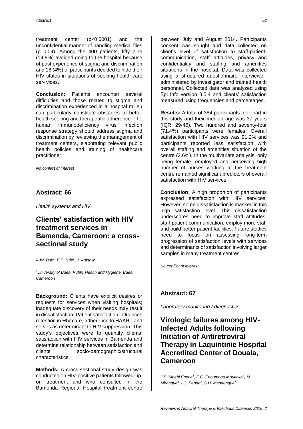treatment center (p<0.0001) and the unconfidential manner of handling medical files (p=0.04). Among the 400 patients, fifty nine (14.8%) avoided going to the hospital because of past experience of stigma and discrimination and 16 (4%) of participants decided to hide their HIV status in situations of seeking health care ser- vices.

**Conclusion:** Patients encounter several difficulties and those related to stigma and discrimination experienced in a hospital milieu can particularly constitute obstacles to better health seeking and therapeutic adherence. The human immunodeficiency virus infection response strategy should address stigma and discrimination by reviewing the management of treatment centers, elaborating relevant public health policies and training of healthcare practitioner.

*No conflict of interest*

#### **Abstract: 66**

*Health systems and HIV*

### **Clients' satisfaction with HIV treatment services in Bamenda, Cameroon: a crosssectional study**

*A.W. Buh<sup>1</sup> , F.P. Nde<sup>1</sup> , J. Atashili<sup>1</sup>*

*<sup>1</sup>University of Buea, Public Health and Hygiene, Buea, Cameroon*

**Background:** Clients have explicit desires or requests for services when visiting hospitals; inadequate discovery of their needs may result in dissatisfaction. Patient satisfaction influences retention in HIV care, adherence to HAART and serves as determinant to HIV suppression. This study's objectives were to quantify clients' satisfaction with HIV services in Bamenda and determine relationship between satisfaction and clients' socio-demographic/structural characteristics.

**Methods:** A cross-sectional study design was conducted on HIV-positive patients followed-up, on treatment and who consulted in the Bamenda Regional Hospital treatment centre

between July and August 2014. Participants consent was sought and data collected on client's level of satisfaction to staff-patientcommunication, staff attitudes, privacy and confidentiality and staffing and amenities situations in the hospital. Data was collected using a structured questionnaire intervieweradministered by investigator and trained health personnel. Collected data was analyzed using Epi Info version 3.5.4 and clients' satisfaction measured using frequencies and percentages.

**Results:** A total of 384 participants took part in this study and their median age was 37 years (IQR: 29-46). Two hundred and seventy-four (71.4%) participants were females. Overall satisfaction with HIV services was 91.2% and participants reported less satisfaction with overall staffing and amenities situation of the centre (3.6%). In the multivariate analysis, only being female, employed and perceiving high number of nurses working at the treatment centre remained significant predictors of overall satisfaction with HIV services.

**Conclusion:** A high proportion of participants expressed satisfaction with HIV services. However, some dissatisfaction is masked in this high satisfaction level. This dissatisfaction underscores need to improve staff attitudes, staff-patient-communication, employ more staff and build better patient facilities. Future studies need to focus on assessing long-term progression of satisfaction levels with services and determinants of satisfaction involving larger samples in many treatment centres.

*No conflict of interest*

#### **Abstract: 67**

*Laboratory monitoring / diagnostics*

# **Virologic failures among HIV-Infected Adults following Initiation of Antiretroviral Therapy in Laquintinie Hospital Accredited Center of Douala, Cameroon**

*J.P. Mbebi Enone<sup>1</sup> , E.C. Eboumbou Moukoko<sup>2</sup> , M. Mbangue<sup>3</sup> , I.C. Penda<sup>2</sup> , S.H. Mandengué1*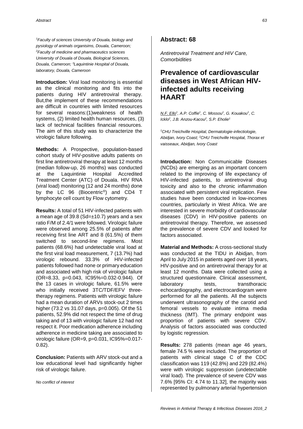*<sup>1</sup>Faculty of sciences University of Douala, biology and pysiology of animals organisims, Douala, Cameroon; <sup>2</sup>Faculty of medicine and pharmaceutics sciences University of Douala of Douala, Biological Sciences, Douala, Cameroon; <sup>3</sup>Laquintinie Hospital of Douala, laboratory, Douala, Cameroon*

**Introduction:** Viral load monitoring is essential as the clinical monitoring and fits into the patients during HIV antiretroviral therapy. But,the implement of these recommendations are difficult in countries with limited resources for several reasons:(1)weakness of health systems, (2) limited health human resources, (3) lack of technical facilities financial resources. The aim of this study was to characterize the virologic failure following.

**Methods:** A Prospective, population-based cohort study of HIV-positive adults patients on first line antiretroviral therapy at least 12 months (median follow-up, 26 months) was conducted at the Laquintinie Hospital Accredited Treatment Center (ATC) of Douala. HIV RNA (viral load) monitoring (12 and 24 months) done by the LC 96 (Biocentric®) and CD4 T lymphocyte cell count by Flow cytometry.

**Results:** A total of 51 HIV-infected patients with a mean age of 39.8 ( $Sd=\pm 10.7$ ) years and a sex ratio F/M of 2.4/1 were followed. Virologic failure were observed among 25.5% of patients after receiving first line ART and 8 (61.5%) of them switched to second-line regimens. Most patients (68.6%) had undetectable viral load at the first viral load measurement, 7 (13.7%) had virologic rebound. 33.3% of HIV-infected patients followed had none or primary education and associated with high risk of virologic failure (OR=8.33, p=0.043, IC95%=0.032-0.944). Of the 13 cases in virologic failure, 61.5% were who initially received 3TC/TDF/EFV threetherapy regimens. Patients with virologic failure had a mean duration of ARVs stock-out 2 times higher (73.2 vs 31.07 days, p=0.005). Of the 51 patients, 52.9% did not respect the time of drug taking and of 13 with virologic failure 12 had not respect it. Poor medication adherence including adherence in medicine taking are associated to virologic failure (OR=9, p=0.031, IC95%=0.017- 0.82).

**Conclusion:** Patients with ARV stock-out and a low educational level had significantly higher risk of virologic failure.

*No conflict of interest*

#### **Abstract: 68**

*Antiretroviral Treatment and HIV Care, Comorbidities*

# **Prevalence of cardiovascular diseases in West African HIVinfected adults receiving HAART**

*N.F. Ello<sup>1</sup> , A.P. Coffie<sup>1</sup> , C. Mossou<sup>1</sup> , G. Kouakou<sup>1</sup> , C. Icklo<sup>2</sup> , J.B. Anzou-Kacou<sup>2</sup> , S.P. Eholie<sup>1</sup>*

*<sup>1</sup>CHU Treichville Hospital, Dermatologie-infectiologie, Abidjan, Ivory Coast; <sup>2</sup>CHU Treichville Hospital, Thorax et vaisseaux, Abidjan, Ivory Coast*

**Introduction:** Non Communicable Diseases (NCDs) are emerging as an important concern related to the improving of life expectancy of HIV-infected patients, to antiretroviral drug toxicity and also to the chronic inflammation associated with persistent viral replication. Few studies have been conducted in low-incomes countries, particularly in West Africa. We are interested in severe morbidity of cardiovascular diseases (CDV) in HIV-positive patients on antiretroviral therapy. Therefore, we assessed the prevalence of severe CDV and looked for factors associated.

**Material and Methods:** A cross-sectional study was conducted at the TIDU in Abidjan, from April to July 2015 in patients aged over 18 years, HIV-positive and on antiretroviral therapy for at least 12 months. Data were collected using a structured questionnaire. Clinical assessment, laboratory tests, transthoracic echocardiography, and electrocardiogram were performed for all the patients. All the subjects underwent ultrasonography of the carotid and femoral vessels to evaluate intima media thickness (IMT). The primary endpoint was proportion of patients with severe CDV. Analysis of factors associated was conducted by logistic regression.

**Results:** 278 patients (mean age 46 years, female 74.5 % were included. The proportion of patients with clinical stage C of the CDC classification was 119 (42.8%) and 229 (82.4%) were with virologic suppression (undetectable viral load). The prevalence of severe CDV was 7.6% [95% CI: 4.74 to 11.32], the majority was represented by pulmonary arterial hypertension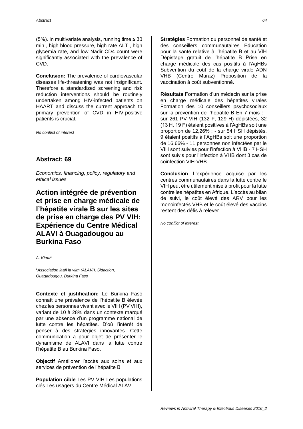(5%). In multivariate analysis, running time  $\leq 30$ min , high blood pressure, high rate ALT , high glycemia rate, and low Nadir CD4 count were significantly associated with the prevalence of CVD.

**Conclusion:** The prevalence of cardiovascular diseases life-threatening was not insignificant. Therefore a standardized screening and risk reduction interventions should be routinely undertaken among HIV-infected patients on HAART and discuss the current approach to primary prevention of CVD in HIV-positive patients is crucial.

*No conflict of interest*

#### **Abstract: 69**

*Economics, financing, policy, regulatory and ethical issues*

**Action intégrée de prévention et prise en charge médicale de l'hépatite virale B sur les sites de prise en charge des PV VIH: Expérience du Centre Médical ALAVI à Ouagadougou au Burkina Faso**

*A. Kima<sup>1</sup>*

*<sup>1</sup>Association laafi la viim (ALAVI), Sidaction, Ouagadougou, Burkina Faso* 

**Contexte et justification:** Le Burkina Faso connaît une prévalence de l'hépatite B élevée chez les personnes vivant avec le VIH (PV VIH), variant de 10 à 28% dans un contexte marqué par une absence d'un programme national de lutte contre les hépatites. D'où l'intérêt de penser à des stratégies innovantes. Cette communication a pour objet de présenter le dynamisme de ALAVI dans la lutte contre l'hépatite B au Burkina Faso.

**Objectif** Améliorer l'accès aux soins et aux services de prévention de l'hépatite B

**Population cible** Les PV VIH Les populations clés Les usagers du Centre Médical ALAVI

**Stratégies** Formation du personnel de santé et des conseillers communautaires Education pour la santé relative à l'hépatite B et au VIH Dépistage gratuit de l'hépatite B Prise en charge médicale des cas positifs à l'AgHBs Subvention du coût de la charge virale ADN VHB (Centre Muraz) Proposition de la vaccination à coût subventionné.

**Résultats** Formation d'un médecin sur la prise en charge médicale des hépatites virales Formation des 10 conseillers psychosociaux sur la prévention de l'hépatite B En 7 mois : sur 261 PV VIH (132 F, 129 H) dépistées, 32 (13 H, 19 F) étaient positives à l'AgHBs soit une proportion de 12,26% ; - sur 54 HSH dépistés, 9 étaient positifs à l'AgHBs soit une proportion de 16,66% - 11 personnes non infectées par le VIH sont suivies pour l'infection à VHB - 7 HSH sont suivis pour l'infection à VHB dont 3 cas de coinfection VIH-VHB.

**Conclusion** L'expérience acquise par les centres communautaires dans la lutte contre le VIH peut être utilement mise à profit pour la lutte contre les hépatites en Afrique. L'accès au bilan de suivi, le coût élevé des ARV pour les monoinfectés VHB et le coût élevé des vaccins restent des défis à relever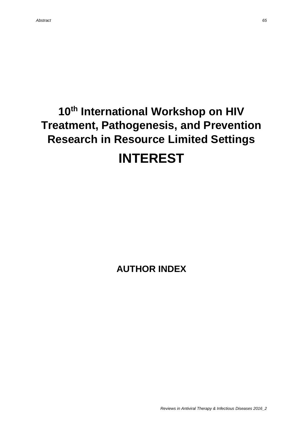# **10th International Workshop on HIV Treatment, Pathogenesis, and Prevention Research in Resource Limited Settings INTEREST**

**AUTHOR INDEX**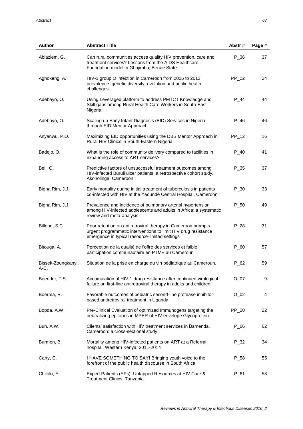| Author                     | <b>Abstract Title</b>                                                                                                                                                            | Abstr# | Page # |
|----------------------------|----------------------------------------------------------------------------------------------------------------------------------------------------------------------------------|--------|--------|
| Abiaziem, G.               | Can rural communities access quality HIV prevention, care and<br>treatment services? Lessons from the AIDS Healthcare<br>Foundation model in Gbajimba, Benue State               | $P_36$ | 37     |
| Aghokeng, A.               | HIV-1 group O infection in Cameroon from 2006 to 2013:<br>prevalence, genetic diversity, evolution and public health<br>challenges                                               | PP_22  | 24     |
| Adebayo, O.                | Using Leveraged platform to address PMTCT Knowledge and<br>Skill gaps among Rural Health Care Workers in South-East<br>Nigeria                                                   | $P_44$ | 44     |
| Adebayo, O.                | Scaling up Early Infant Diagnosis (EID) Services in Nigeria<br>through EID Mentor Approach                                                                                       | $P_46$ | 46     |
| Anyanwu, P.O.              | Maximizing EID opportunities using the DBS Mentor Approach in<br>Rural HIV Clinics in South-Eastern Nigeria                                                                      | PP_12  | 16     |
| Badejo, O.                 | What is the role of community delivery compared to facilities in<br>expanding access to ART services?                                                                            | $P_40$ | 41     |
| Bell, O.                   | Predictive factors of unsuccessful treatment outcomes among<br>HIV-infected Buruli ulcer patients: a retrospective cohort study,<br>Akonolinga, Cameroon                         | $P_35$ | 37     |
| Bigna Rim, J.J.            | Early mortality during initial treatment of tuberculosis in patients<br>co-infected with HIV at the Yaoundé Central Hospital, Cameroon                                           | $P_30$ | 33     |
| Bigna Rim, J.J.            | Prevalence and incidence of pulmonary arterial hypertension<br>among HIV-infected adolescents and adults in Africa: a systematic<br>review and meta-analysis                     | $P_50$ | 49     |
| Billong, S.C.              | Poor retention on antiretroviral therapy in Cameroon prompts<br>urgent programmatic interventions to limit HIV drug resistance<br>emergence in typical resource-limited settings | $P_28$ | 31     |
| Bitouga, A.                | Perception de la qualité de l'offre des services et faible<br>participation communautaire en PTME au Cameroun                                                                    | $P_60$ | 57     |
| Bissek-Zoungkanyi,<br>A-C. | Situation de la prise en charge du vih pédiatrique au Cameroun.                                                                                                                  | $P_62$ | 59     |
| Boender, T.S.              | Accumulation of HIV-1 drug resistance after continued virological<br>failure on first-line antiretroviral therapy in adults and children.                                        | $O_07$ | 9      |
| Boerma, R.                 | Favorable outcomes of pediatric second-line protease inhibitor-<br>based antiretroviral treatment in Uganda                                                                      | $O_02$ | 4      |
| Bopda, A.W.                | Pre-Clinical Evaluation of optimized Immunogens targeting the<br>neutralizing epitopes in MPER of HIV envelope Glycoprotein                                                      | PP_20  | 22     |
| Buh, A.W.                  | Clients' satisfaction with HIV treatment services in Bamenda,<br>Cameroon: a cross-sectional study                                                                               | $P_66$ | 62     |
| Burmen, B.                 | Mortality among HIV-infected patients on ART at a Referral<br>hospital, Western Kenya, 2011-2014                                                                                 | $P_32$ | 34     |
| Carty, C.                  | I HAVE SOMETHING TO SAY! Bringing youth voice to the<br>forefront of the public health discourse in South Africa                                                                 | $P_58$ | 55     |
| Chilolo, E.                | Expert Patients (EPs): Untapped Resources at HIV Care &<br>Treatment Clinics, Tanzania.                                                                                          | $P_61$ | 58     |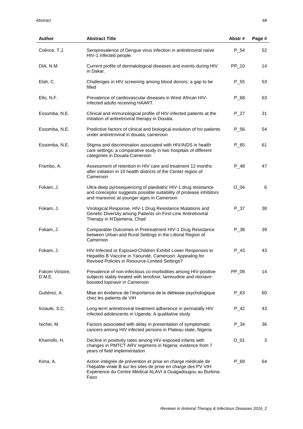| <b>Author</b>             | <b>Abstract Title</b>                                                                                                                                                                                   | Abstr#           | Page # |
|---------------------------|---------------------------------------------------------------------------------------------------------------------------------------------------------------------------------------------------------|------------------|--------|
| Colince, T.J.             | Seroprevalence of Dengue virus infection in antiretroviral naïve<br>HIV-1 infected people.                                                                                                              | $P_54$           | 52     |
| DIA, N.M.                 | Current profile of dermatological diseases and events during HIV<br>in Dakar.                                                                                                                           | PP_10            | 14     |
| Elah, C.                  | Challenges in HIV screening among blood donors; a gap to be<br>filled                                                                                                                                   | P <sub>_55</sub> | 53     |
| Ello, N.F.                | Prevalence of cardiovascular diseases in West African HIV-<br>infected adults receiving HAART.                                                                                                          | $P_68$           | 63     |
| Essomba, N.E.             | Clinical and immunological profile of HIV-infected patients at the<br>initiation of antiretroviral therapy in Douala.                                                                                   | $P_27$           | 31     |
| Essomba, N.E.             | Predictive factors of clinical and biological evolution of hiv patients<br>under antiretroviral in douala, cameroon                                                                                     | P_56             | 54     |
| Essomba, N.E.             | Stigma and discrimination associated with HIV/AIDS in health<br>care settings: a comparative study in two hospitals of different<br>categories in Douala-Cameroon                                       | P_65             | 61     |
| Frambo, A.                | Assessment of retention in HIV care and treatment 12 months<br>after initiation in 10 health districts of the Center region of<br>Cameroon                                                              | P 48             | 47     |
| Fokam, J.                 | Ultra-deep pyrosequencing of paediatric HIV-1 drug resistance<br>and coreceptor suggests possible suitability of protease inhibitors<br>and maraviroc at younger ages in Cameroon                       | $O_04$           | 6      |
| Fokam, J.                 | Virological Response, HIV-1 Drug Resistance Mutations and<br>Genetic Diversity among Patients on First-Line Antiretroviral<br>Therapy in N'Djamena, Chad                                                | P_37             | 38     |
| Fokam, J.                 | Comparable Outcomes in Pretreatment HIV-1 Drug Resistance<br>between Urban and Rural Settings in the Littoral Region of<br>Cameroon                                                                     | $P_38$           | 39     |
| Fokam, J.                 | HIV-Infected or Exposed-Children Exhibit Lower Responses to<br>Hepatitis B Vaccine in Yaoundé, Cameroon: Appealing for<br>Revised Policies in Resource-Limited Settings?                                | $P_43$           | 43     |
| Fokom Victoire,<br>D.M.E. | Prevalence of non-infectious co-morbidities among HIV-positive<br>subjects stably treated with tenofovir, lamivudine and ritonavir-<br>boosted lopinavir in Cameroon                                    | PP 09            | 14     |
| Gutiérez, A.              | Mise en évidence de l'importance de la détresse psychologique<br>chez les patients de VIH                                                                                                               | P_63             | 60     |
| Inzaule, S.C.             | Long-term antiretroviral treatment adherence in perinatally HIV<br>infected adolescents in Uganda: A qualitative study                                                                                  | $P_42$           | 43     |
| Isichei, M.               | Factors associated with delay in presentation of symptomatic<br>cancers among HIV infected persons in Plateau state, Nigeria.                                                                           | $P_34$           | 36     |
| Khamofo, H.               | Decline in positivity rates among HIV-exposed infants with<br>changes in PMTCT ARV regimens in Nigeria: evidence from 7<br>years of field implementation                                                | $O_01$           | 3      |
| Kima, A.                  | Action intégrée de prévention et prise en charge médicale de<br>l'hépatite virale B sur les sites de prise en charge des PV VIH:<br>Expérience du Centre Médical ALAVI à Ouagadougou au Burkina<br>Faso | P_69             | 64     |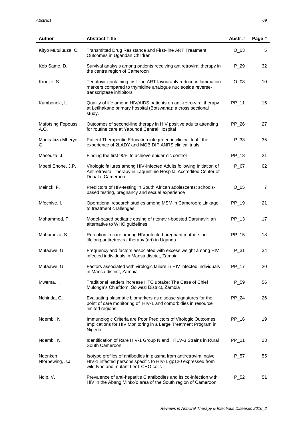| <b>Author</b>               | <b>Abstract Title</b>                                                                                                                                                      | Abstr# | Page #         |
|-----------------------------|----------------------------------------------------------------------------------------------------------------------------------------------------------------------------|--------|----------------|
| Kityo Mutuluuza, C.         | Transmitted Drug Resistance and First-line ART Treatment<br>Outcomes in Ugandan Children                                                                                   | $O_03$ | 5              |
| Kob Same, D.                | Survival analysis among patients receiving antiretroviral therapy in<br>the centre region of Cameroon                                                                      | $P_29$ | 32             |
| Kroeze, S.                  | Tenofovir-containing first-line ART favourably reduce inflammation<br>markers compared to thymidine analogue nucleoside reverse-<br>transcriptase inhibitors               | $O_0$  | 10             |
| Kumboneki, L.               | Quality of life among HIV/AIDS patients on anti-retro-viral therapy<br>at Letlhakane primary hospital (Botswana): a cross sectional<br>study.                              | PP_11  | 15             |
| Mafotsing Fopoussi,<br>A.O. | Outcomes of second-line therapy in HIV positive adults attending<br>for routine care at Yaoundé Central Hospital                                                           | PP_26  | 27             |
| Manirakiza Mberyo,<br>G.    | Patient Therapeutic Education integrated in clinical trial: the<br>experience of 2LADY and MOBIDIP ANRS clinical trials                                                    | P_33   | 35             |
| Masedza, J.                 | Finding the first 90% to achieve epidermic control                                                                                                                         | PP_18  | 21             |
| Mbebi Enone, J.P.           | Virologic failures among HIV-Infected Adults following Initiation of<br>Antiretroviral Therapy in Laquintinie Hospital Accredited Center of<br>Douala, Cameroon            | $P_67$ | 62             |
| Meinck, F.                  | Predictors of HIV-testing in South African adolescents: schools-<br>based testing, pregnancy and sexual experience                                                         | $O_05$ | $\overline{7}$ |
| Mfochive, I.                | Operational research studies among MSM in Cameroon: Linkage<br>to treatment challenges                                                                                     | PP_19  | 21             |
| Mohammed, P.                | Model-based pediatric dosing of ritonavir-boosted Darunavir: an<br>alternative to WHO guidelines                                                                           | PP_13  | 17             |
| Muhumuza, S.                | Retention in care among HIV-infected pregnant mothers on<br>lifelong antiretroviral therapy (art) in Uganda.                                                               | PP_15  | 18             |
| Mutaawe, G.                 | Frequency and factors associated with excess weight among HIV<br>infected individuals in Mansa district, Zambia                                                            | $P_31$ | 34             |
| Mutaawe, G.                 | Factors associated with virologic failure in HIV infected individuals<br>in Mansa district, Zambia                                                                         | PP_17  | 20             |
| Mwema, I.                   | Traditional leaders increase HTC uptake: The Case of Chief<br>Mulonga's Chiefdom, Solwezi District, Zambia                                                                 | $P_59$ | 56             |
| Nchinda, G.                 | Evaluating plasmatic biomarkers as disease signatures for the<br>point of care monitoring of HIV-1 and comorbidies in resource<br>limited regions.                         | PP_24  | 26             |
| Ndembi, N.                  | Immunologic Criteria are Poor Predictors of Virologic Outcomes:<br>Implications for HIV Monitoring in a Large Treatment Program in<br>Nigeria                              | PP_16  | 19             |
| Ndembi, N.                  | Identification of Rare HIV-1 Group N and HTLV-3 Strains in Rural<br>South Cameroon                                                                                         | PP_21  | 23             |
| Ndenkeh<br>Nforbewing, J.J. | Isotype profiles of antibodies in plasma from antiretroviral naive<br>HIV-1 infected persons specific to HIV-1 gp120 expressed from<br>wild type and mutant Lec1 CHO cells | $P_57$ | 55             |
| Ndip, V.                    | Prevalence of anti-hepatitis C antibodies and its co-infection with<br>HIV in the Abang Minko'o area of the South region of Cameroon                                       | $P_52$ | 51             |